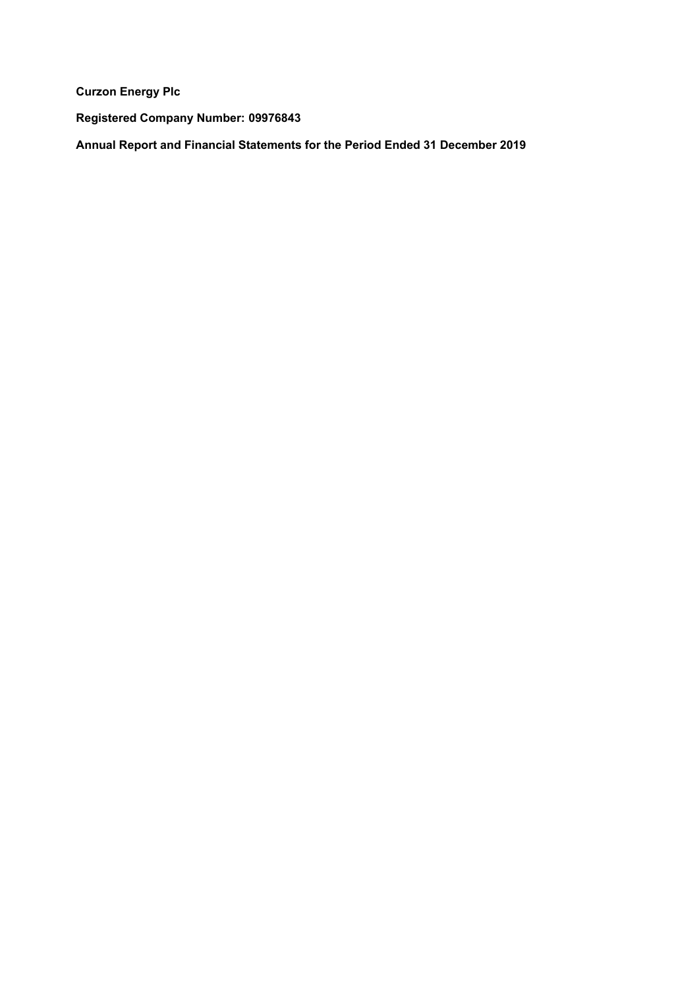**Curzon Energy Plc**

**Registered Company Number: 09976843**

**Annual Report and Financial Statements for the Period Ended 31 December 2019**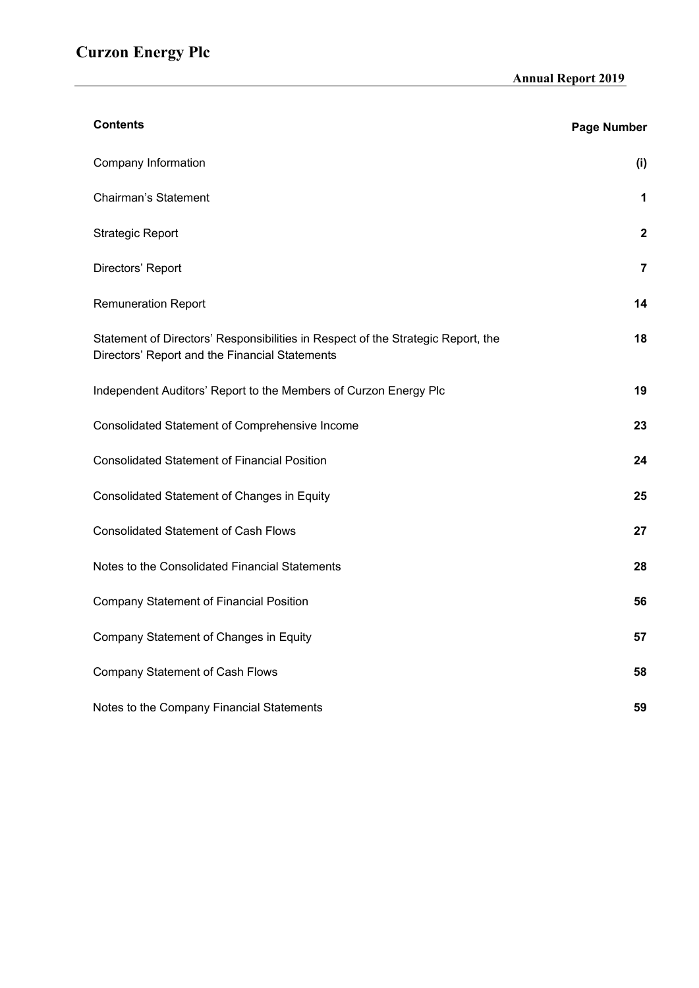| <b>Contents</b>                                                                                                                    | <b>Page Number</b> |
|------------------------------------------------------------------------------------------------------------------------------------|--------------------|
| Company Information                                                                                                                | (i)                |
| <b>Chairman's Statement</b>                                                                                                        | 1                  |
| <b>Strategic Report</b>                                                                                                            | $\overline{2}$     |
| Directors' Report                                                                                                                  | $\overline{7}$     |
| <b>Remuneration Report</b>                                                                                                         | 14                 |
| Statement of Directors' Responsibilities in Respect of the Strategic Report, the<br>Directors' Report and the Financial Statements | 18                 |
| Independent Auditors' Report to the Members of Curzon Energy Plc                                                                   | 19                 |
| Consolidated Statement of Comprehensive Income                                                                                     | 23                 |
| <b>Consolidated Statement of Financial Position</b>                                                                                | 24                 |
| Consolidated Statement of Changes in Equity                                                                                        | 25                 |
| <b>Consolidated Statement of Cash Flows</b>                                                                                        | 27                 |
| Notes to the Consolidated Financial Statements                                                                                     | 28                 |
| <b>Company Statement of Financial Position</b>                                                                                     | 56                 |
| Company Statement of Changes in Equity                                                                                             | 57                 |
| <b>Company Statement of Cash Flows</b>                                                                                             | 58                 |
| Notes to the Company Financial Statements                                                                                          | 59                 |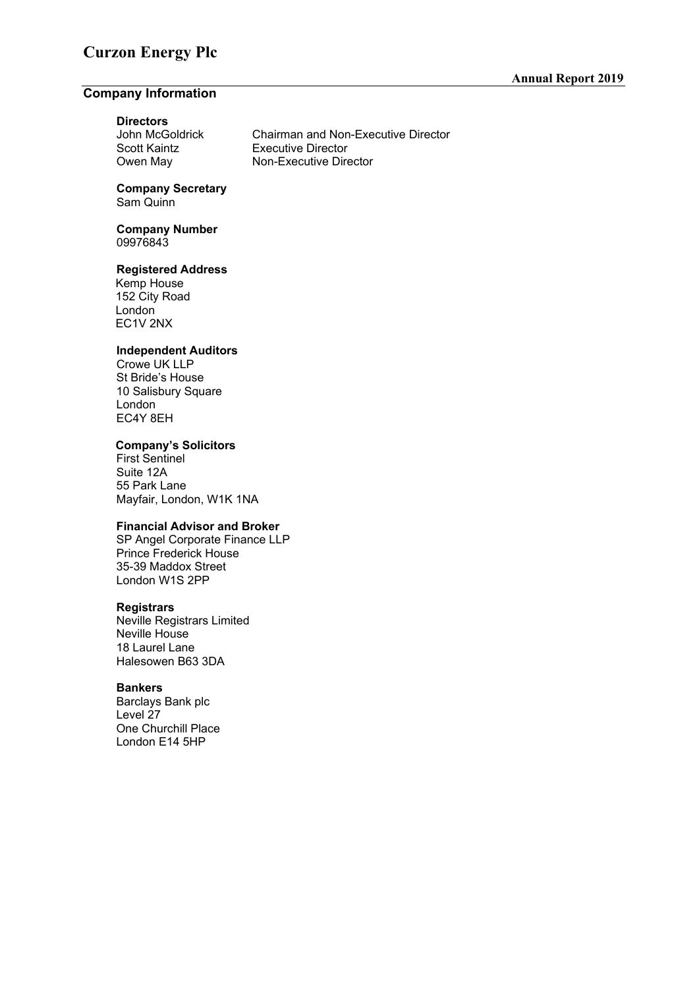#### **Company Information**

**Directors** Scott Kaintz<br>
Owen May **Executive Director**<br>
Non-Executive Director

John McGoldrick Chairman and Non-Executive Director Non-Executive Director

## **Company Secretary**

Sam Quinn

#### **Company Number** 09976843

## **Registered Address**

 Kemp House 152 City Road London EC1V 2NX

#### **Independent Auditors**

Crowe UK LLP St Bride's House 10 Salisbury Square London EC4Y 8EH

#### **Company's Solicitors**

First Sentinel Suite 12A 55 Park Lane Mayfair, London, W1K 1NA

#### **Financial Advisor and Broker**

SP Angel Corporate Finance LLP Prince Frederick House 35-39 Maddox Street London W1S 2PP

#### **Registrars**

Neville Registrars Limited Neville House 18 Laurel Lane Halesowen B63 3DA

#### **Bankers**

Barclays Bank plc Level 27 One Churchill Place London E14 5HP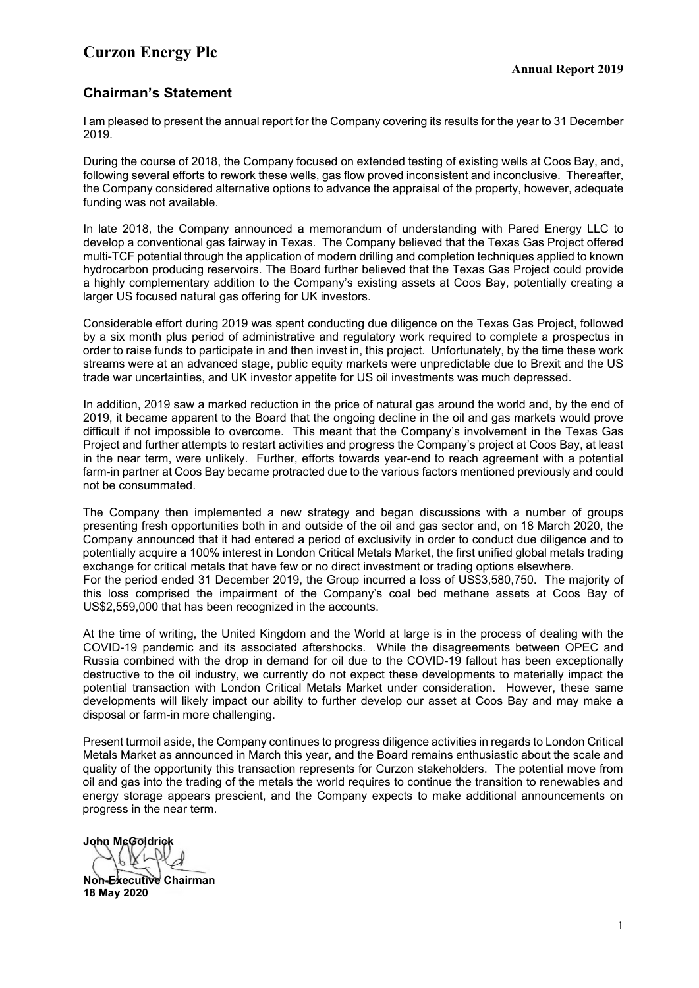## **Chairman's Statement**

I am pleased to present the annual report for the Company covering its results for the year to 31 December 2019.

During the course of 2018, the Company focused on extended testing of existing wells at Coos Bay, and, following several efforts to rework these wells, gas flow proved inconsistent and inconclusive. Thereafter, the Company considered alternative options to advance the appraisal of the property, however, adequate funding was not available.

In late 2018, the Company announced a memorandum of understanding with Pared Energy LLC to develop a conventional gas fairway in Texas. The Company believed that the Texas Gas Project offered multi-TCF potential through the application of modern drilling and completion techniques applied to known hydrocarbon producing reservoirs. The Board further believed that the Texas Gas Project could provide a highly complementary addition to the Company's existing assets at Coos Bay, potentially creating a larger US focused natural gas offering for UK investors.

Considerable effort during 2019 was spent conducting due diligence on the Texas Gas Project, followed by a six month plus period of administrative and regulatory work required to complete a prospectus in order to raise funds to participate in and then invest in, this project. Unfortunately, by the time these work streams were at an advanced stage, public equity markets were unpredictable due to Brexit and the US trade war uncertainties, and UK investor appetite for US oil investments was much depressed.

In addition, 2019 saw a marked reduction in the price of natural gas around the world and, by the end of 2019, it became apparent to the Board that the ongoing decline in the oil and gas markets would prove difficult if not impossible to overcome. This meant that the Company's involvement in the Texas Gas Project and further attempts to restart activities and progress the Company's project at Coos Bay, at least in the near term, were unlikely. Further, efforts towards year-end to reach agreement with a potential farm-in partner at Coos Bay became protracted due to the various factors mentioned previously and could not be consummated.

The Company then implemented a new strategy and began discussions with a number of groups presenting fresh opportunities both in and outside of the oil and gas sector and, on 18 March 2020, the Company announced that it had entered a period of exclusivity in order to conduct due diligence and to potentially acquire a 100% interest in London Critical Metals Market, the first unified global metals trading exchange for critical metals that have few or no direct investment or trading options elsewhere.

For the period ended 31 December 2019, the Group incurred a loss of US\$3,580,750. The majority of this loss comprised the impairment of the Company's coal bed methane assets at Coos Bay of US\$2,559,000 that has been recognized in the accounts.

At the time of writing, the United Kingdom and the World at large is in the process of dealing with the COVID-19 pandemic and its associated aftershocks. While the disagreements between OPEC and Russia combined with the drop in demand for oil due to the COVID-19 fallout has been exceptionally destructive to the oil industry, we currently do not expect these developments to materially impact the potential transaction with London Critical Metals Market under consideration. However, these same developments will likely impact our ability to further develop our asset at Coos Bay and may make a disposal or farm-in more challenging.

Present turmoil aside, the Company continues to progress diligence activities in regards to London Critical Metals Market as announced in March this year, and the Board remains enthusiastic about the scale and quality of the opportunity this transaction represents for Curzon stakeholders. The potential move from oil and gas into the trading of the metals the world requires to continue the transition to renewables and energy storage appears prescient, and the Company expects to make additional announcements on progress in the near term.

**John McGoldrick** ⊮⊬

**Non-Executive Chairman 18 May 2020**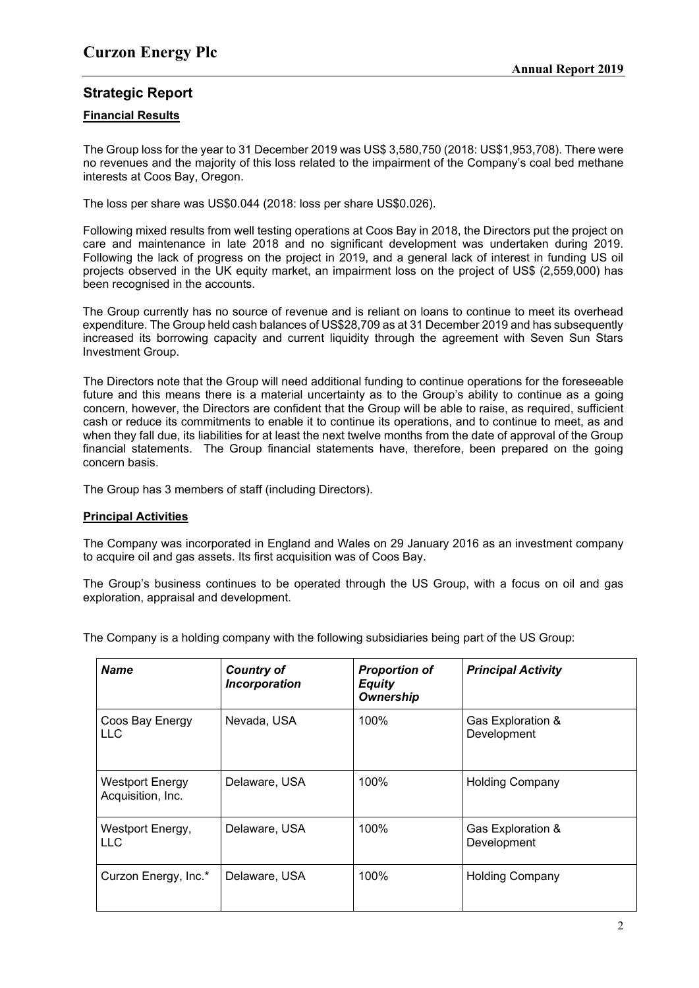## **Strategic Report**

#### **Financial Results**

The Group loss for the year to 31 December 2019 was US\$ 3,580,750 (2018: US\$1,953,708). There were no revenues and the majority of this loss related to the impairment of the Company's coal bed methane interests at Coos Bay, Oregon.

The loss per share was US\$0.044 (2018: loss per share US\$0.026).

Following mixed results from well testing operations at Coos Bay in 2018, the Directors put the project on care and maintenance in late 2018 and no significant development was undertaken during 2019. Following the lack of progress on the project in 2019, and a general lack of interest in funding US oil projects observed in the UK equity market, an impairment loss on the project of US\$ (2,559,000) has been recognised in the accounts.

The Group currently has no source of revenue and is reliant on loans to continue to meet its overhead expenditure. The Group held cash balances of US\$28,709 as at 31 December 2019 and has subsequently increased its borrowing capacity and current liquidity through the agreement with Seven Sun Stars Investment Group.

The Directors note that the Group will need additional funding to continue operations for the foreseeable future and this means there is a material uncertainty as to the Group's ability to continue as a going concern, however, the Directors are confident that the Group will be able to raise, as required, sufficient cash or reduce its commitments to enable it to continue its operations, and to continue to meet, as and when they fall due, its liabilities for at least the next twelve months from the date of approval of the Group financial statements. The Group financial statements have, therefore, been prepared on the going concern basis.

The Group has 3 members of staff (including Directors).

#### **Principal Activities**

The Company was incorporated in England and Wales on 29 January 2016 as an investment company to acquire oil and gas assets. Its first acquisition was of Coos Bay.

The Group's business continues to be operated through the US Group, with a focus on oil and gas exploration, appraisal and development.

The Company is a holding company with the following subsidiaries being part of the US Group:

| <b>Name</b>                                 | <b>Country of</b><br>Incorporation | <b>Proportion of</b><br><b>Equity</b><br><b>Ownership</b> | <b>Principal Activity</b>        |
|---------------------------------------------|------------------------------------|-----------------------------------------------------------|----------------------------------|
| Coos Bay Energy<br><b>LLC</b>               | Nevada, USA                        | 100%                                                      | Gas Exploration &<br>Development |
| <b>Westport Energy</b><br>Acquisition, Inc. | Delaware, USA                      | 100%                                                      | <b>Holding Company</b>           |
| Westport Energy,<br><b>LLC</b>              | Delaware, USA                      | 100%                                                      | Gas Exploration &<br>Development |
| Curzon Energy, Inc.*                        | Delaware, USA                      | 100%                                                      | <b>Holding Company</b>           |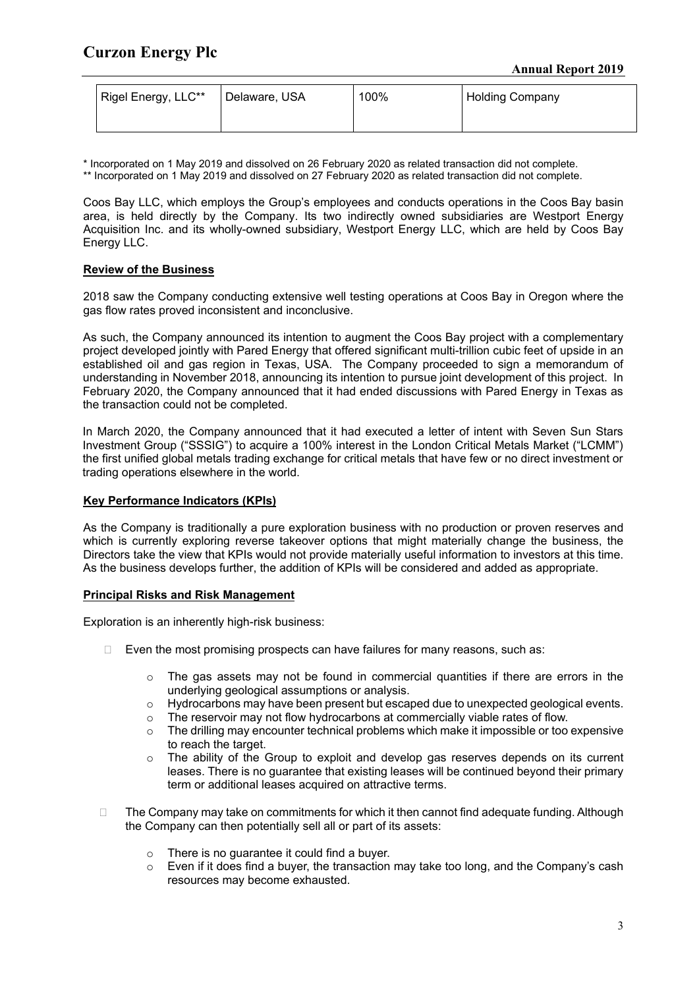| Rigel Energy, LLC** | Delaware, USA | 100% | <b>Holding Company</b> |
|---------------------|---------------|------|------------------------|
|                     |               |      |                        |

\* Incorporated on 1 May 2019 and dissolved on 26 February 2020 as related transaction did not complete. \*\* Incorporated on 1 May 2019 and dissolved on 27 February 2020 as related transaction did not complete.

Coos Bay LLC, which employs the Group's employees and conducts operations in the Coos Bay basin area, is held directly by the Company. Its two indirectly owned subsidiaries are Westport Energy Acquisition Inc. and its wholly-owned subsidiary, Westport Energy LLC, which are held by Coos Bay Energy LLC.

#### **Review of the Business**

2018 saw the Company conducting extensive well testing operations at Coos Bay in Oregon where the gas flow rates proved inconsistent and inconclusive.

As such, the Company announced its intention to augment the Coos Bay project with a complementary project developed jointly with Pared Energy that offered significant multi-trillion cubic feet of upside in an established oil and gas region in Texas, USA. The Company proceeded to sign a memorandum of understanding in November 2018, announcing its intention to pursue joint development of this project. In February 2020, the Company announced that it had ended discussions with Pared Energy in Texas as the transaction could not be completed.

In March 2020, the Company announced that it had executed a letter of intent with Seven Sun Stars Investment Group ("SSSIG") to acquire a 100% interest in the London Critical Metals Market ("LCMM") the first unified global metals trading exchange for critical metals that have few or no direct investment or trading operations elsewhere in the world.

#### **Key Performance Indicators (KPIs)**

As the Company is traditionally a pure exploration business with no production or proven reserves and which is currently exploring reverse takeover options that might materially change the business, the Directors take the view that KPIs would not provide materially useful information to investors at this time. As the business develops further, the addition of KPIs will be considered and added as appropriate.

#### **Principal Risks and Risk Management**

Exploration is an inherently high-risk business:

- $\Box$  Even the most promising prospects can have failures for many reasons, such as:
	- $\circ$  The gas assets may not be found in commercial quantities if there are errors in the underlying geological assumptions or analysis.
	- $\circ$  Hydrocarbons may have been present but escaped due to unexpected geological events.
	- $\circ$  The reservoir may not flow hydrocarbons at commercially viable rates of flow.<br> $\circ$  The drilling may encounter technical problems which make it impossible or too.
	- The drilling may encounter technical problems which make it impossible or too expensive to reach the target.
	- $\circ$  The ability of the Group to exploit and develop gas reserves depends on its current leases. There is no guarantee that existing leases will be continued beyond their primary term or additional leases acquired on attractive terms.
- □ The Company may take on commitments for which it then cannot find adequate funding. Although the Company can then potentially sell all or part of its assets:
	- o There is no guarantee it could find a buyer.
	- o Even if it does find a buyer, the transaction may take too long, and the Company's cash resources may become exhausted.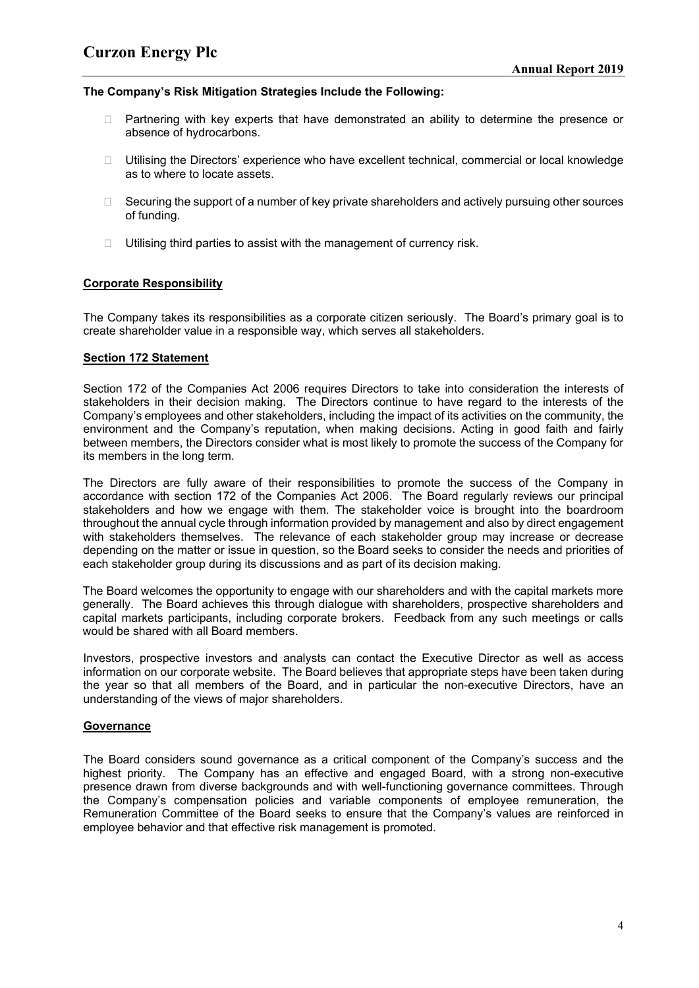#### **The Company's Risk Mitigation Strategies Include the Following:**

- Partnering with key experts that have demonstrated an ability to determine the presence or absence of hydrocarbons.
- Utilising the Directors' experience who have excellent technical, commercial or local knowledge as to where to locate assets.
- $\Box$  Securing the support of a number of key private shareholders and actively pursuing other sources of funding.
- $\Box$  Utilising third parties to assist with the management of currency risk.

#### **Corporate Responsibility**

The Company takes its responsibilities as a corporate citizen seriously. The Board's primary goal is to create shareholder value in a responsible way, which serves all stakeholders.

#### **Section 172 Statement**

Section 172 of the Companies Act 2006 requires Directors to take into consideration the interests of stakeholders in their decision making. The Directors continue to have regard to the interests of the Company's employees and other stakeholders, including the impact of its activities on the community, the environment and the Company's reputation, when making decisions. Acting in good faith and fairly between members, the Directors consider what is most likely to promote the success of the Company for its members in the long term.

The Directors are fully aware of their responsibilities to promote the success of the Company in accordance with section 172 of the Companies Act 2006. The Board regularly reviews our principal stakeholders and how we engage with them. The stakeholder voice is brought into the boardroom throughout the annual cycle through information provided by management and also by direct engagement with stakeholders themselves. The relevance of each stakeholder group may increase or decrease depending on the matter or issue in question, so the Board seeks to consider the needs and priorities of each stakeholder group during its discussions and as part of its decision making.

The Board welcomes the opportunity to engage with our shareholders and with the capital markets more generally. The Board achieves this through dialogue with shareholders, prospective shareholders and capital markets participants, including corporate brokers. Feedback from any such meetings or calls would be shared with all Board members.

Investors, prospective investors and analysts can contact the Executive Director as well as access information on our corporate website. The Board believes that appropriate steps have been taken during the year so that all members of the Board, and in particular the non-executive Directors, have an understanding of the views of major shareholders.

#### **Governance**

The Board considers sound governance as a critical component of the Company's success and the highest priority. The Company has an effective and engaged Board, with a strong non-executive presence drawn from diverse backgrounds and with well-functioning governance committees. Through the Company's compensation policies and variable components of employee remuneration, the Remuneration Committee of the Board seeks to ensure that the Company's values are reinforced in employee behavior and that effective risk management is promoted.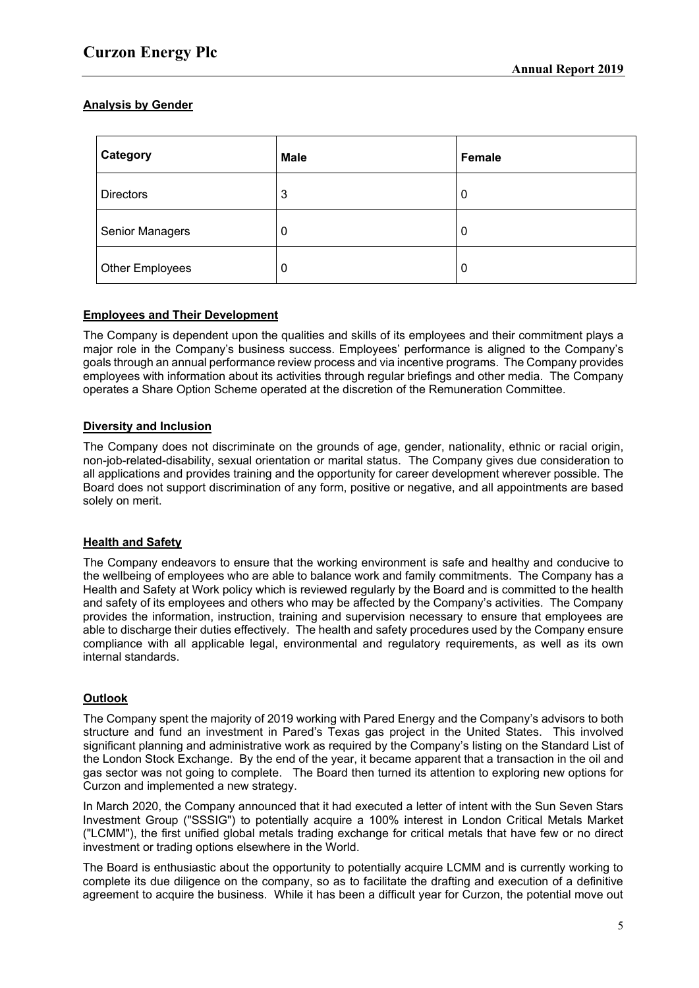## **Analysis by Gender**

| Category         | <b>Male</b> | <b>Female</b> |
|------------------|-------------|---------------|
| <b>Directors</b> | 3           | 0             |
| Senior Managers  | 0           | $\mathbf 0$   |
| Other Employees  | 0           | 0             |

#### **Employees and Their Development**

The Company is dependent upon the qualities and skills of its employees and their commitment plays a major role in the Company's business success. Employees' performance is aligned to the Company's goals through an annual performance review process and via incentive programs. The Company provides employees with information about its activities through regular briefings and other media. The Company operates a Share Option Scheme operated at the discretion of the Remuneration Committee.

#### **Diversity and Inclusion**

The Company does not discriminate on the grounds of age, gender, nationality, ethnic or racial origin, non-job-related-disability, sexual orientation or marital status. The Company gives due consideration to all applications and provides training and the opportunity for career development wherever possible. The Board does not support discrimination of any form, positive or negative, and all appointments are based solely on merit.

#### **Health and Safety**

The Company endeavors to ensure that the working environment is safe and healthy and conducive to the wellbeing of employees who are able to balance work and family commitments. The Company has a Health and Safety at Work policy which is reviewed regularly by the Board and is committed to the health and safety of its employees and others who may be affected by the Company's activities. The Company provides the information, instruction, training and supervision necessary to ensure that employees are able to discharge their duties effectively. The health and safety procedures used by the Company ensure compliance with all applicable legal, environmental and regulatory requirements, as well as its own internal standards.

## **Outlook**

The Company spent the majority of 2019 working with Pared Energy and the Company's advisors to both structure and fund an investment in Pared's Texas gas project in the United States. This involved significant planning and administrative work as required by the Company's listing on the Standard List of the London Stock Exchange. By the end of the year, it became apparent that a transaction in the oil and gas sector was not going to complete. The Board then turned its attention to exploring new options for Curzon and implemented a new strategy.

In March 2020, the Company announced that it had executed a letter of intent with the Sun Seven Stars Investment Group ("SSSIG") to potentially acquire a 100% interest in London Critical Metals Market ("LCMM"), the first unified global metals trading exchange for critical metals that have few or no direct investment or trading options elsewhere in the World.

The Board is enthusiastic about the opportunity to potentially acquire LCMM and is currently working to complete its due diligence on the company, so as to facilitate the drafting and execution of a definitive agreement to acquire the business. While it has been a difficult year for Curzon, the potential move out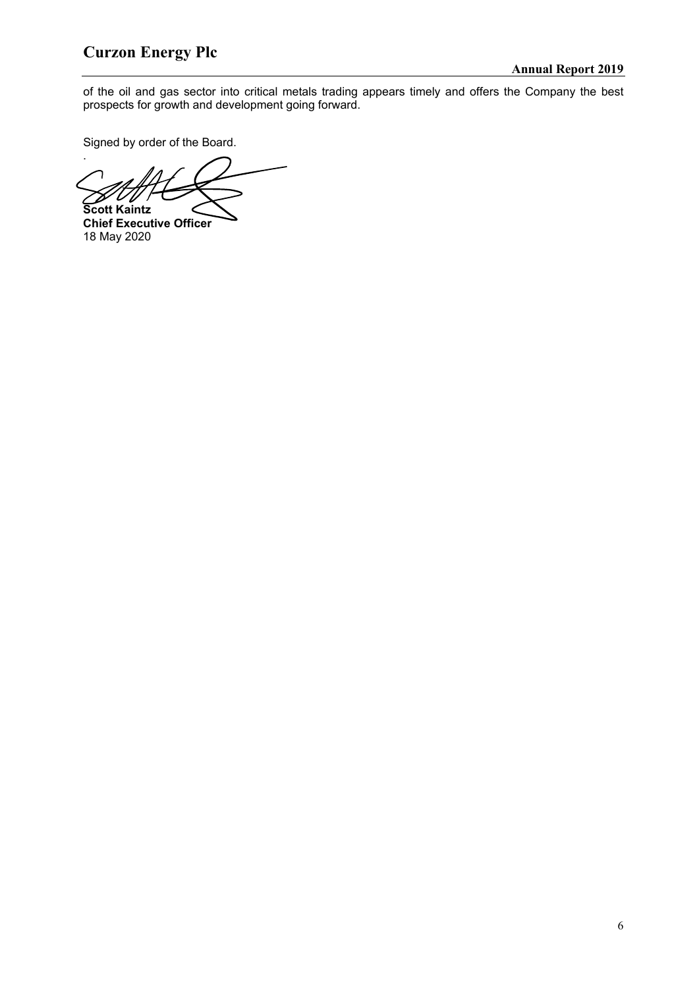of the oil and gas sector into critical metals trading appears timely and offers the Company the best prospects for growth and development going forward.

Signed by order of the Board.

. **Scott Kaintz**

**Chief Executive Officer** 18 May 2020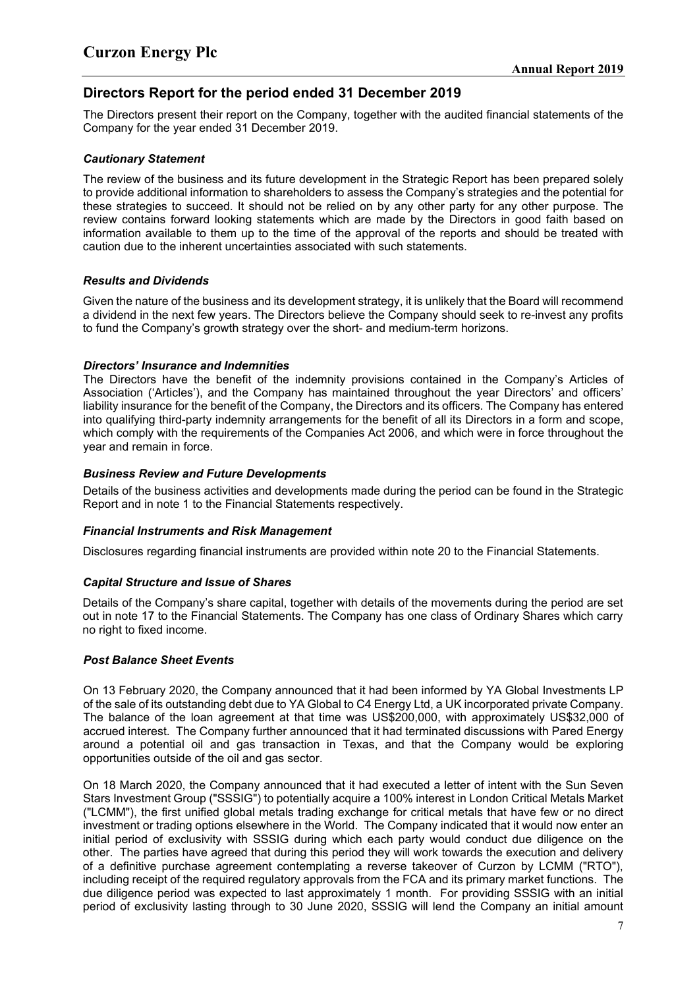## **Directors Report for the period ended 31 December 2019**

The Directors present their report on the Company, together with the audited financial statements of the Company for the year ended 31 December 2019.

#### *Cautionary Statement*

The review of the business and its future development in the Strategic Report has been prepared solely to provide additional information to shareholders to assess the Company's strategies and the potential for these strategies to succeed. It should not be relied on by any other party for any other purpose. The review contains forward looking statements which are made by the Directors in good faith based on information available to them up to the time of the approval of the reports and should be treated with caution due to the inherent uncertainties associated with such statements.

#### *Results and Dividends*

Given the nature of the business and its development strategy, it is unlikely that the Board will recommend a dividend in the next few years. The Directors believe the Company should seek to re-invest any profits to fund the Company's growth strategy over the short- and medium-term horizons.

#### *Directors' Insurance and Indemnities*

The Directors have the benefit of the indemnity provisions contained in the Company's Articles of Association ('Articles'), and the Company has maintained throughout the year Directors' and officers' liability insurance for the benefit of the Company, the Directors and its officers. The Company has entered into qualifying third-party indemnity arrangements for the benefit of all its Directors in a form and scope, which comply with the requirements of the Companies Act 2006, and which were in force throughout the year and remain in force.

#### *Business Review and Future Developments*

Details of the business activities and developments made during the period can be found in the Strategic Report and in note [1](#page-30-0) to the Financial Statements respectively.

#### *Financial Instruments and Risk Management*

Disclosures regarding financial instruments are provided within note [20](#page-52-0) to the Financial Statements.

#### *Capital Structure and Issue of Shares*

Details of the Company's share capital, together with details of the movements during the period are set out in note [17](#page-49-0) to the Financial Statements. The Company has one class of Ordinary Shares which carry no right to fixed income.

#### *Post Balance Sheet Events*

On 13 February 2020, the Company announced that it had been informed by YA Global Investments LP of the sale of its outstanding debt due to YA Global to C4 Energy Ltd, a UK incorporated private Company. The balance of the loan agreement at that time was US\$200,000, with approximately US\$32,000 of accrued interest. The Company further announced that it had terminated discussions with Pared Energy around a potential oil and gas transaction in Texas, and that the Company would be exploring opportunities outside of the oil and gas sector.

On 18 March 2020, the Company announced that it had executed a letter of intent with the Sun Seven Stars Investment Group ("SSSIG") to potentially acquire a 100% interest in London Critical Metals Market ("LCMM"), the first unified global metals trading exchange for critical metals that have few or no direct investment or trading options elsewhere in the World. The Company indicated that it would now enter an initial period of exclusivity with SSSIG during which each party would conduct due diligence on the other. The parties have agreed that during this period they will work towards the execution and delivery of a definitive purchase agreement contemplating a reverse takeover of Curzon by LCMM ("RTO"), including receipt of the required regulatory approvals from the FCA and its primary market functions. The due diligence period was expected to last approximately 1 month. For providing SSSIG with an initial period of exclusivity lasting through to 30 June 2020, SSSIG will lend the Company an initial amount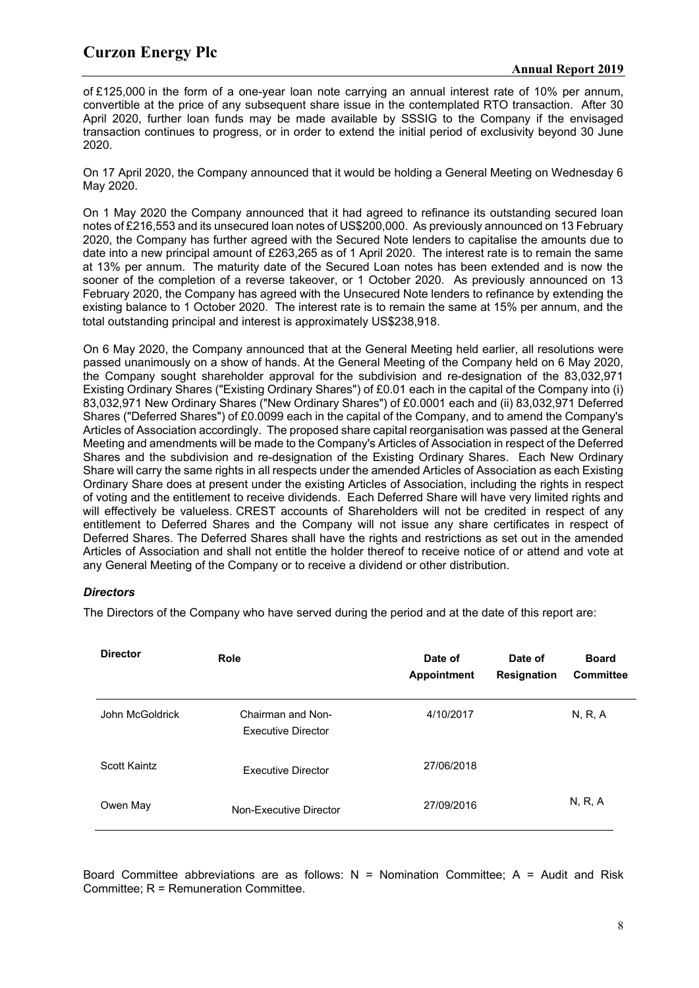## **Curzon Energy Plc** Annual Report 2019

of £125,000 in the form of a one-year loan note carrying an annual interest rate of 10% per annum, convertible at the price of any subsequent share issue in the contemplated RTO transaction. After 30 April 2020, further loan funds may be made available by SSSIG to the Company if the envisaged transaction continues to progress, or in order to extend the initial period of exclusivity beyond 30 June 2020.

On 17 April 2020, the Company announced that it would be holding a General Meeting on Wednesday 6 May 2020.

On 1 May 2020 the Company announced that it had agreed to refinance its outstanding secured loan notes of £216,553 and its unsecured loan notes of US\$200,000. As previously announced on 13 February 2020, the Company has further agreed with the Secured Note lenders to capitalise the amounts due to date into a new principal amount of £263,265 as of 1 April 2020. The interest rate is to remain the same at 13% per annum. The maturity date of the Secured Loan notes has been extended and is now the sooner of the completion of a reverse takeover, or 1 October 2020. As previously announced on 13 February 2020, the Company has agreed with the Unsecured Note lenders to refinance by extending the existing balance to 1 October 2020. The interest rate is to remain the same at 15% per annum, and the total outstanding principal and interest is approximately US\$238,918.

On 6 May 2020, the Company announced that at the General Meeting held earlier, all resolutions were passed unanimously on a show of hands. At the General Meeting of the Company held on 6 May 2020, the Company sought shareholder approval for the subdivision and re-designation of the 83,032,971 Existing Ordinary Shares ("Existing Ordinary Shares") of £0.01 each in the capital of the Company into (i) 83,032,971 New Ordinary Shares ("New Ordinary Shares") of £0.0001 each and (ii) 83,032,971 Deferred Shares ("Deferred Shares") of £0.0099 each in the capital of the Company, and to amend the Company's Articles of Association accordingly. The proposed share capital reorganisation was passed at the General Meeting and amendments will be made to the Company's Articles of Association in respect of the Deferred Shares and the subdivision and re-designation of the Existing Ordinary Shares. Each New Ordinary Share will carry the same rights in all respects under the amended Articles of Association as each Existing Ordinary Share does at present under the existing Articles of Association, including the rights in respect of voting and the entitlement to receive dividends. Each Deferred Share will have very limited rights and will effectively be valueless. CREST accounts of Shareholders will not be credited in respect of any entitlement to Deferred Shares and the Company will not issue any share certificates in respect of Deferred Shares. The Deferred Shares shall have the rights and restrictions as set out in the amended Articles of Association and shall not entitle the holder thereof to receive notice of or attend and vote at any General Meeting of the Company or to receive a dividend or other distribution.

#### *Directors*

The Directors of the Company who have served during the period and at the date of this report are:

| <b>Director</b> | Role                                           | Date of<br><b>Appointment</b> | Date of<br><b>Resignation</b> | <b>Board</b><br><b>Committee</b> |
|-----------------|------------------------------------------------|-------------------------------|-------------------------------|----------------------------------|
| John McGoldrick | Chairman and Non-<br><b>Executive Director</b> | 4/10/2017                     |                               | N, R, A                          |
| Scott Kaintz    | <b>Executive Director</b>                      | 27/06/2018                    |                               |                                  |
| Owen May        | Non-Executive Director                         | 27/09/2016                    |                               | N, R, A                          |

Board Committee abbreviations are as follows:  $N =$  Nomination Committee: A = Audit and Risk Committee; R = Remuneration Committee.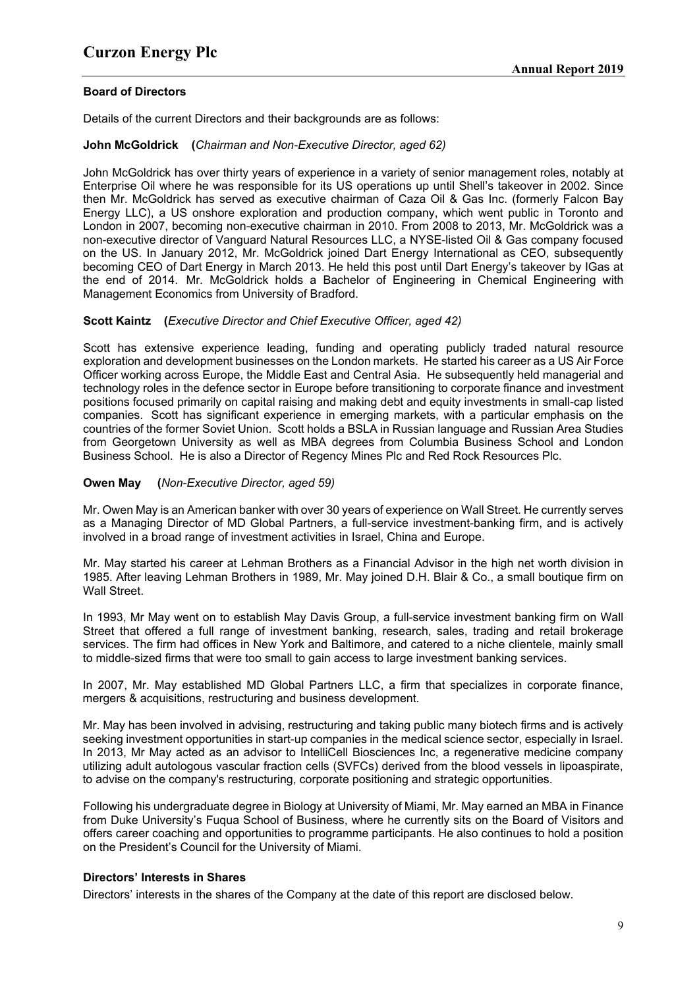#### **Board of Directors**

Details of the current Directors and their backgrounds are as follows:

#### **John McGoldrick (***Chairman and Non-Executive Director, aged 62)*

John McGoldrick has over thirty years of experience in a variety of senior management roles, notably at Enterprise Oil where he was responsible for its US operations up until Shell's takeover in 2002. Since then Mr. McGoldrick has served as executive chairman of Caza Oil & Gas Inc. (formerly Falcon Bay Energy LLC), a US onshore exploration and production company, which went public in Toronto and London in 2007, becoming non-executive chairman in 2010. From 2008 to 2013, Mr. McGoldrick was a non-executive director of Vanguard Natural Resources LLC, a NYSE-listed Oil & Gas company focused on the US. In January 2012, Mr. McGoldrick joined Dart Energy International as CEO, subsequently becoming CEO of Dart Energy in March 2013. He held this post until Dart Energy's takeover by IGas at the end of 2014. Mr. McGoldrick holds a Bachelor of Engineering in Chemical Engineering with Management Economics from University of Bradford.

#### **Scott Kaintz (***Executive Director and Chief Executive Officer, aged 42)*

Scott has extensive experience leading, funding and operating publicly traded natural resource exploration and development businesses on the London markets. He started his career as a US Air Force Officer working across Europe, the Middle East and Central Asia. He subsequently held managerial and technology roles in the defence sector in Europe before transitioning to corporate finance and investment positions focused primarily on capital raising and making debt and equity investments in small-cap listed companies. Scott has significant experience in emerging markets, with a particular emphasis on the countries of the former Soviet Union. Scott holds a BSLA in Russian language and Russian Area Studies from Georgetown University as well as MBA degrees from Columbia Business School and London Business School. He is also a Director of Regency Mines Plc and Red Rock Resources Plc.

#### **Owen May (***Non-Executive Director, aged 59)*

Mr. Owen May is an American banker with over 30 years of experience on Wall Street. He currently serves as a Managing Director of MD Global Partners, a full-service investment-banking firm, and is actively involved in a broad range of investment activities in Israel, China and Europe.

Mr. May started his career at Lehman Brothers as a Financial Advisor in the high net worth division in 1985. After leaving Lehman Brothers in 1989, Mr. May joined D.H. Blair & Co., a small boutique firm on Wall Street.

In 1993, Mr May went on to establish May Davis Group, a full-service investment banking firm on Wall Street that offered a full range of investment banking, research, sales, trading and retail brokerage services. The firm had offices in New York and Baltimore, and catered to a niche clientele, mainly small to middle-sized firms that were too small to gain access to large investment banking services.

In 2007, Mr. May established MD Global Partners LLC, a firm that specializes in corporate finance, mergers & acquisitions, restructuring and business development.

Mr. May has been involved in advising, restructuring and taking public many biotech firms and is actively seeking investment opportunities in start-up companies in the medical science sector, especially in Israel. In 2013, Mr May acted as an advisor to IntelliCell Biosciences Inc, a regenerative medicine company utilizing adult autologous vascular fraction cells (SVFCs) derived from the blood vessels in lipoaspirate, to advise on the company's restructuring, corporate positioning and strategic opportunities.

Following his undergraduate degree in Biology at University of Miami, Mr. May earned an MBA in Finance from Duke University's Fuqua School of Business, where he currently sits on the Board of Visitors and offers career coaching and opportunities to programme participants. He also continues to hold a position on the President's Council for the University of Miami.

#### **Directors' Interests in Shares**

Directors' interests in the shares of the Company at the date of this report are disclosed below.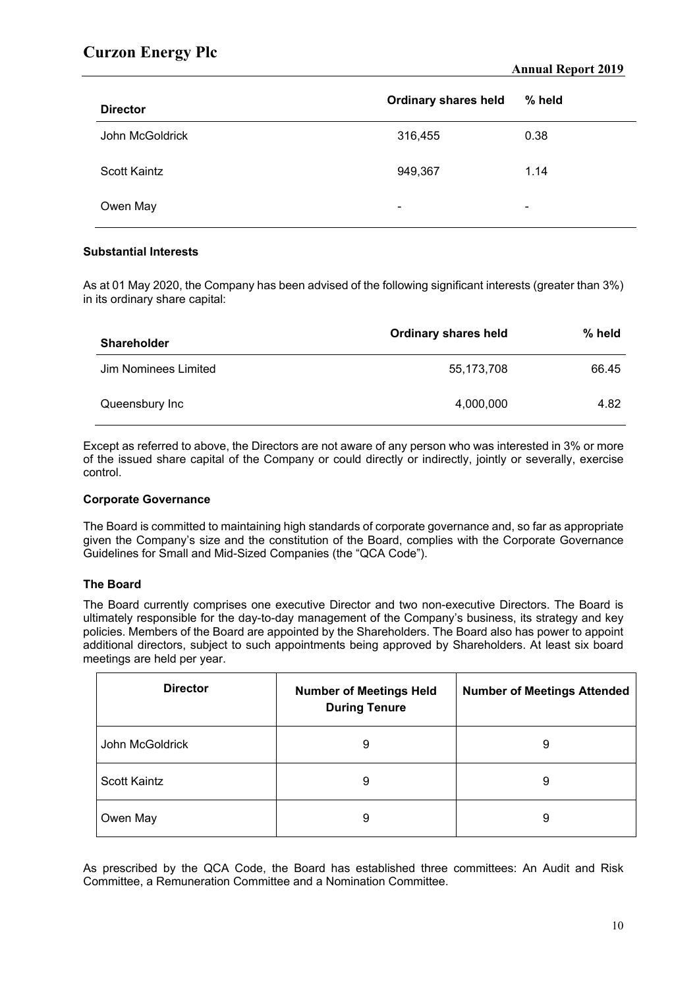| <b>Director</b> | <b>Ordinary shares held</b> | % held         |
|-----------------|-----------------------------|----------------|
| John McGoldrick | 316,455                     | 0.38           |
| Scott Kaintz    | 949,367                     | 1.14           |
| Owen May        | $\blacksquare$              | $\blacksquare$ |

#### **Substantial Interests**

As at 01 May 2020, the Company has been advised of the following significant interests (greater than 3%) in its ordinary share capital:

| <b>Shareholder</b>   | <b>Ordinary shares held</b> | % held |
|----------------------|-----------------------------|--------|
| Jim Nominees Limited | 55,173,708                  | 66.45  |
| Queensbury Inc       | 4,000,000                   | 4.82   |

Except as referred to above, the Directors are not aware of any person who was interested in 3% or more of the issued share capital of the Company or could directly or indirectly, jointly or severally, exercise control.

#### **Corporate Governance**

The Board is committed to maintaining high standards of corporate governance and, so far as appropriate given the Company's size and the constitution of the Board, complies with the Corporate Governance Guidelines for Small and Mid-Sized Companies (the "QCA Code").

## **The Board**

The Board currently comprises one executive Director and two non-executive Directors. The Board is ultimately responsible for the day-to-day management of the Company's business, its strategy and key policies. Members of the Board are appointed by the Shareholders. The Board also has power to appoint additional directors, subject to such appointments being approved by Shareholders. At least six board meetings are held per year.

| <b>Director</b>     | <b>Number of Meetings Held</b><br><b>During Tenure</b> | <b>Number of Meetings Attended</b> |
|---------------------|--------------------------------------------------------|------------------------------------|
| John McGoldrick     | 9                                                      | 9                                  |
| <b>Scott Kaintz</b> | 9                                                      | 9                                  |
| Owen May            | 9                                                      | 9                                  |

As prescribed by the QCA Code, the Board has established three committees: An Audit and Risk Committee, a Remuneration Committee and a Nomination Committee.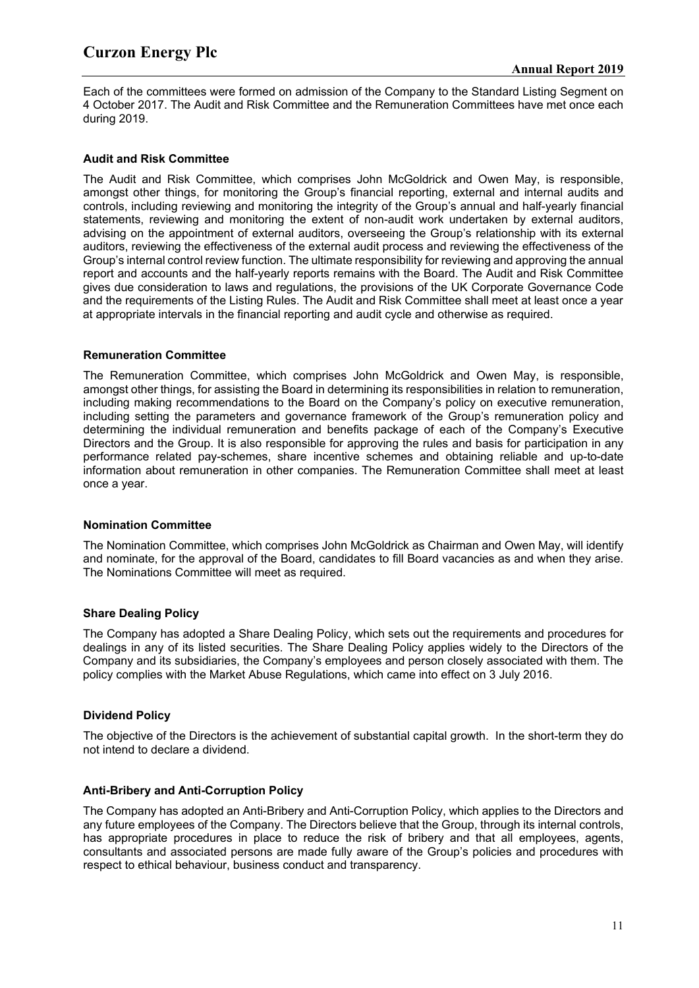Each of the committees were formed on admission of the Company to the Standard Listing Segment on 4 October 2017. The Audit and Risk Committee and the Remuneration Committees have met once each during 2019.

#### **Audit and Risk Committee**

The Audit and Risk Committee, which comprises John McGoldrick and Owen May, is responsible, amongst other things, for monitoring the Group's financial reporting, external and internal audits and controls, including reviewing and monitoring the integrity of the Group's annual and half-yearly financial statements, reviewing and monitoring the extent of non-audit work undertaken by external auditors, advising on the appointment of external auditors, overseeing the Group's relationship with its external auditors, reviewing the effectiveness of the external audit process and reviewing the effectiveness of the Group's internal control review function. The ultimate responsibility for reviewing and approving the annual report and accounts and the half-yearly reports remains with the Board. The Audit and Risk Committee gives due consideration to laws and regulations, the provisions of the UK Corporate Governance Code and the requirements of the Listing Rules. The Audit and Risk Committee shall meet at least once a year at appropriate intervals in the financial reporting and audit cycle and otherwise as required.

#### **Remuneration Committee**

The Remuneration Committee, which comprises John McGoldrick and Owen May, is responsible, amongst other things, for assisting the Board in determining its responsibilities in relation to remuneration, including making recommendations to the Board on the Company's policy on executive remuneration, including setting the parameters and governance framework of the Group's remuneration policy and determining the individual remuneration and benefits package of each of the Company's Executive Directors and the Group. It is also responsible for approving the rules and basis for participation in any performance related pay-schemes, share incentive schemes and obtaining reliable and up-to-date information about remuneration in other companies. The Remuneration Committee shall meet at least once a year.

#### **Nomination Committee**

The Nomination Committee, which comprises John McGoldrick as Chairman and Owen May, will identify and nominate, for the approval of the Board, candidates to fill Board vacancies as and when they arise. The Nominations Committee will meet as required.

#### **Share Dealing Policy**

The Company has adopted a Share Dealing Policy, which sets out the requirements and procedures for dealings in any of its listed securities. The Share Dealing Policy applies widely to the Directors of the Company and its subsidiaries, the Company's employees and person closely associated with them. The policy complies with the Market Abuse Regulations, which came into effect on 3 July 2016.

#### **Dividend Policy**

The objective of the Directors is the achievement of substantial capital growth. In the short-term they do not intend to declare a dividend.

#### **Anti-Bribery and Anti-Corruption Policy**

The Company has adopted an Anti-Bribery and Anti-Corruption Policy, which applies to the Directors and any future employees of the Company. The Directors believe that the Group, through its internal controls, has appropriate procedures in place to reduce the risk of bribery and that all employees, agents, consultants and associated persons are made fully aware of the Group's policies and procedures with respect to ethical behaviour, business conduct and transparency.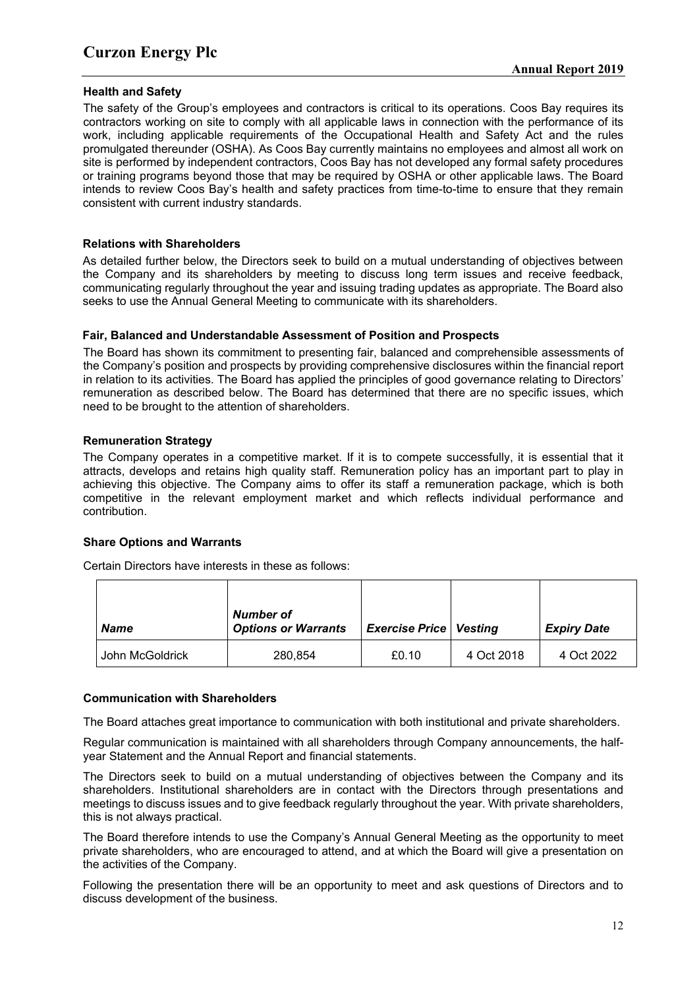#### **Health and Safety**

The safety of the Group's employees and contractors is critical to its operations. Coos Bay requires its contractors working on site to comply with all applicable laws in connection with the performance of its work, including applicable requirements of the Occupational Health and Safety Act and the rules promulgated thereunder (OSHA). As Coos Bay currently maintains no employees and almost all work on site is performed by independent contractors, Coos Bay has not developed any formal safety procedures or training programs beyond those that may be required by OSHA or other applicable laws. The Board intends to review Coos Bay's health and safety practices from time-to-time to ensure that they remain consistent with current industry standards.

#### **Relations with Shareholders**

As detailed further below, the Directors seek to build on a mutual understanding of objectives between the Company and its shareholders by meeting to discuss long term issues and receive feedback, communicating regularly throughout the year and issuing trading updates as appropriate. The Board also seeks to use the Annual General Meeting to communicate with its shareholders.

#### **Fair, Balanced and Understandable Assessment of Position and Prospects**

The Board has shown its commitment to presenting fair, balanced and comprehensible assessments of the Company's position and prospects by providing comprehensive disclosures within the financial report in relation to its activities. The Board has applied the principles of good governance relating to Directors' remuneration as described below. The Board has determined that there are no specific issues, which need to be brought to the attention of shareholders.

#### **Remuneration Strategy**

The Company operates in a competitive market. If it is to compete successfully, it is essential that it attracts, develops and retains high quality staff. Remuneration policy has an important part to play in achieving this objective. The Company aims to offer its staff a remuneration package, which is both competitive in the relevant employment market and which reflects individual performance and contribution.

#### **Share Options and Warrants**

Certain Directors have interests in these as follows:

| <b>Name</b>     | Number of<br><b>Options or Warrants</b> | <b>Exercise Price   Vesting</b> |            | <b>Expiry Date</b> |
|-----------------|-----------------------------------------|---------------------------------|------------|--------------------|
| John McGoldrick | 280,854                                 | £0.10                           | 4 Oct 2018 | 4 Oct 2022         |

#### **Communication with Shareholders**

The Board attaches great importance to communication with both institutional and private shareholders.

Regular communication is maintained with all shareholders through Company announcements, the halfyear Statement and the Annual Report and financial statements.

The Directors seek to build on a mutual understanding of objectives between the Company and its shareholders. Institutional shareholders are in contact with the Directors through presentations and meetings to discuss issues and to give feedback regularly throughout the year. With private shareholders, this is not always practical.

The Board therefore intends to use the Company's Annual General Meeting as the opportunity to meet private shareholders, who are encouraged to attend, and at which the Board will give a presentation on the activities of the Company.

Following the presentation there will be an opportunity to meet and ask questions of Directors and to discuss development of the business.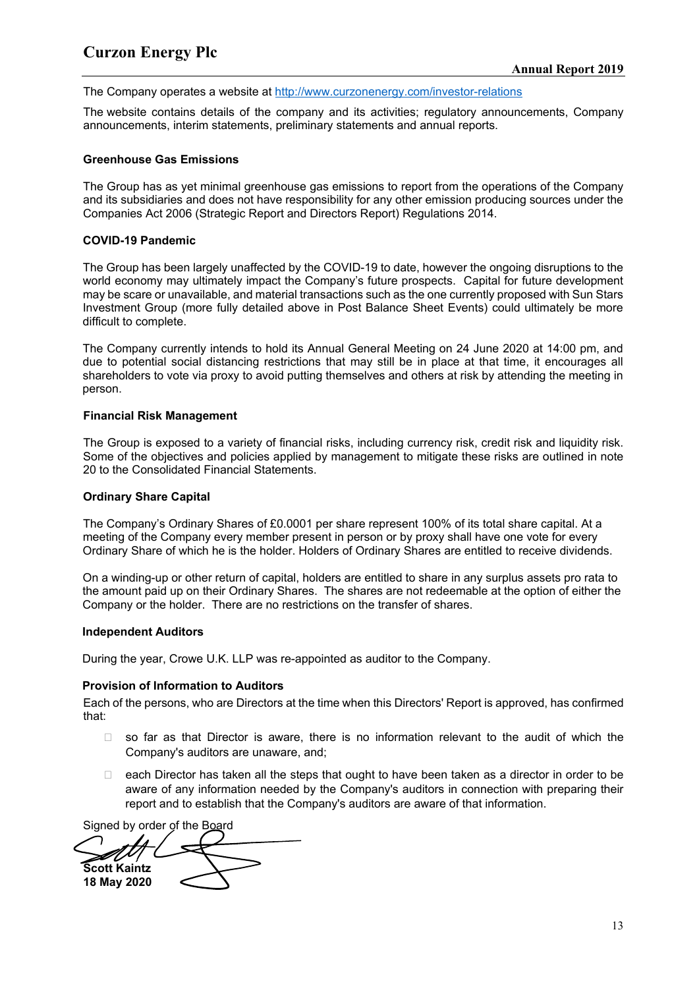The Company operates a website at <http://www.curzonenergy.com/investor-relations>

The website contains details of the company and its activities; regulatory announcements, Company announcements, interim statements, preliminary statements and annual reports.

#### **Greenhouse Gas Emissions**

The Group has as yet minimal greenhouse gas emissions to report from the operations of the Company and its subsidiaries and does not have responsibility for any other emission producing sources under the Companies Act 2006 (Strategic Report and Directors Report) Regulations 2014.

#### **COVID-19 Pandemic**

The Group has been largely unaffected by the COVID-19 to date, however the ongoing disruptions to the world economy may ultimately impact the Company's future prospects. Capital for future development may be scare or unavailable, and material transactions such as the one currently proposed with Sun Stars Investment Group (more fully detailed above in Post Balance Sheet Events) could ultimately be more difficult to complete.

The Company currently intends to hold its Annual General Meeting on 24 June 2020 at 14:00 pm, and due to potential social distancing restrictions that may still be in place at that time, it encourages all shareholders to vote via proxy to avoid putting themselves and others at risk by attending the meeting in person.

#### **Financial Risk Management**

The Group is exposed to a variety of financial risks, including currency risk, credit risk and liquidity risk. Some of the objectives and policies applied by management to mitigate these risks are outlined in note 20 to the Consolidated Financial Statements.

#### **Ordinary Share Capital**

The Company's Ordinary Shares of £0.0001 per share represent 100% of its total share capital. At a meeting of the Company every member present in person or by proxy shall have one vote for every Ordinary Share of which he is the holder. Holders of Ordinary Shares are entitled to receive dividends.

On a winding-up or other return of capital, holders are entitled to share in any surplus assets pro rata to the amount paid up on their Ordinary Shares. The shares are not redeemable at the option of either the Company or the holder. There are no restrictions on the transfer of shares.

#### **Independent Auditors**

During the year, Crowe U.K. LLP was re-appointed as auditor to the Company.

#### **Provision of Information to Auditors**

Each of the persons, who are Directors at the time when this Directors' Report is approved, has confirmed that:

- $\Box$  so far as that Director is aware, there is no information relevant to the audit of which the Company's auditors are unaware, and;
- $\Box$  each Director has taken all the steps that ought to have been taken as a director in order to be aware of any information needed by the Company's auditors in connection with preparing their report and to establish that the Company's auditors are aware of that information.

Signed by order of the Board **Scott Kaintz 18 May 2020**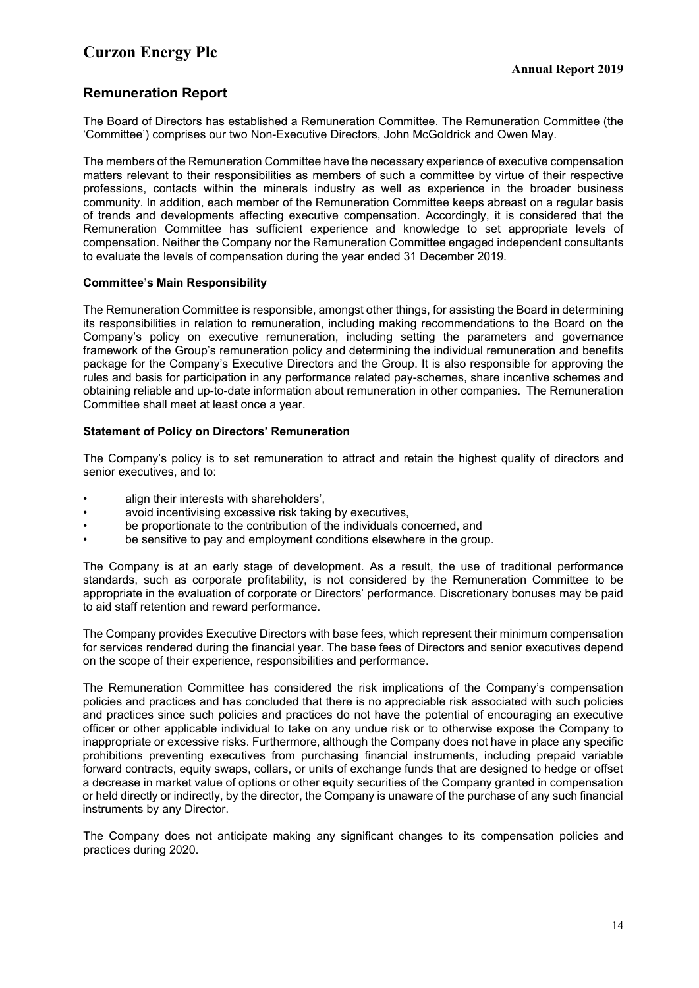## **Remuneration Report**

The Board of Directors has established a Remuneration Committee. The Remuneration Committee (the 'Committee') comprises our two Non-Executive Directors, John McGoldrick and Owen May.

The members of the Remuneration Committee have the necessary experience of executive compensation matters relevant to their responsibilities as members of such a committee by virtue of their respective professions, contacts within the minerals industry as well as experience in the broader business community. In addition, each member of the Remuneration Committee keeps abreast on a regular basis of trends and developments affecting executive compensation. Accordingly, it is considered that the Remuneration Committee has sufficient experience and knowledge to set appropriate levels of compensation. Neither the Company nor the Remuneration Committee engaged independent consultants to evaluate the levels of compensation during the year ended 31 December 2019.

#### **Committee's Main Responsibility**

The Remuneration Committee is responsible, amongst other things, for assisting the Board in determining its responsibilities in relation to remuneration, including making recommendations to the Board on the Company's policy on executive remuneration, including setting the parameters and governance framework of the Group's remuneration policy and determining the individual remuneration and benefits package for the Company's Executive Directors and the Group. It is also responsible for approving the rules and basis for participation in any performance related pay-schemes, share incentive schemes and obtaining reliable and up-to-date information about remuneration in other companies. The Remuneration Committee shall meet at least once a year.

#### **Statement of Policy on Directors' Remuneration**

The Company's policy is to set remuneration to attract and retain the highest quality of directors and senior executives, and to:

- align their interests with shareholders',
- avoid incentivising excessive risk taking by executives,
- be proportionate to the contribution of the individuals concerned, and
- be sensitive to pay and employment conditions elsewhere in the group.

The Company is at an early stage of development. As a result, the use of traditional performance standards, such as corporate profitability, is not considered by the Remuneration Committee to be appropriate in the evaluation of corporate or Directors' performance. Discretionary bonuses may be paid to aid staff retention and reward performance.

The Company provides Executive Directors with base fees, which represent their minimum compensation for services rendered during the financial year. The base fees of Directors and senior executives depend on the scope of their experience, responsibilities and performance.

The Remuneration Committee has considered the risk implications of the Company's compensation policies and practices and has concluded that there is no appreciable risk associated with such policies and practices since such policies and practices do not have the potential of encouraging an executive officer or other applicable individual to take on any undue risk or to otherwise expose the Company to inappropriate or excessive risks. Furthermore, although the Company does not have in place any specific prohibitions preventing executives from purchasing financial instruments, including prepaid variable forward contracts, equity swaps, collars, or units of exchange funds that are designed to hedge or offset a decrease in market value of options or other equity securities of the Company granted in compensation or held directly or indirectly, by the director, the Company is unaware of the purchase of any such financial instruments by any Director.

The Company does not anticipate making any significant changes to its compensation policies and practices during 2020.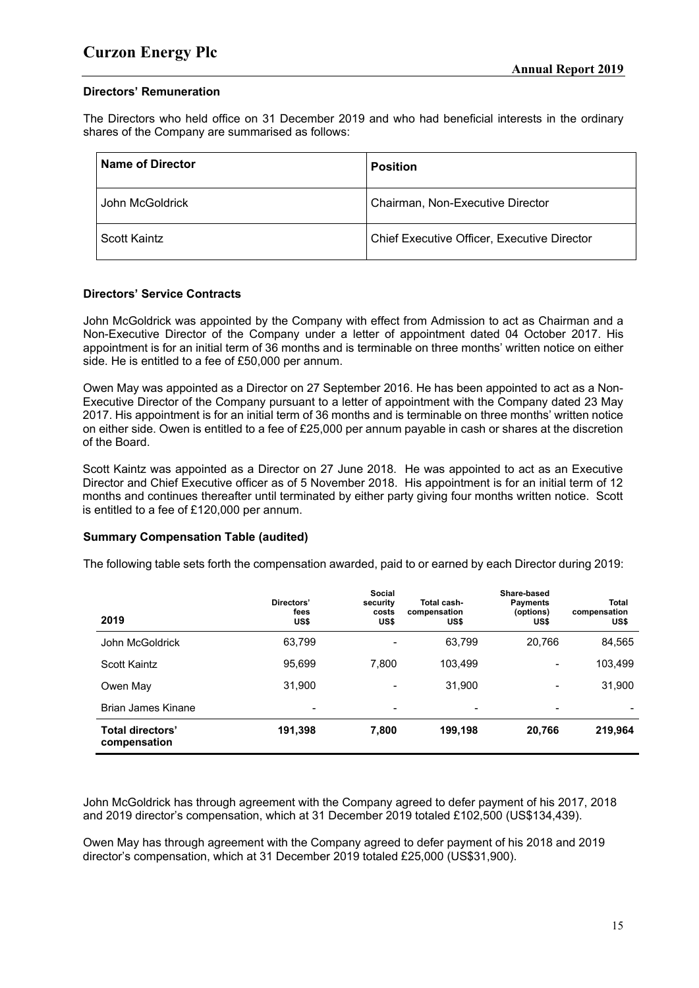#### **Directors' Remuneration**

The Directors who held office on 31 December 2019 and who had beneficial interests in the ordinary shares of the Company are summarised as follows:

| Name of Director  | <b>Position</b>                             |
|-------------------|---------------------------------------------|
| l John McGoldrick | Chairman, Non-Executive Director            |
| Scott Kaintz      | Chief Executive Officer, Executive Director |

#### **Directors' Service Contracts**

John McGoldrick was appointed by the Company with effect from Admission to act as Chairman and a Non-Executive Director of the Company under a letter of appointment dated 04 October 2017. His appointment is for an initial term of 36 months and is terminable on three months' written notice on either side. He is entitled to a fee of £50,000 per annum.

Owen May was appointed as a Director on 27 September 2016. He has been appointed to act as a Non-Executive Director of the Company pursuant to a letter of appointment with the Company dated 23 May 2017. His appointment is for an initial term of 36 months and is terminable on three months' written notice on either side. Owen is entitled to a fee of £25,000 per annum payable in cash or shares at the discretion of the Board.

Scott Kaintz was appointed as a Director on 27 June 2018. He was appointed to act as an Executive Director and Chief Executive officer as of 5 November 2018. His appointment is for an initial term of 12 months and continues thereafter until terminated by either party giving four months written notice. Scott is entitled to a fee of £120,000 per annum.

#### **Summary Compensation Table (audited)**

The following table sets forth the compensation awarded, paid to or earned by each Director during 2019:

| 2019                             | Directors'<br>fees<br>US\$ | Social<br>security<br>costs<br>US\$ | Total cash-<br>compensation<br>US\$ | Share-based<br><b>Payments</b><br>(options)<br>US\$ | <b>Total</b><br>compensation<br>US\$ |
|----------------------------------|----------------------------|-------------------------------------|-------------------------------------|-----------------------------------------------------|--------------------------------------|
| John McGoldrick                  | 63,799                     | $\overline{\phantom{a}}$            | 63,799                              | 20,766                                              | 84,565                               |
| <b>Scott Kaintz</b>              | 95,699                     | 7,800                               | 103,499                             |                                                     | 103,499                              |
| Owen May                         | 31,900                     | $\overline{\phantom{a}}$            | 31,900                              | $\overline{\phantom{0}}$                            | 31,900                               |
| <b>Brian James Kinane</b>        | $\,$                       | $\overline{\phantom{a}}$            | $\overline{\phantom{0}}$            | $\,$                                                |                                      |
| Total directors'<br>compensation | 191,398                    | 7,800                               | 199,198                             | 20,766                                              | 219,964                              |

John McGoldrick has through agreement with the Company agreed to defer payment of his 2017, 2018 and 2019 director's compensation, which at 31 December 2019 totaled £102,500 (US\$134,439).

Owen May has through agreement with the Company agreed to defer payment of his 2018 and 2019 director's compensation, which at 31 December 2019 totaled £25,000 (US\$31,900).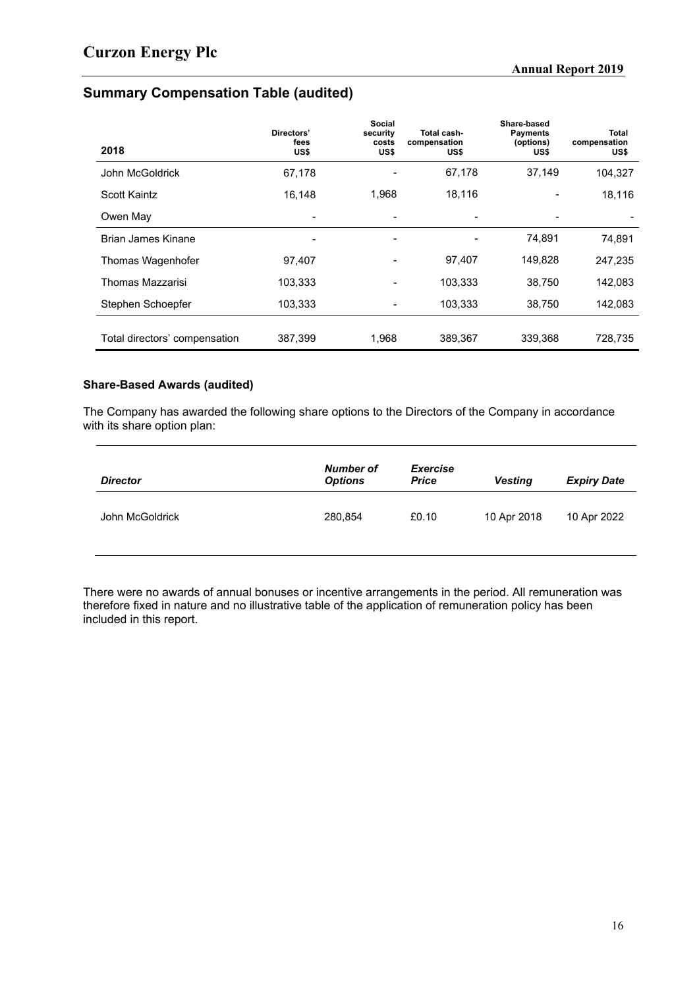## **Summary Compensation Table (audited)**

| 2018                          | Directors'<br>fees<br>US\$ | <b>Social</b><br>security<br>costs<br>US\$ | Total cash-<br>compensation<br>US\$ | Share-based<br><b>Payments</b><br>(options)<br>US\$ | Total<br>compensation<br>US\$ |
|-------------------------------|----------------------------|--------------------------------------------|-------------------------------------|-----------------------------------------------------|-------------------------------|
| John McGoldrick               | 67,178                     |                                            | 67,178                              | 37.149                                              | 104,327                       |
| <b>Scott Kaintz</b>           | 16,148                     | 1,968                                      | 18,116                              |                                                     | 18,116                        |
| Owen May                      |                            |                                            |                                     |                                                     |                               |
| <b>Brian James Kinane</b>     |                            |                                            |                                     | 74,891                                              | 74,891                        |
| Thomas Wagenhofer             | 97,407                     |                                            | 97,407                              | 149,828                                             | 247,235                       |
| Thomas Mazzarisi              | 103,333                    |                                            | 103,333                             | 38,750                                              | 142.083                       |
| Stephen Schoepfer             | 103,333                    |                                            | 103,333                             | 38,750                                              | 142,083                       |
|                               | 387,399                    | 1,968                                      | 389,367                             | 339,368                                             | 728,735                       |
| Total directors' compensation |                            |                                            |                                     |                                                     |                               |

#### **Share-Based Awards (audited)**

The Company has awarded the following share options to the Directors of the Company in accordance with its share option plan:

| <b>Director</b> | Number of<br><b>Options</b> | Exercise<br><b>Price</b> | <b>Vesting</b> | <b>Expiry Date</b> |
|-----------------|-----------------------------|--------------------------|----------------|--------------------|
| John McGoldrick | 280,854                     | £0.10                    | 10 Apr 2018    | 10 Apr 2022        |

There were no awards of annual bonuses or incentive arrangements in the period. All remuneration was therefore fixed in nature and no illustrative table of the application of remuneration policy has been included in this report.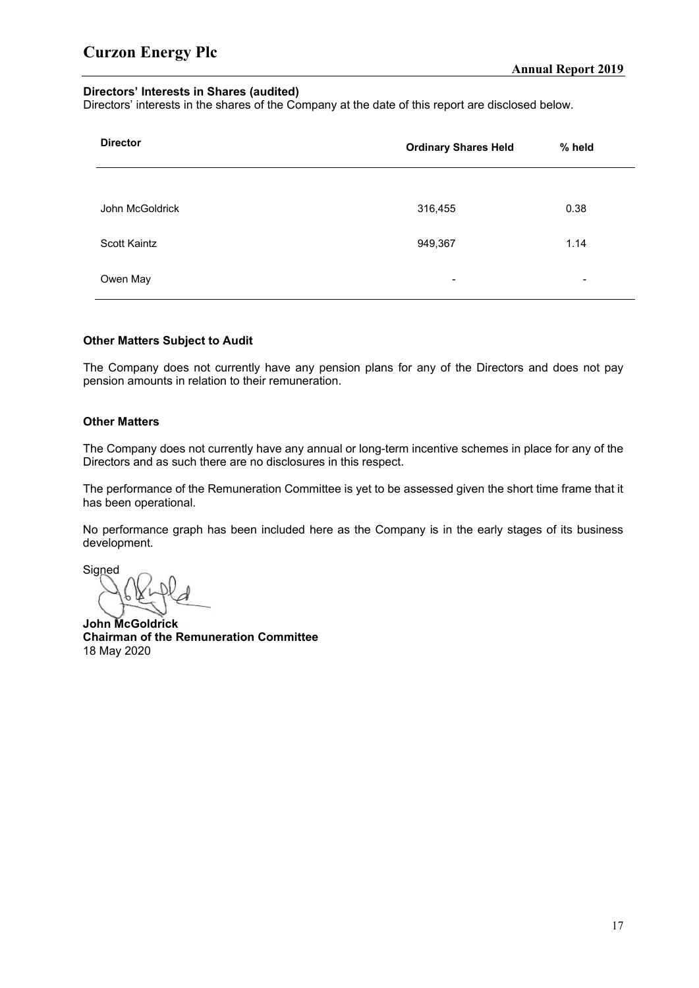#### **Directors' Interests in Shares (audited)**

Directors' interests in the shares of the Company at the date of this report are disclosed below.

| <b>Director</b>     | <b>Ordinary Shares Held</b> |                 |
|---------------------|-----------------------------|-----------------|
|                     |                             |                 |
| John McGoldrick     | 316,455                     | 0.38            |
| <b>Scott Kaintz</b> | 949,367                     | 1.14            |
| Owen May            | $\overline{\phantom{a}}$    | $\qquad \qquad$ |

#### **Other Matters Subject to Audit**

The Company does not currently have any pension plans for any of the Directors and does not pay pension amounts in relation to their remuneration.

#### **Other Matters**

The Company does not currently have any annual or long-term incentive schemes in place for any of the Directors and as such there are no disclosures in this respect.

The performance of the Remuneration Committee is yet to be assessed given the short time frame that it has been operational.

No performance graph has been included here as the Company is in the early stages of its business development.

Signed

**John McGoldrick Chairman of the Remuneration Committee** 18 May 2020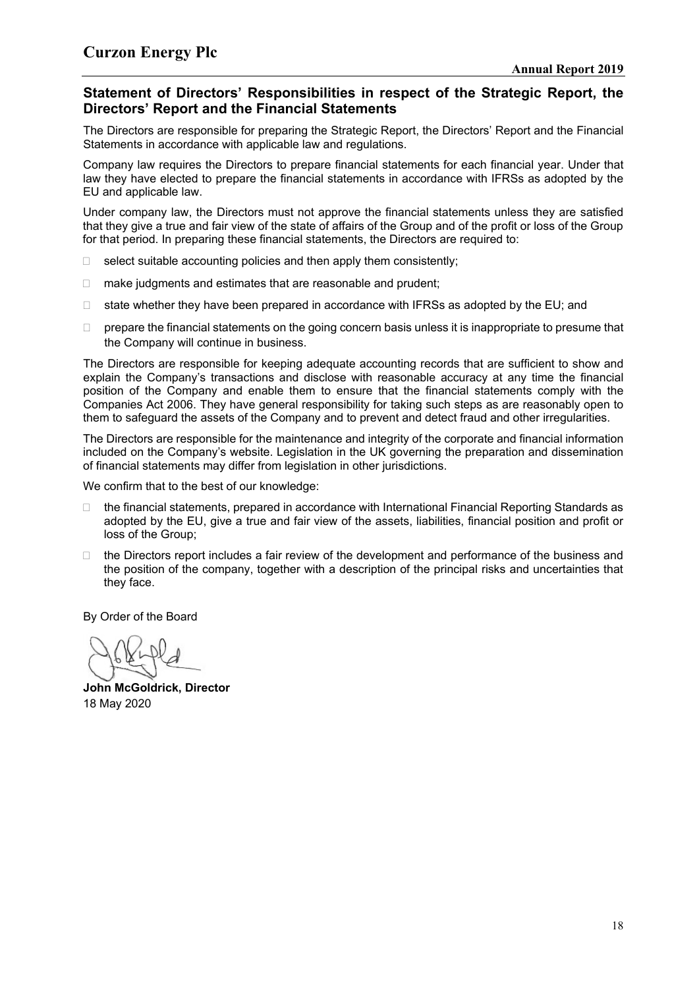## **Statement of Directors' Responsibilities in respect of the Strategic Report, the Directors' Report and the Financial Statements**

The Directors are responsible for preparing the Strategic Report, the Directors' Report and the Financial Statements in accordance with applicable law and regulations.

Company law requires the Directors to prepare financial statements for each financial year. Under that law they have elected to prepare the financial statements in accordance with IFRSs as adopted by the EU and applicable law.

Under company law, the Directors must not approve the financial statements unless they are satisfied that they give a true and fair view of the state of affairs of the Group and of the profit or loss of the Group for that period. In preparing these financial statements, the Directors are required to:

- $\Box$  select suitable accounting policies and then apply them consistently;
- $\Box$  make judgments and estimates that are reasonable and prudent:
- $\Box$  state whether they have been prepared in accordance with IFRSs as adopted by the EU; and
- $\Box$  prepare the financial statements on the going concern basis unless it is inappropriate to presume that the Company will continue in business.

The Directors are responsible for keeping adequate accounting records that are sufficient to show and explain the Company's transactions and disclose with reasonable accuracy at any time the financial position of the Company and enable them to ensure that the financial statements comply with the Companies Act 2006. They have general responsibility for taking such steps as are reasonably open to them to safeguard the assets of the Company and to prevent and detect fraud and other irregularities.

The Directors are responsible for the maintenance and integrity of the corporate and financial information included on the Company's website. Legislation in the UK governing the preparation and dissemination of financial statements may differ from legislation in other jurisdictions.

We confirm that to the best of our knowledge:

- the financial statements, prepared in accordance with International Financial Reporting Standards as adopted by the EU, give a true and fair view of the assets, liabilities, financial position and profit or loss of the Group;
- $\Box$  the Directors report includes a fair review of the development and performance of the business and the position of the company, together with a description of the principal risks and uncertainties that they face.

By Order of the Board

**John McGoldrick, Director** 18 May 2020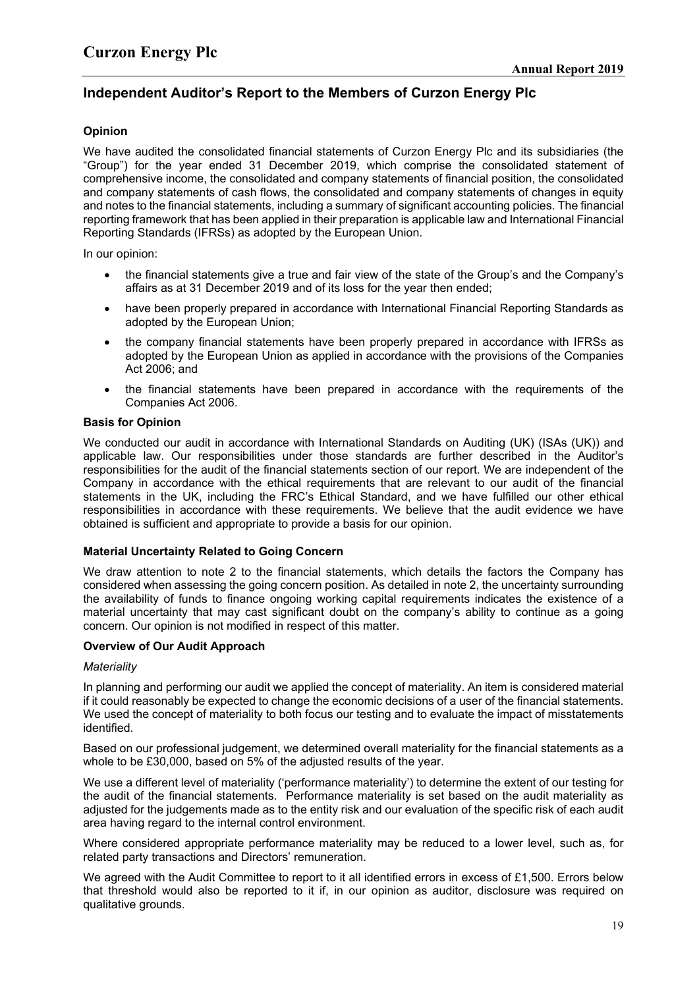## **Independent Auditor's Report to the Members of Curzon Energy Plc**

#### **Opinion**

We have audited the consolidated financial statements of Curzon Energy Plc and its subsidiaries (the "Group") for the year ended 31 December 2019, which comprise the consolidated statement of comprehensive income, the consolidated and company statements of financial position, the consolidated and company statements of cash flows, the consolidated and company statements of changes in equity and notes to the financial statements, including a summary of significant accounting policies. The financial reporting framework that has been applied in their preparation is applicable law and International Financial Reporting Standards (IFRSs) as adopted by the European Union.

In our opinion:

- the financial statements give a true and fair view of the state of the Group's and the Company's affairs as at 31 December 2019 and of its loss for the year then ended;
- have been properly prepared in accordance with International Financial Reporting Standards as adopted by the European Union;
- the company financial statements have been properly prepared in accordance with IFRSs as adopted by the European Union as applied in accordance with the provisions of the Companies Act 2006; and
- the financial statements have been prepared in accordance with the requirements of the Companies Act 2006.

#### **Basis for Opinion**

We conducted our audit in accordance with International Standards on Auditing (UK) (ISAs (UK)) and applicable law. Our responsibilities under those standards are further described in the Auditor's responsibilities for the audit of the financial statements section of our report. We are independent of the Company in accordance with the ethical requirements that are relevant to our audit of the financial statements in the UK, including the FRC's Ethical Standard, and we have fulfilled our other ethical responsibilities in accordance with these requirements. We believe that the audit evidence we have obtained is sufficient and appropriate to provide a basis for our opinion.

#### **Material Uncertainty Related to Going Concern**

We draw attention to note 2 to the financial statements, which details the factors the Company has considered when assessing the going concern position. As detailed in note 2, the uncertainty surrounding the availability of funds to finance ongoing working capital requirements indicates the existence of a material uncertainty that may cast significant doubt on the company's ability to continue as a going concern. Our opinion is not modified in respect of this matter.

#### **Overview of Our Audit Approach**

#### *Materiality*

In planning and performing our audit we applied the concept of materiality. An item is considered material if it could reasonably be expected to change the economic decisions of a user of the financial statements. We used the concept of materiality to both focus our testing and to evaluate the impact of misstatements identified.

Based on our professional judgement, we determined overall materiality for the financial statements as a whole to be £30,000, based on 5% of the adjusted results of the year.

We use a different level of materiality ('performance materiality') to determine the extent of our testing for the audit of the financial statements. Performance materiality is set based on the audit materiality as adjusted for the judgements made as to the entity risk and our evaluation of the specific risk of each audit area having regard to the internal control environment.

Where considered appropriate performance materiality may be reduced to a lower level, such as, for related party transactions and Directors' remuneration.

We agreed with the Audit Committee to report to it all identified errors in excess of £1,500. Errors below that threshold would also be reported to it if, in our opinion as auditor, disclosure was required on qualitative grounds.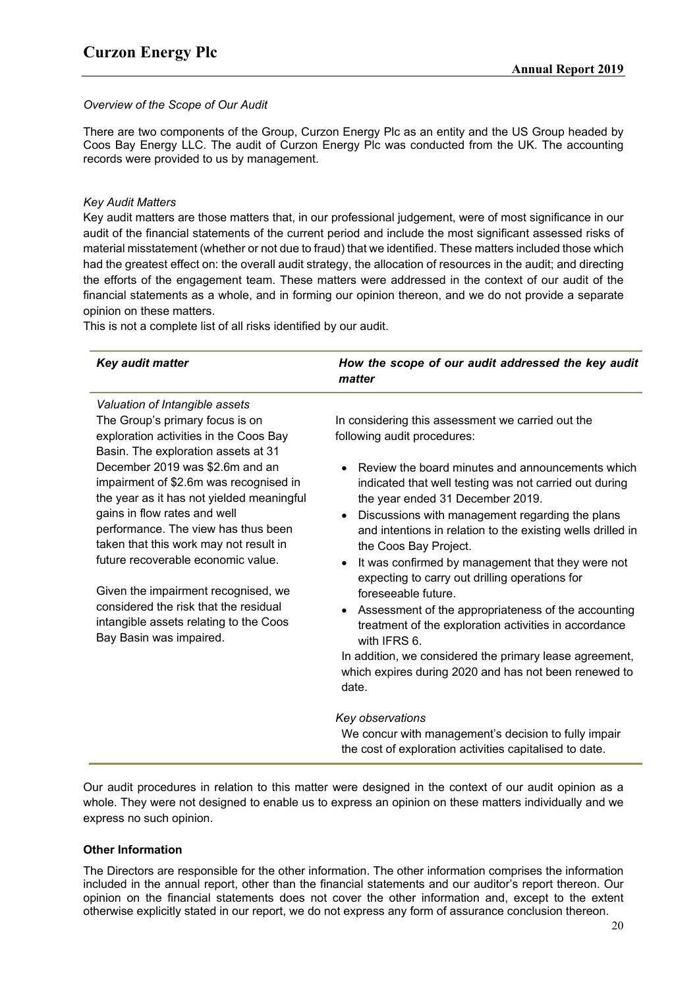#### *Overview of the Scope of Our Audit*

There are two components of the Group, Curzon Energy Plc as an entity and the US Group headed by Coos Bay Energy LLC. The audit of Curzon Energy Plc was conducted from the UK. The accounting records were provided to us by management.

#### *Key Audit Matters*

Key audit matters are those matters that, in our professional judgement, were of most significance in our audit of the financial statements of the current period and include the most significant assessed risks of material misstatement (whether or not due to fraud) that we identified. These matters included those which had the greatest effect on: the overall audit strategy, the allocation of resources in the audit; and directing the efforts of the engagement team. These matters were addressed in the context of our audit of the financial statements as a whole, and in forming our opinion thereon, and we do not provide a separate opinion on these matters.

This is not a complete list of all risks identified by our audit.

| <b>Key audit matter</b>                                                                                                | How the scope of our audit addressed the key audit<br>matter                                                                                   |
|------------------------------------------------------------------------------------------------------------------------|------------------------------------------------------------------------------------------------------------------------------------------------|
| Valuation of Intangible assets                                                                                         |                                                                                                                                                |
| The Group's primary focus is on<br>exploration activities in the Coos Bay                                              | In considering this assessment we carried out the<br>following audit procedures:                                                               |
| Basin. The exploration assets at 31                                                                                    |                                                                                                                                                |
| December 2019 was \$2.6m and an<br>impairment of \$2.6m was recognised in<br>the year as it has not yielded meaningful | Review the board minutes and announcements which<br>indicated that well testing was not carried out during<br>the year ended 31 December 2019. |
| gains in flow rates and well<br>performance. The view has thus been<br>taken that this work may not result in          | Discussions with management regarding the plans<br>and intentions in relation to the existing wells drilled in<br>the Coos Bay Project.        |
| future recoverable economic value.                                                                                     | It was confirmed by management that they were not<br>expecting to carry out drilling operations for                                            |
| Given the impairment recognised, we<br>considered the risk that the residual                                           | foreseeable future.                                                                                                                            |
| intangible assets relating to the Coos<br>Bay Basin was impaired.                                                      | Assessment of the appropriateness of the accounting<br>treatment of the exploration activities in accordance<br>with IFRS 6.                   |
|                                                                                                                        | In addition, we considered the primary lease agreement,<br>which expires during 2020 and has not been renewed to<br>date.                      |
|                                                                                                                        |                                                                                                                                                |
|                                                                                                                        | Key observations                                                                                                                               |
|                                                                                                                        | We concur with management's decision to fully impair                                                                                           |
|                                                                                                                        | the cost of exploration activities capitalised to date.                                                                                        |

Our audit procedures in relation to this matter were designed in the context of our audit opinion as a whole. They were not designed to enable us to express an opinion on these matters individually and we express no such opinion.

#### **Other Information**

The Directors are responsible for the other information. The other information comprises the information included in the annual report, other than the financial statements and our auditor's report thereon. Our opinion on the financial statements does not cover the other information and, except to the extent otherwise explicitly stated in our report, we do not express any form of assurance conclusion thereon.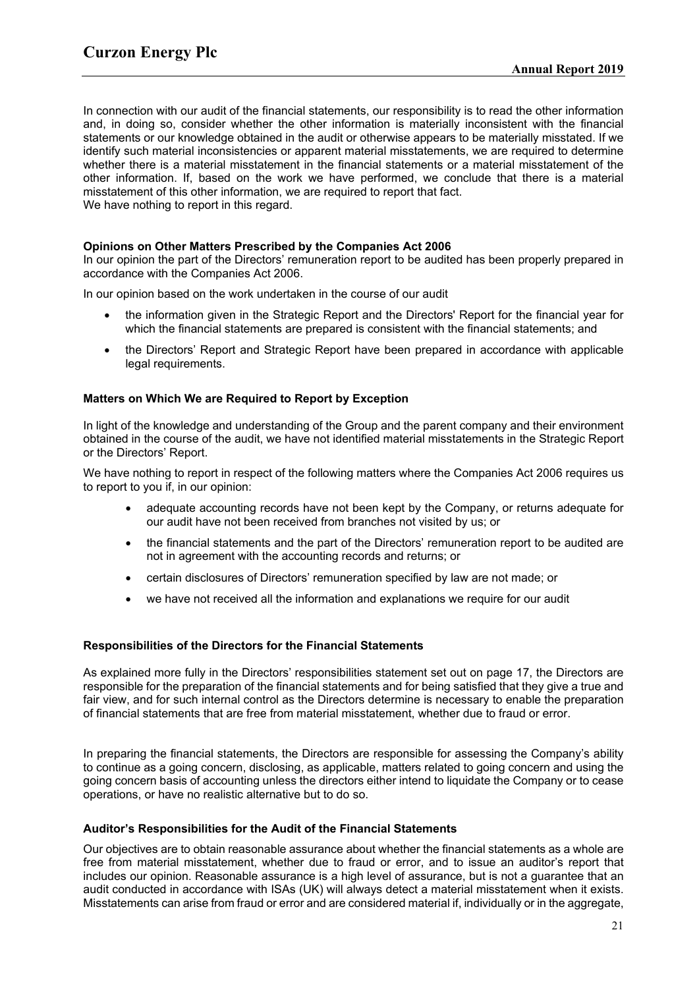In connection with our audit of the financial statements, our responsibility is to read the other information and, in doing so, consider whether the other information is materially inconsistent with the financial statements or our knowledge obtained in the audit or otherwise appears to be materially misstated. If we identify such material inconsistencies or apparent material misstatements, we are required to determine whether there is a material misstatement in the financial statements or a material misstatement of the other information. If, based on the work we have performed, we conclude that there is a material misstatement of this other information, we are required to report that fact. We have nothing to report in this regard.

#### **Opinions on Other Matters Prescribed by the Companies Act 2006**

In our opinion the part of the Directors' remuneration report to be audited has been properly prepared in accordance with the Companies Act 2006.

In our opinion based on the work undertaken in the course of our audit

- the information given in the Strategic Report and the Directors' Report for the financial year for which the financial statements are prepared is consistent with the financial statements; and
- the Directors' Report and Strategic Report have been prepared in accordance with applicable legal requirements.

#### **Matters on Which We are Required to Report by Exception**

In light of the knowledge and understanding of the Group and the parent company and their environment obtained in the course of the audit, we have not identified material misstatements in the Strategic Report or the Directors' Report.

We have nothing to report in respect of the following matters where the Companies Act 2006 requires us to report to you if, in our opinion:

- adequate accounting records have not been kept by the Company, or returns adequate for our audit have not been received from branches not visited by us; or
- the financial statements and the part of the Directors' remuneration report to be audited are not in agreement with the accounting records and returns; or
- certain disclosures of Directors' remuneration specified by law are not made; or
- we have not received all the information and explanations we require for our audit

#### **Responsibilities of the Directors for the Financial Statements**

As explained more fully in the Directors' responsibilities statement set out on page 17, the Directors are responsible for the preparation of the financial statements and for being satisfied that they give a true and fair view, and for such internal control as the Directors determine is necessary to enable the preparation of financial statements that are free from material misstatement, whether due to fraud or error.

In preparing the financial statements, the Directors are responsible for assessing the Company's ability to continue as a going concern, disclosing, as applicable, matters related to going concern and using the going concern basis of accounting unless the directors either intend to liquidate the Company or to cease operations, or have no realistic alternative but to do so.

#### **Auditor's Responsibilities for the Audit of the Financial Statements**

Our objectives are to obtain reasonable assurance about whether the financial statements as a whole are free from material misstatement, whether due to fraud or error, and to issue an auditor's report that includes our opinion. Reasonable assurance is a high level of assurance, but is not a guarantee that an audit conducted in accordance with ISAs (UK) will always detect a material misstatement when it exists. Misstatements can arise from fraud or error and are considered material if, individually or in the aggregate,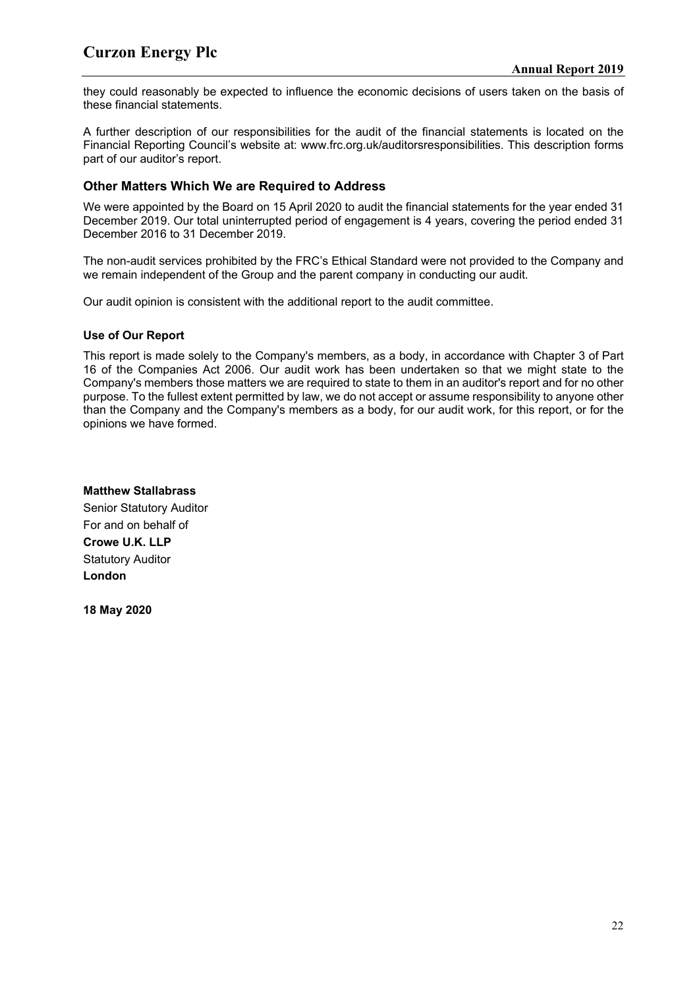they could reasonably be expected to influence the economic decisions of users taken on the basis of these financial statements.

A further description of our responsibilities for the audit of the financial statements is located on the Financial Reporting Council's website at: www.frc.org.uk/auditorsresponsibilities. This description forms part of our auditor's report.

#### **Other Matters Which We are Required to Address**

We were appointed by the Board on 15 April 2020 to audit the financial statements for the year ended 31 December 2019. Our total uninterrupted period of engagement is 4 years, covering the period ended 31 December 2016 to 31 December 2019.

The non-audit services prohibited by the FRC's Ethical Standard were not provided to the Company and we remain independent of the Group and the parent company in conducting our audit.

Our audit opinion is consistent with the additional report to the audit committee.

#### **Use of Our Report**

This report is made solely to the Company's members, as a body, in accordance with Chapter 3 of Part 16 of the Companies Act 2006. Our audit work has been undertaken so that we might state to the Company's members those matters we are required to state to them in an auditor's report and for no other purpose. To the fullest extent permitted by law, we do not accept or assume responsibility to anyone other than the Company and the Company's members as a body, for our audit work, for this report, or for the opinions we have formed.

**Matthew Stallabrass** Senior Statutory Auditor For and on behalf of **Crowe U.K. LLP** Statutory Auditor

**18 May 2020**

**London**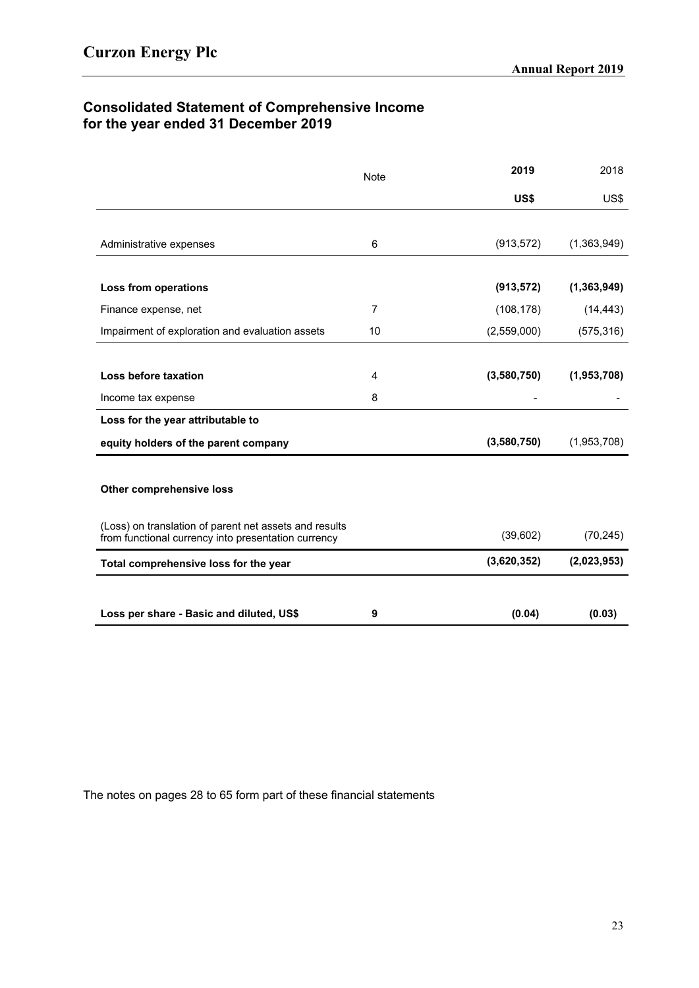## **Consolidated Statement of Comprehensive Income for the year ended 31 December 2019**

|                                                                                                               | <b>Note</b>    | 2019        | 2018          |
|---------------------------------------------------------------------------------------------------------------|----------------|-------------|---------------|
|                                                                                                               |                | US\$        | US\$          |
|                                                                                                               |                |             |               |
| Administrative expenses                                                                                       | 6              | (913, 572)  | (1,363,949)   |
|                                                                                                               |                |             |               |
| Loss from operations                                                                                          |                | (913, 572)  | (1, 363, 949) |
| Finance expense, net                                                                                          | $\overline{7}$ | (108, 178)  | (14, 443)     |
| Impairment of exploration and evaluation assets                                                               | 10             | (2,559,000) | (575, 316)    |
|                                                                                                               |                |             |               |
| Loss before taxation                                                                                          | 4              | (3,580,750) | (1,953,708)   |
| Income tax expense                                                                                            | 8              |             |               |
| Loss for the year attributable to                                                                             |                |             |               |
| equity holders of the parent company                                                                          |                | (3,580,750) | (1,953,708)   |
|                                                                                                               |                |             |               |
| Other comprehensive loss                                                                                      |                |             |               |
|                                                                                                               |                |             |               |
| (Loss) on translation of parent net assets and results<br>from functional currency into presentation currency |                | (39,602)    | (70, 245)     |
| Total comprehensive loss for the year                                                                         |                | (3,620,352) | (2,023,953)   |
|                                                                                                               |                |             |               |
| Loss per share - Basic and diluted, US\$                                                                      | 9              | (0.04)      | (0.03)        |

The notes on pages 28 to 65 form part of these financial statements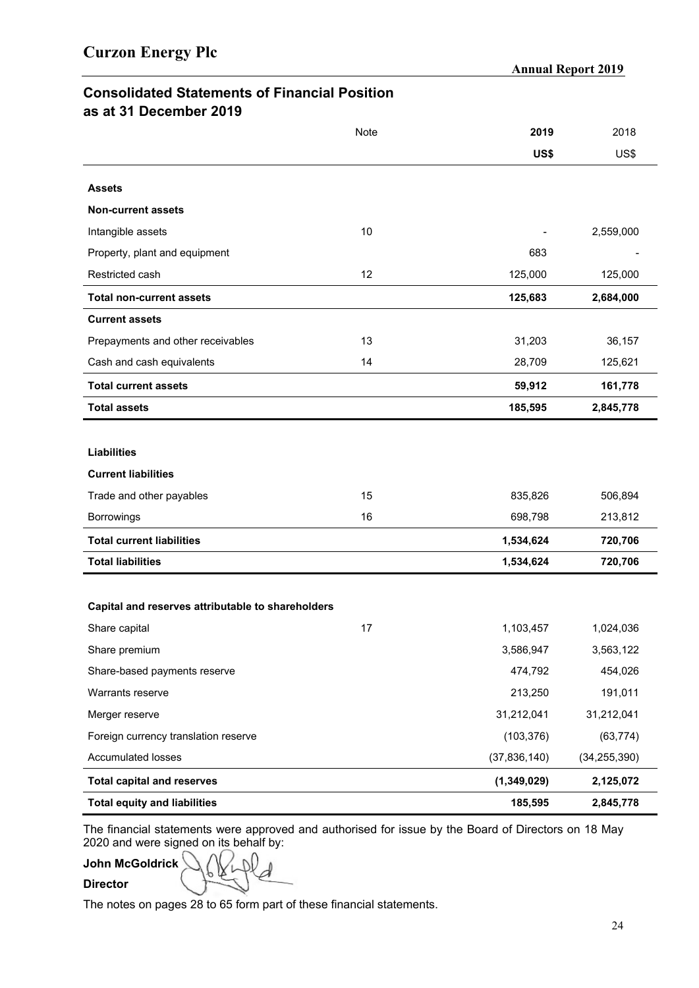## **Consolidated Statements of Financial Position as at 31 December 2019**

|                                                   | Note | 2019           | 2018           |
|---------------------------------------------------|------|----------------|----------------|
|                                                   |      | US\$           | US\$           |
| <b>Assets</b>                                     |      |                |                |
| <b>Non-current assets</b>                         |      |                |                |
| Intangible assets                                 | 10   |                | 2,559,000      |
| Property, plant and equipment                     |      | 683            |                |
| Restricted cash                                   | 12   | 125,000        | 125,000        |
| <b>Total non-current assets</b>                   |      | 125,683        | 2,684,000      |
| <b>Current assets</b>                             |      |                |                |
| Prepayments and other receivables                 | 13   | 31,203         | 36,157         |
| Cash and cash equivalents                         | 14   | 28,709         | 125,621        |
| <b>Total current assets</b>                       |      | 59,912         | 161,778        |
| <b>Total assets</b>                               |      | 185,595        | 2,845,778      |
|                                                   |      |                |                |
| <b>Liabilities</b>                                |      |                |                |
| <b>Current liabilities</b>                        |      |                |                |
| Trade and other payables                          | 15   | 835,826        | 506,894        |
| <b>Borrowings</b>                                 | 16   | 698,798        | 213,812        |
| <b>Total current liabilities</b>                  |      | 1,534,624      | 720,706        |
| <b>Total liabilities</b>                          |      | 1,534,624      | 720,706        |
|                                                   |      |                |                |
| Capital and reserves attributable to shareholders |      |                |                |
| Share capital                                     | 17   | 1,103,457      | 1,024,036      |
| Share premium                                     |      | 3,586,947      | 3,563,122      |
| Share-based payments reserve                      |      | 474,792        | 454,026        |
| Warrants reserve                                  |      | 213,250        | 191,011        |
| Merger reserve                                    |      | 31,212,041     | 31,212,041     |
| Foreign currency translation reserve              |      | (103, 376)     | (63, 774)      |
| <b>Accumulated losses</b>                         |      | (37, 836, 140) | (34, 255, 390) |
| <b>Total capital and reserves</b>                 |      | (1, 349, 029)  | 2,125,072      |
| <b>Total equity and liabilities</b>               |      | 185,595        | 2,845,778      |

The financial statements were approved and authorised for issue by the Board of Directors on 18 May 2020 and were signed on its behalf by:

## **John McGoldrick Director**

The notes on pages 28 to 65 form part of these financial statements.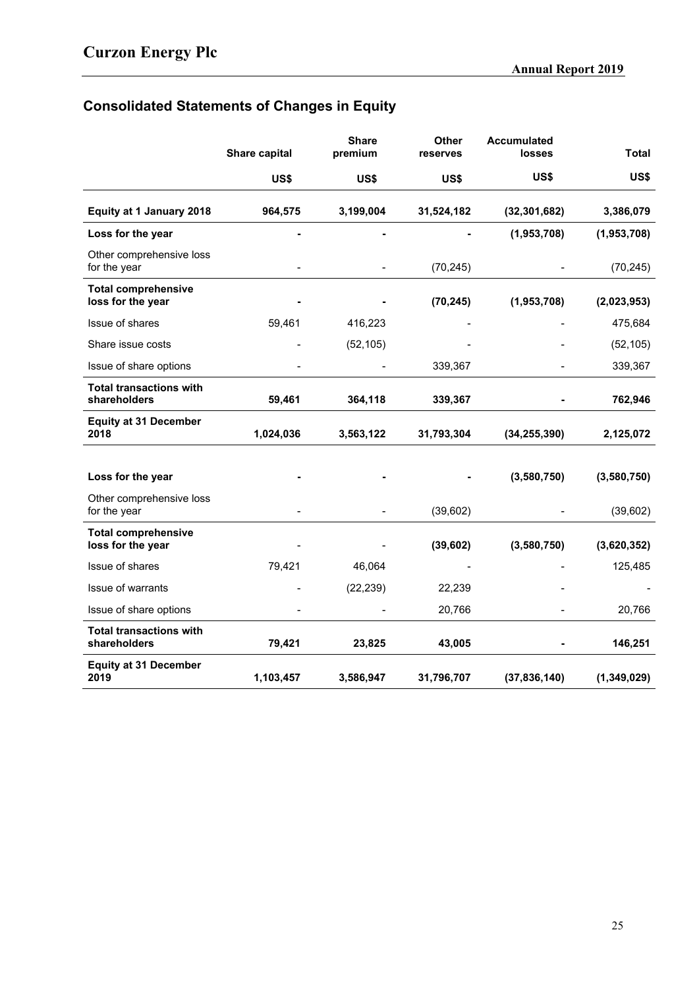| <b>Consolidated Statements of Changes in Equity</b> |  |  |
|-----------------------------------------------------|--|--|
|-----------------------------------------------------|--|--|

|                                                 | Share capital | <b>Share</b><br>premium | <b>Other</b><br>reserves | <b>Accumulated</b><br>losses | <b>Total</b>  |
|-------------------------------------------------|---------------|-------------------------|--------------------------|------------------------------|---------------|
|                                                 | US\$          | US\$                    | US\$                     | US\$                         | US\$          |
| <b>Equity at 1 January 2018</b>                 | 964,575       | 3,199,004               | 31,524,182               | (32, 301, 682)               | 3,386,079     |
| Loss for the year                               |               |                         |                          | (1,953,708)                  | (1,953,708)   |
| Other comprehensive loss<br>for the year        |               |                         | (70, 245)                |                              | (70, 245)     |
| <b>Total comprehensive</b><br>loss for the year |               |                         | (70, 245)                | (1,953,708)                  | (2,023,953)   |
| Issue of shares                                 | 59,461        | 416,223                 |                          |                              | 475,684       |
| Share issue costs                               |               | (52, 105)               |                          |                              | (52, 105)     |
| Issue of share options                          |               |                         | 339,367                  |                              | 339,367       |
| <b>Total transactions with</b><br>shareholders  | 59,461        | 364,118                 | 339,367                  |                              | 762,946       |
| <b>Equity at 31 December</b><br>2018            | 1,024,036     | 3,563,122               | 31,793,304               | (34, 255, 390)               | 2,125,072     |
|                                                 |               |                         |                          |                              |               |
| Loss for the year                               |               |                         |                          | (3,580,750)                  | (3,580,750)   |
| Other comprehensive loss<br>for the year        |               |                         | (39,602)                 |                              | (39,602)      |
| <b>Total comprehensive</b><br>loss for the year |               |                         | (39, 602)                | (3,580,750)                  | (3,620,352)   |
| Issue of shares                                 | 79,421        | 46,064                  |                          |                              | 125,485       |
| Issue of warrants                               |               | (22, 239)               | 22,239                   |                              |               |
| Issue of share options                          |               |                         | 20,766                   |                              | 20,766        |
| <b>Total transactions with</b><br>shareholders  | 79,421        | 23,825                  | 43,005                   |                              | 146,251       |
| <b>Equity at 31 December</b><br>2019            | 1,103,457     | 3,586,947               | 31,796,707               | (37,836,140)                 | (1, 349, 029) |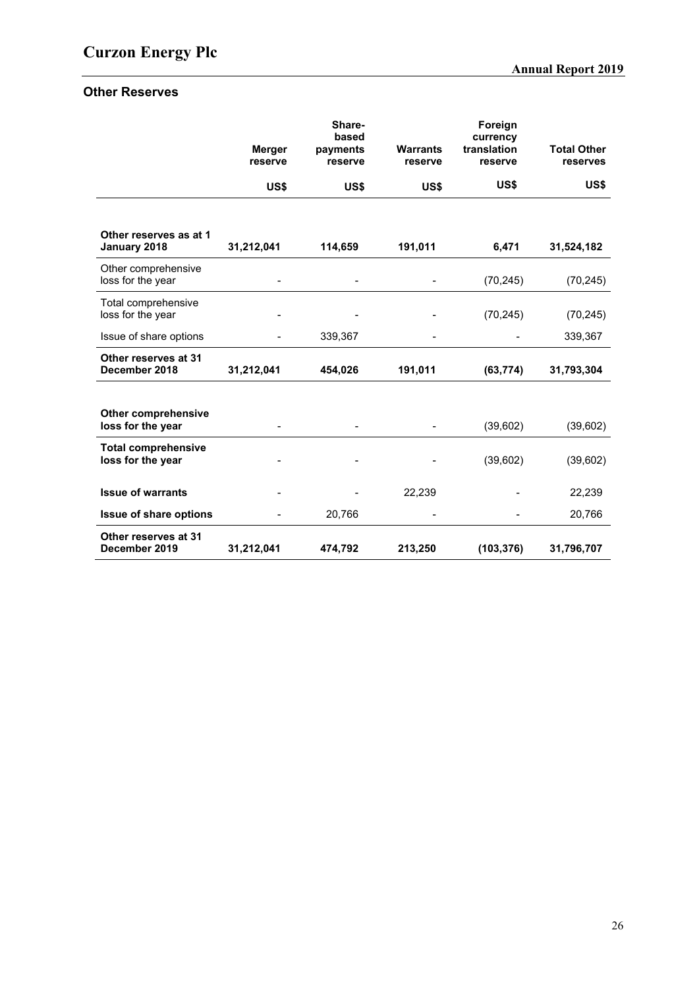## **Other Reserves**

|                                                 | <b>Merger</b><br>reserve | Share-<br>based<br>payments<br>reserve | <b>Warrants</b><br>reserve | Foreign<br>currency<br>translation<br>reserve | <b>Total Other</b><br>reserves |  |
|-------------------------------------------------|--------------------------|----------------------------------------|----------------------------|-----------------------------------------------|--------------------------------|--|
|                                                 | US\$                     | US\$                                   | US\$                       | US\$                                          | US\$                           |  |
| Other reserves as at 1<br>January 2018          | 31,212,041               | 114,659                                | 191,011                    | 6,471                                         | 31,524,182                     |  |
| Other comprehensive<br>loss for the year        |                          |                                        |                            | (70, 245)                                     | (70, 245)                      |  |
| Total comprehensive<br>loss for the year        |                          |                                        |                            | (70, 245)                                     | (70, 245)                      |  |
| Issue of share options                          |                          | 339,367                                |                            |                                               | 339,367                        |  |
| Other reserves at 31<br>December 2018           | 31,212,041               | 454,026                                | 191,011                    | (63, 774)                                     | 31,793,304                     |  |
| <b>Other comprehensive</b><br>loss for the year |                          |                                        |                            | (39,602)                                      | (39,602)                       |  |
| <b>Total comprehensive</b><br>loss for the year |                          |                                        |                            | (39,602)                                      | (39,602)                       |  |
| <b>Issue of warrants</b>                        |                          |                                        | 22,239                     |                                               | 22,239                         |  |
| <b>Issue of share options</b>                   |                          | 20,766                                 |                            |                                               | 20,766                         |  |
| Other reserves at 31<br>December 2019           | 31,212,041               | 474,792                                | 213,250                    | (103, 376)                                    | 31,796,707                     |  |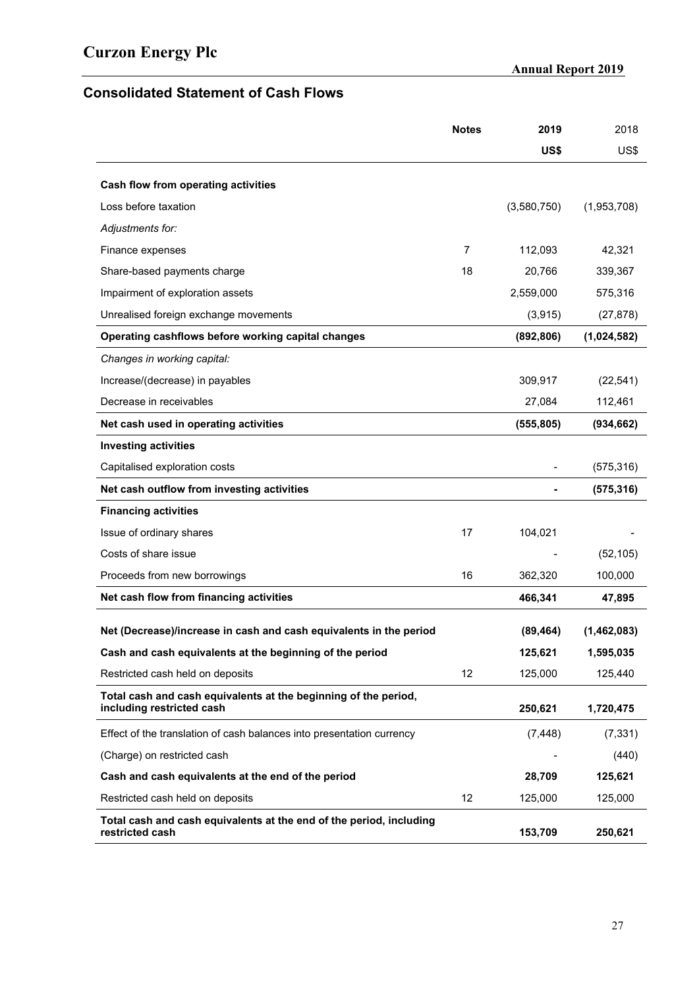## **Consolidated Statement of Cash Flows**

|                                                                                        | <b>Notes</b> | 2019        | 2018        |
|----------------------------------------------------------------------------------------|--------------|-------------|-------------|
|                                                                                        |              | US\$        | US\$        |
| Cash flow from operating activities                                                    |              |             |             |
| Loss before taxation                                                                   |              | (3,580,750) | (1,953,708) |
| Adjustments for:                                                                       |              |             |             |
| Finance expenses                                                                       | 7            | 112,093     | 42,321      |
| Share-based payments charge                                                            | 18           | 20,766      | 339,367     |
| Impairment of exploration assets                                                       |              | 2,559,000   | 575,316     |
| Unrealised foreign exchange movements                                                  |              | (3, 915)    | (27, 878)   |
| Operating cashflows before working capital changes                                     |              | (892, 806)  | (1,024,582) |
| Changes in working capital:                                                            |              |             |             |
| Increase/(decrease) in payables                                                        |              | 309,917     | (22, 541)   |
| Decrease in receivables                                                                |              | 27,084      | 112,461     |
| Net cash used in operating activities                                                  |              | (555, 805)  | (934, 662)  |
| <b>Investing activities</b>                                                            |              |             |             |
| Capitalised exploration costs                                                          |              |             | (575, 316)  |
| Net cash outflow from investing activities                                             |              |             | (575, 316)  |
| <b>Financing activities</b>                                                            |              |             |             |
| Issue of ordinary shares                                                               | 17           | 104,021     |             |
| Costs of share issue                                                                   |              |             | (52, 105)   |
| Proceeds from new borrowings                                                           | 16           | 362,320     | 100,000     |
| Net cash flow from financing activities                                                |              | 466,341     | 47,895      |
| Net (Decrease)/increase in cash and cash equivalents in the period                     |              | (89, 464)   | (1,462,083) |
| Cash and cash equivalents at the beginning of the period                               |              | 125,621     | 1,595,035   |
| Restricted cash held on deposits                                                       | 12           | 125,000     | 125,440     |
| Total cash and cash equivalents at the beginning of the period,                        |              |             |             |
| including restricted cash                                                              |              | 250,621     | 1,720,475   |
| Effect of the translation of cash balances into presentation currency                  |              | (7, 448)    | (7, 331)    |
| (Charge) on restricted cash                                                            |              |             | (440)       |
| Cash and cash equivalents at the end of the period                                     |              | 28,709      | 125,621     |
| Restricted cash held on deposits                                                       | 12           | 125,000     | 125,000     |
| Total cash and cash equivalents at the end of the period, including<br>restricted cash |              | 153,709     | 250,621     |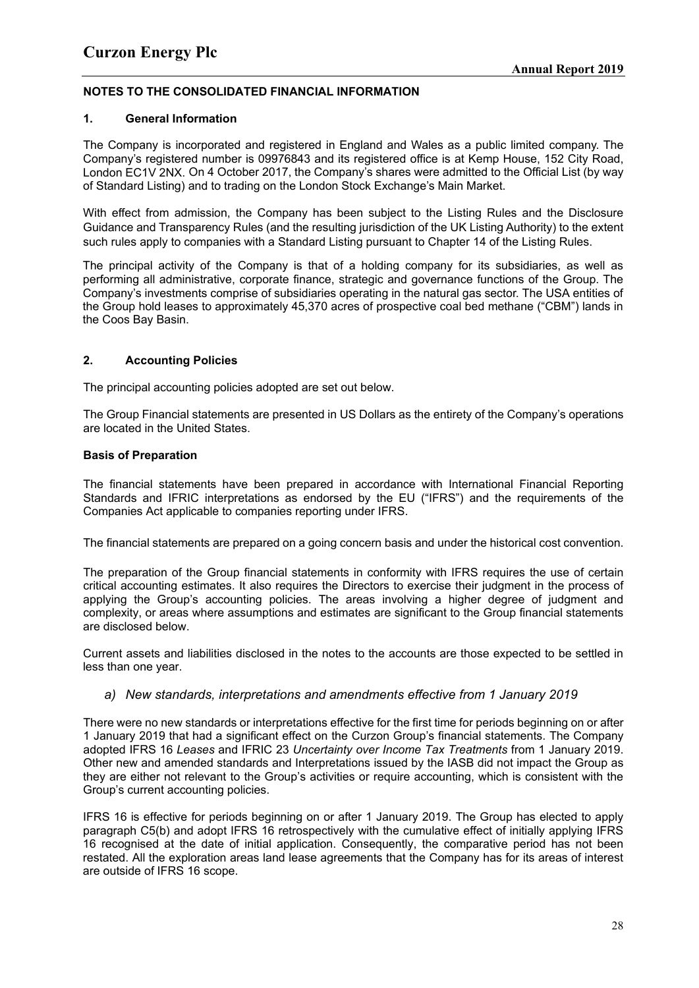#### **NOTES TO THE CONSOLIDATED FINANCIAL INFORMATION**

#### <span id="page-30-0"></span>**1. General Information**

The Company is incorporated and registered in England and Wales as a public limited company. The Company's registered number is 09976843 and its registered office is at Kemp House, 152 City Road, London EC1V 2NX. On 4 October 2017, the Company's shares were admitted to the Official List (by way of Standard Listing) and to trading on the London Stock Exchange's Main Market.

With effect from admission, the Company has been subject to the Listing Rules and the Disclosure Guidance and Transparency Rules (and the resulting jurisdiction of the UK Listing Authority) to the extent such rules apply to companies with a Standard Listing pursuant to Chapter 14 of the Listing Rules.

The principal activity of the Company is that of a holding company for its subsidiaries, as well as performing all administrative, corporate finance, strategic and governance functions of the Group. The Company's investments comprise of subsidiaries operating in the natural gas sector. The USA entities of the Group hold leases to approximately 45,370 acres of prospective coal bed methane ("CBM") lands in the Coos Bay Basin.

#### <span id="page-30-1"></span>**2. Accounting Policies**

The principal accounting policies adopted are set out below.

The Group Financial statements are presented in US Dollars as the entirety of the Company's operations are located in the United States.

#### **Basis of Preparation**

The financial statements have been prepared in accordance with International Financial Reporting Standards and IFRIC interpretations as endorsed by the EU ("IFRS") and the requirements of the Companies Act applicable to companies reporting under IFRS.

The financial statements are prepared on a going concern basis and under the historical cost convention.

The preparation of the Group financial statements in conformity with IFRS requires the use of certain critical accounting estimates. It also requires the Directors to exercise their judgment in the process of applying the Group's accounting policies. The areas involving a higher degree of judgment and complexity, or areas where assumptions and estimates are significant to the Group financial statements are disclosed below.

Current assets and liabilities disclosed in the notes to the accounts are those expected to be settled in less than one year.

#### *a) New standards, interpretations and amendments effective from 1 January 2019*

There were no new standards or interpretations effective for the first time for periods beginning on or after 1 January 2019 that had a significant effect on the Curzon Group's financial statements. The Company adopted IFRS 16 *Leases* and IFRIC 23 *Uncertainty over Income Tax Treatments* from 1 January 2019. Other new and amended standards and Interpretations issued by the IASB did not impact the Group as they are either not relevant to the Group's activities or require accounting, which is consistent with the Group's current accounting policies.

IFRS 16 is effective for periods beginning on or after 1 January 2019. The Group has elected to apply paragraph C5(b) and adopt IFRS 16 retrospectively with the cumulative effect of initially applying IFRS 16 recognised at the date of initial application. Consequently, the comparative period has not been restated. All the exploration areas land lease agreements that the Company has for its areas of interest are outside of IFRS 16 scope.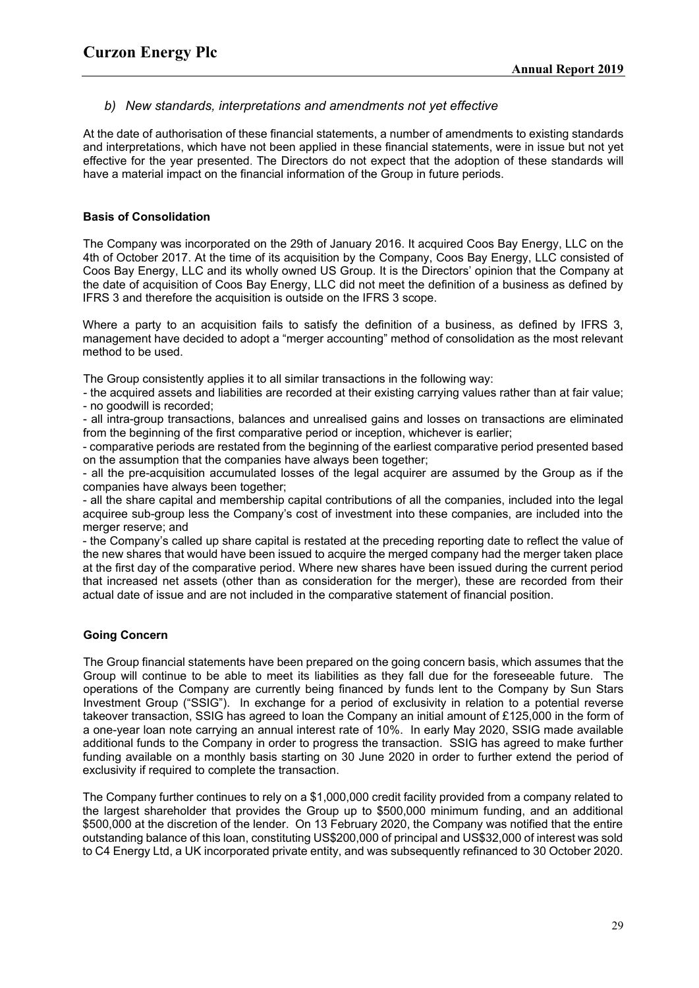## *b) New standards, interpretations and amendments not yet effective*

At the date of authorisation of these financial statements, a number of amendments to existing standards and interpretations, which have not been applied in these financial statements, were in issue but not yet effective for the year presented. The Directors do not expect that the adoption of these standards will have a material impact on the financial information of the Group in future periods.

#### **Basis of Consolidation**

The Company was incorporated on the 29th of January 2016. It acquired Coos Bay Energy, LLC on the 4th of October 2017. At the time of its acquisition by the Company, Coos Bay Energy, LLC consisted of Coos Bay Energy, LLC and its wholly owned US Group. It is the Directors' opinion that the Company at the date of acquisition of Coos Bay Energy, LLC did not meet the definition of a business as defined by IFRS 3 and therefore the acquisition is outside on the IFRS 3 scope.

Where a party to an acquisition fails to satisfy the definition of a business, as defined by IFRS 3, management have decided to adopt a "merger accounting" method of consolidation as the most relevant method to be used.

The Group consistently applies it to all similar transactions in the following way:

- the acquired assets and liabilities are recorded at their existing carrying values rather than at fair value; - no goodwill is recorded;

- all intra-group transactions, balances and unrealised gains and losses on transactions are eliminated from the beginning of the first comparative period or inception, whichever is earlier;

- comparative periods are restated from the beginning of the earliest comparative period presented based on the assumption that the companies have always been together;

- all the pre-acquisition accumulated losses of the legal acquirer are assumed by the Group as if the companies have always been together;

- all the share capital and membership capital contributions of all the companies, included into the legal acquiree sub-group less the Company's cost of investment into these companies, are included into the merger reserve; and

- the Company's called up share capital is restated at the preceding reporting date to reflect the value of the new shares that would have been issued to acquire the merged company had the merger taken place at the first day of the comparative period. Where new shares have been issued during the current period that increased net assets (other than as consideration for the merger), these are recorded from their actual date of issue and are not included in the comparative statement of financial position.

## **Going Concern**

The Group financial statements have been prepared on the going concern basis, which assumes that the Group will continue to be able to meet its liabilities as they fall due for the foreseeable future. The operations of the Company are currently being financed by funds lent to the Company by Sun Stars Investment Group ("SSIG"). In exchange for a period of exclusivity in relation to a potential reverse takeover transaction, SSIG has agreed to loan the Company an initial amount of £125,000 in the form of a one-year loan note carrying an annual interest rate of 10%. In early May 2020, SSIG made available additional funds to the Company in order to progress the transaction. SSIG has agreed to make further funding available on a monthly basis starting on 30 June 2020 in order to further extend the period of exclusivity if required to complete the transaction.

The Company further continues to rely on a \$1,000,000 credit facility provided from a company related to the largest shareholder that provides the Group up to \$500,000 minimum funding, and an additional \$500,000 at the discretion of the lender. On 13 February 2020, the Company was notified that the entire outstanding balance of this loan, constituting US\$200,000 of principal and US\$32,000 of interest was sold to C4 Energy Ltd, a UK incorporated private entity, and was subsequently refinanced to 30 October 2020.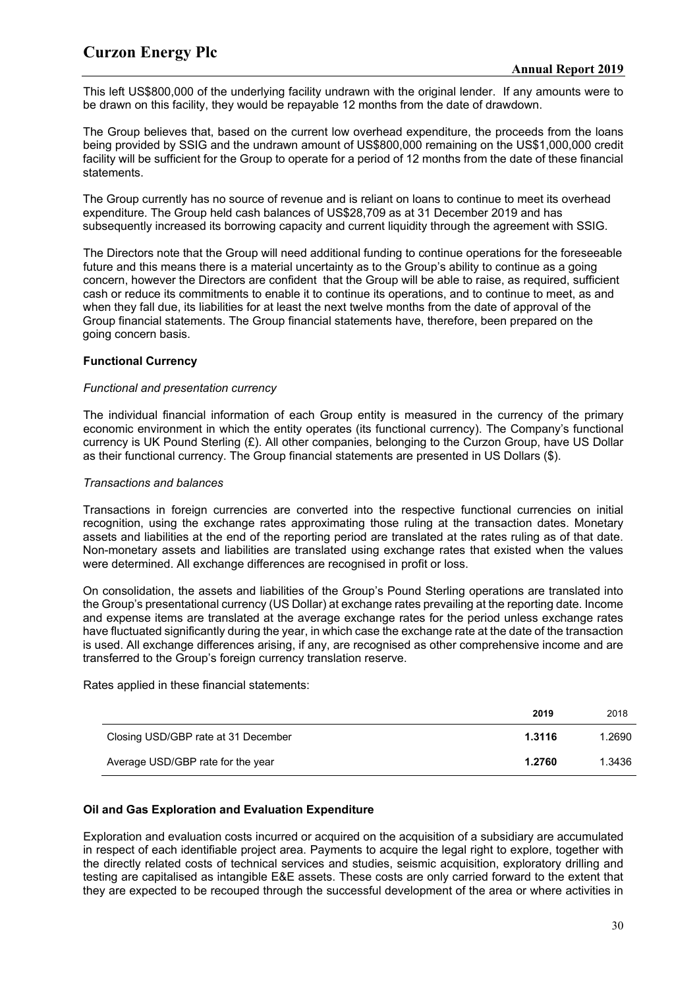## **Curzon Energy Plc** Annual Report 2019

This left US\$800,000 of the underlying facility undrawn with the original lender. If any amounts were to be drawn on this facility, they would be repayable 12 months from the date of drawdown.

The Group believes that, based on the current low overhead expenditure, the proceeds from the loans being provided by SSIG and the undrawn amount of US\$800,000 remaining on the US\$1,000,000 credit facility will be sufficient for the Group to operate for a period of 12 months from the date of these financial statements.

The Group currently has no source of revenue and is reliant on loans to continue to meet its overhead expenditure. The Group held cash balances of US\$28,709 as at 31 December 2019 and has subsequently increased its borrowing capacity and current liquidity through the agreement with SSIG.

The Directors note that the Group will need additional funding to continue operations for the foreseeable future and this means there is a material uncertainty as to the Group's ability to continue as a going concern, however the Directors are confident that the Group will be able to raise, as required, sufficient cash or reduce its commitments to enable it to continue its operations, and to continue to meet, as and when they fall due, its liabilities for at least the next twelve months from the date of approval of the Group financial statements. The Group financial statements have, therefore, been prepared on the going concern basis.

#### **Functional Currency**

#### *Functional and presentation currency*

The individual financial information of each Group entity is measured in the currency of the primary economic environment in which the entity operates (its functional currency). The Company's functional currency is UK Pound Sterling (£). All other companies, belonging to the Curzon Group, have US Dollar as their functional currency. The Group financial statements are presented in US Dollars (\$).

#### *Transactions and balances*

Transactions in foreign currencies are converted into the respective functional currencies on initial recognition, using the exchange rates approximating those ruling at the transaction dates. Monetary assets and liabilities at the end of the reporting period are translated at the rates ruling as of that date. Non-monetary assets and liabilities are translated using exchange rates that existed when the values were determined. All exchange differences are recognised in profit or loss.

On consolidation, the assets and liabilities of the Group's Pound Sterling operations are translated into the Group's presentational currency (US Dollar) at exchange rates prevailing at the reporting date. Income and expense items are translated at the average exchange rates for the period unless exchange rates have fluctuated significantly during the year, in which case the exchange rate at the date of the transaction is used. All exchange differences arising, if any, are recognised as other comprehensive income and are transferred to the Group's foreign currency translation reserve.

Rates applied in these financial statements:

|                                     | 2019   | 2018   |
|-------------------------------------|--------|--------|
| Closing USD/GBP rate at 31 December | 1.3116 | 1.2690 |
| Average USD/GBP rate for the year   | 1.2760 | 1.3436 |

#### **Oil and Gas Exploration and Evaluation Expenditure**

Exploration and evaluation costs incurred or acquired on the acquisition of a subsidiary are accumulated in respect of each identifiable project area. Payments to acquire the legal right to explore, together with the directly related costs of technical services and studies, seismic acquisition, exploratory drilling and testing are capitalised as intangible E&E assets. These costs are only carried forward to the extent that they are expected to be recouped through the successful development of the area or where activities in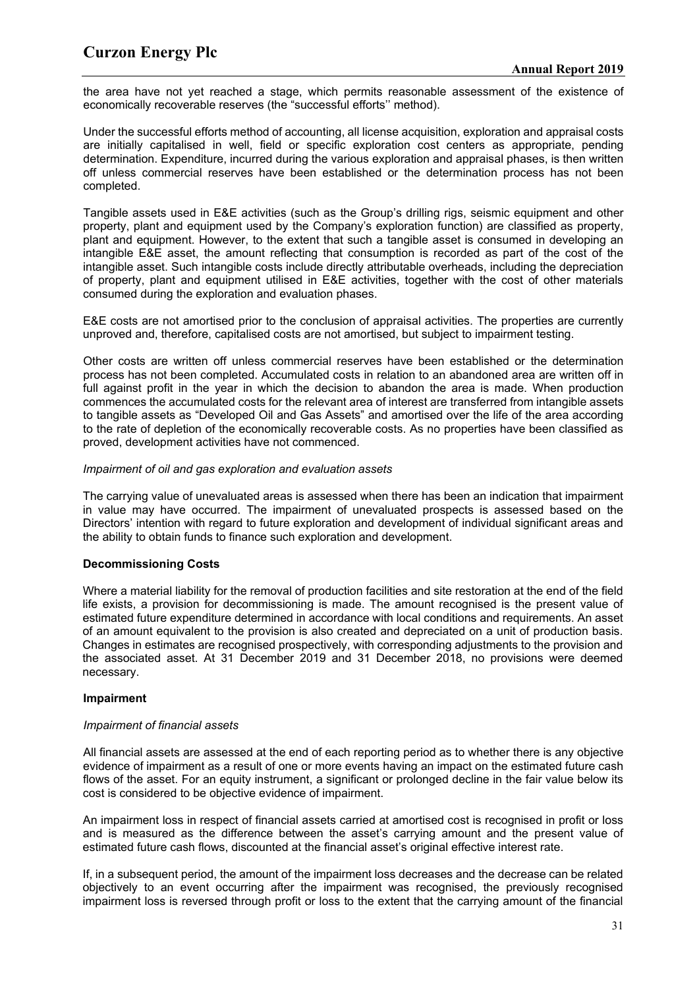## **Curzon Energy Plc** Annual Report 2019

the area have not yet reached a stage, which permits reasonable assessment of the existence of economically recoverable reserves (the "successful efforts'' method).

Under the successful efforts method of accounting, all license acquisition, exploration and appraisal costs are initially capitalised in well, field or specific exploration cost centers as appropriate, pending determination. Expenditure, incurred during the various exploration and appraisal phases, is then written off unless commercial reserves have been established or the determination process has not been completed.

Tangible assets used in E&E activities (such as the Group's drilling rigs, seismic equipment and other property, plant and equipment used by the Company's exploration function) are classified as property, plant and equipment. However, to the extent that such a tangible asset is consumed in developing an intangible E&E asset, the amount reflecting that consumption is recorded as part of the cost of the intangible asset. Such intangible costs include directly attributable overheads, including the depreciation of property, plant and equipment utilised in E&E activities, together with the cost of other materials consumed during the exploration and evaluation phases.

E&E costs are not amortised prior to the conclusion of appraisal activities. The properties are currently unproved and, therefore, capitalised costs are not amortised, but subject to impairment testing.

Other costs are written off unless commercial reserves have been established or the determination process has not been completed. Accumulated costs in relation to an abandoned area are written off in full against profit in the year in which the decision to abandon the area is made. When production commences the accumulated costs for the relevant area of interest are transferred from intangible assets to tangible assets as "Developed Oil and Gas Assets" and amortised over the life of the area according to the rate of depletion of the economically recoverable costs. As no properties have been classified as proved, development activities have not commenced.

#### *Impairment of oil and gas exploration and evaluation assets*

The carrying value of unevaluated areas is assessed when there has been an indication that impairment in value may have occurred. The impairment of unevaluated prospects is assessed based on the Directors' intention with regard to future exploration and development of individual significant areas and the ability to obtain funds to finance such exploration and development.

#### **Decommissioning Costs**

Where a material liability for the removal of production facilities and site restoration at the end of the field life exists, a provision for decommissioning is made. The amount recognised is the present value of estimated future expenditure determined in accordance with local conditions and requirements. An asset of an amount equivalent to the provision is also created and depreciated on a unit of production basis. Changes in estimates are recognised prospectively, with corresponding adjustments to the provision and the associated asset. At 31 December 2019 and 31 December 2018, no provisions were deemed necessary.

#### **Impairment**

#### *Impairment of financial assets*

All financial assets are assessed at the end of each reporting period as to whether there is any objective evidence of impairment as a result of one or more events having an impact on the estimated future cash flows of the asset. For an equity instrument, a significant or prolonged decline in the fair value below its cost is considered to be objective evidence of impairment.

An impairment loss in respect of financial assets carried at amortised cost is recognised in profit or loss and is measured as the difference between the asset's carrying amount and the present value of estimated future cash flows, discounted at the financial asset's original effective interest rate.

If, in a subsequent period, the amount of the impairment loss decreases and the decrease can be related objectively to an event occurring after the impairment was recognised, the previously recognised impairment loss is reversed through profit or loss to the extent that the carrying amount of the financial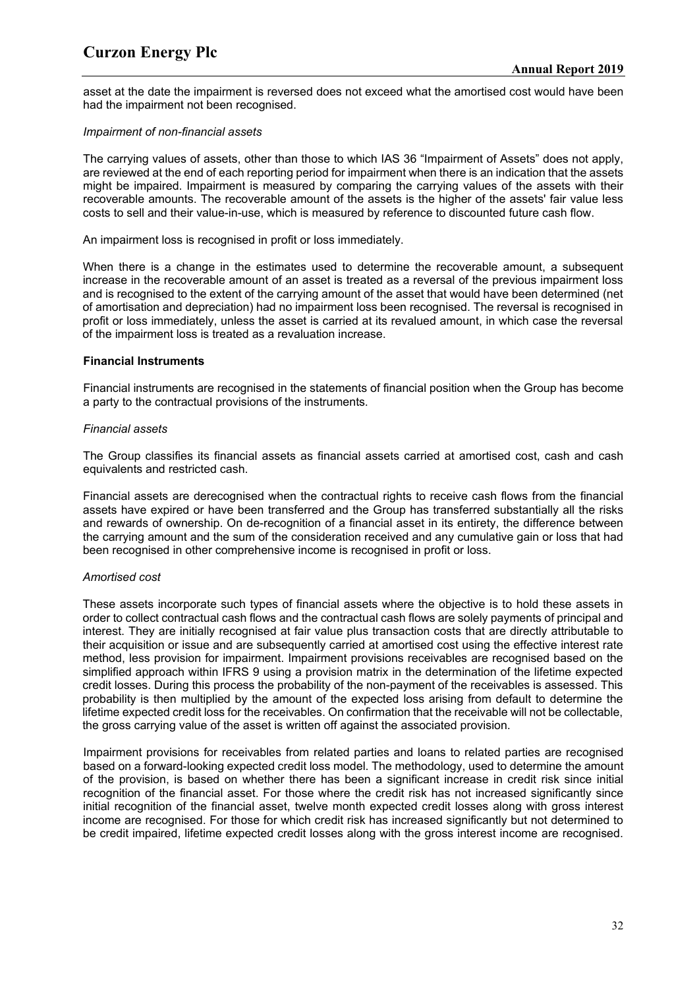asset at the date the impairment is reversed does not exceed what the amortised cost would have been had the impairment not been recognised.

#### *Impairment of non-financial assets*

The carrying values of assets, other than those to which IAS 36 "Impairment of Assets" does not apply, are reviewed at the end of each reporting period for impairment when there is an indication that the assets might be impaired. Impairment is measured by comparing the carrying values of the assets with their recoverable amounts. The recoverable amount of the assets is the higher of the assets' fair value less costs to sell and their value-in-use, which is measured by reference to discounted future cash flow.

An impairment loss is recognised in profit or loss immediately.

When there is a change in the estimates used to determine the recoverable amount, a subsequent increase in the recoverable amount of an asset is treated as a reversal of the previous impairment loss and is recognised to the extent of the carrying amount of the asset that would have been determined (net of amortisation and depreciation) had no impairment loss been recognised. The reversal is recognised in profit or loss immediately, unless the asset is carried at its revalued amount, in which case the reversal of the impairment loss is treated as a revaluation increase.

#### **Financial Instruments**

Financial instruments are recognised in the statements of financial position when the Group has become a party to the contractual provisions of the instruments.

#### *Financial assets*

The Group classifies its financial assets as financial assets carried at amortised cost, cash and cash equivalents and restricted cash.

Financial assets are derecognised when the contractual rights to receive cash flows from the financial assets have expired or have been transferred and the Group has transferred substantially all the risks and rewards of ownership. On de-recognition of a financial asset in its entirety, the difference between the carrying amount and the sum of the consideration received and any cumulative gain or loss that had been recognised in other comprehensive income is recognised in profit or loss.

#### *Amortised cost*

These assets incorporate such types of financial assets where the objective is to hold these assets in order to collect contractual cash flows and the contractual cash flows are solely payments of principal and interest. They are initially recognised at fair value plus transaction costs that are directly attributable to their acquisition or issue and are subsequently carried at amortised cost using the effective interest rate method, less provision for impairment. Impairment provisions receivables are recognised based on the simplified approach within IFRS 9 using a provision matrix in the determination of the lifetime expected credit losses. During this process the probability of the non-payment of the receivables is assessed. This probability is then multiplied by the amount of the expected loss arising from default to determine the lifetime expected credit loss for the receivables. On confirmation that the receivable will not be collectable, the gross carrying value of the asset is written off against the associated provision.

Impairment provisions for receivables from related parties and loans to related parties are recognised based on a forward-looking expected credit loss model. The methodology, used to determine the amount of the provision, is based on whether there has been a significant increase in credit risk since initial recognition of the financial asset. For those where the credit risk has not increased significantly since initial recognition of the financial asset, twelve month expected credit losses along with gross interest income are recognised. For those for which credit risk has increased significantly but not determined to be credit impaired, lifetime expected credit losses along with the gross interest income are recognised.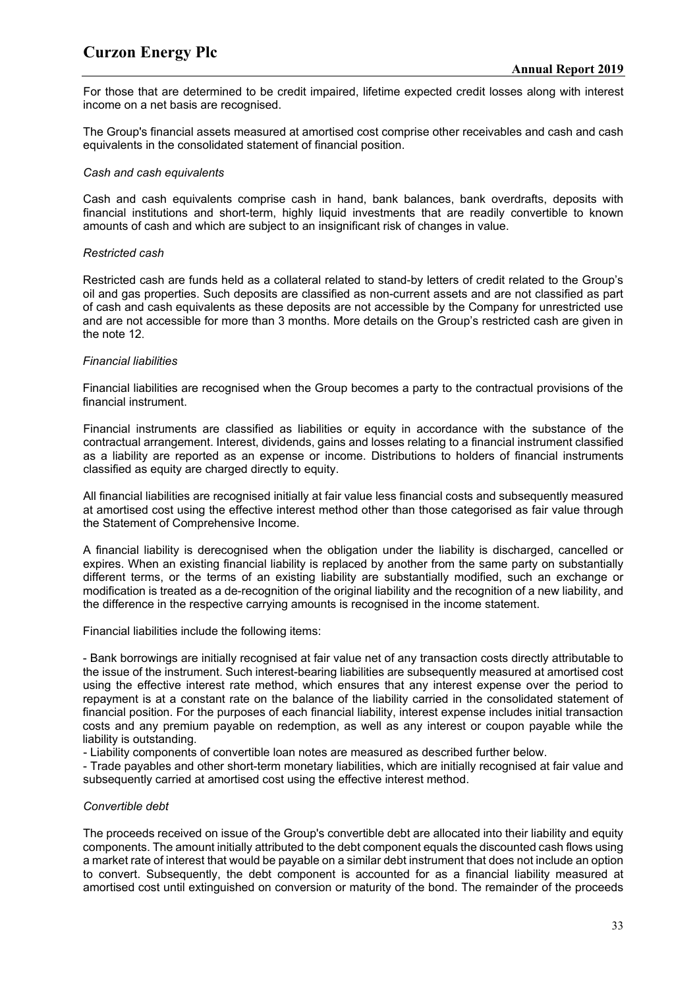For those that are determined to be credit impaired, lifetime expected credit losses along with interest income on a net basis are recognised.

The Group's financial assets measured at amortised cost comprise other receivables and cash and cash equivalents in the consolidated statement of financial position.

#### *Cash and cash equivalents*

Cash and cash equivalents comprise cash in hand, bank balances, bank overdrafts, deposits with financial institutions and short-term, highly liquid investments that are readily convertible to known amounts of cash and which are subject to an insignificant risk of changes in value.

#### *Restricted cash*

Restricted cash are funds held as a collateral related to stand-by letters of credit related to the Group's oil and gas properties. Such deposits are classified as non-current assets and are not classified as part of cash and cash equivalents as these deposits are not accessible by the Company for unrestricted use and are not accessible for more than 3 months. More details on the Group's restricted cash are given in the note [12](#page-45-0).

#### *Financial liabilities*

Financial liabilities are recognised when the Group becomes a party to the contractual provisions of the financial instrument.

Financial instruments are classified as liabilities or equity in accordance with the substance of the contractual arrangement. Interest, dividends, gains and losses relating to a financial instrument classified as a liability are reported as an expense or income. Distributions to holders of financial instruments classified as equity are charged directly to equity.

All financial liabilities are recognised initially at fair value less financial costs and subsequently measured at amortised cost using the effective interest method other than those categorised as fair value through the Statement of Comprehensive Income.

A financial liability is derecognised when the obligation under the liability is discharged, cancelled or expires. When an existing financial liability is replaced by another from the same party on substantially different terms, or the terms of an existing liability are substantially modified, such an exchange or modification is treated as a de-recognition of the original liability and the recognition of a new liability, and the difference in the respective carrying amounts is recognised in the income statement.

Financial liabilities include the following items:

- Bank borrowings are initially recognised at fair value net of any transaction costs directly attributable to the issue of the instrument. Such interest-bearing liabilities are subsequently measured at amortised cost using the effective interest rate method, which ensures that any interest expense over the period to repayment is at a constant rate on the balance of the liability carried in the consolidated statement of financial position. For the purposes of each financial liability, interest expense includes initial transaction costs and any premium payable on redemption, as well as any interest or coupon payable while the liability is outstanding.

- Liability components of convertible loan notes are measured as described further below.

- Trade payables and other short-term monetary liabilities, which are initially recognised at fair value and subsequently carried at amortised cost using the effective interest method.

#### *Convertible debt*

The proceeds received on issue of the Group's convertible debt are allocated into their liability and equity components. The amount initially attributed to the debt component equals the discounted cash flows using a market rate of interest that would be payable on a similar debt instrument that does not include an option to convert. Subsequently, the debt component is accounted for as a financial liability measured at amortised cost until extinguished on conversion or maturity of the bond. The remainder of the proceeds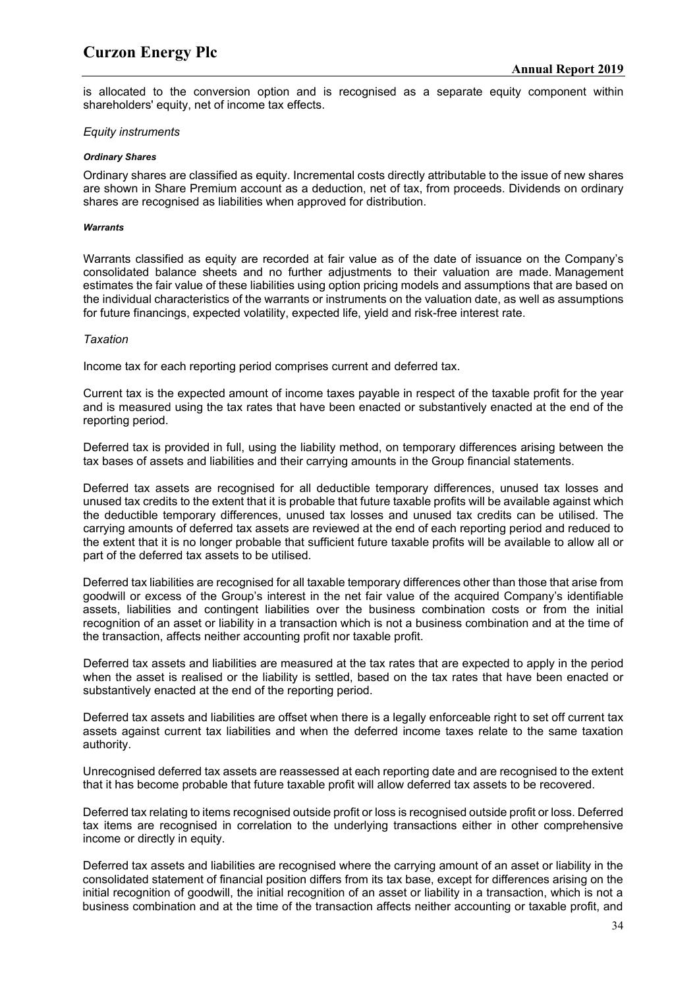is allocated to the conversion option and is recognised as a separate equity component within shareholders' equity, net of income tax effects.

#### *Equity instruments*

#### *Ordinary Shares*

Ordinary shares are classified as equity. Incremental costs directly attributable to the issue of new shares are shown in Share Premium account as a deduction, net of tax, from proceeds. Dividends on ordinary shares are recognised as liabilities when approved for distribution.

#### *Warrants*

Warrants classified as equity are recorded at fair value as of the date of issuance on the Company's consolidated balance sheets and no further adjustments to their valuation are made. Management estimates the fair value of these liabilities using option pricing models and assumptions that are based on the individual characteristics of the warrants or instruments on the valuation date, as well as assumptions for future financings, expected volatility, expected life, yield and risk-free interest rate.

#### *Taxation*

Income tax for each reporting period comprises current and deferred tax.

Current tax is the expected amount of income taxes payable in respect of the taxable profit for the year and is measured using the tax rates that have been enacted or substantively enacted at the end of the reporting period.

Deferred tax is provided in full, using the liability method, on temporary differences arising between the tax bases of assets and liabilities and their carrying amounts in the Group financial statements.

Deferred tax assets are recognised for all deductible temporary differences, unused tax losses and unused tax credits to the extent that it is probable that future taxable profits will be available against which the deductible temporary differences, unused tax losses and unused tax credits can be utilised. The carrying amounts of deferred tax assets are reviewed at the end of each reporting period and reduced to the extent that it is no longer probable that sufficient future taxable profits will be available to allow all or part of the deferred tax assets to be utilised.

Deferred tax liabilities are recognised for all taxable temporary differences other than those that arise from goodwill or excess of the Group's interest in the net fair value of the acquired Company's identifiable assets, liabilities and contingent liabilities over the business combination costs or from the initial recognition of an asset or liability in a transaction which is not a business combination and at the time of the transaction, affects neither accounting profit nor taxable profit.

Deferred tax assets and liabilities are measured at the tax rates that are expected to apply in the period when the asset is realised or the liability is settled, based on the tax rates that have been enacted or substantively enacted at the end of the reporting period.

Deferred tax assets and liabilities are offset when there is a legally enforceable right to set off current tax assets against current tax liabilities and when the deferred income taxes relate to the same taxation authority.

Unrecognised deferred tax assets are reassessed at each reporting date and are recognised to the extent that it has become probable that future taxable profit will allow deferred tax assets to be recovered.

Deferred tax relating to items recognised outside profit or loss is recognised outside profit or loss. Deferred tax items are recognised in correlation to the underlying transactions either in other comprehensive income or directly in equity.

Deferred tax assets and liabilities are recognised where the carrying amount of an asset or liability in the consolidated statement of financial position differs from its tax base, except for differences arising on the initial recognition of goodwill, the initial recognition of an asset or liability in a transaction, which is not a business combination and at the time of the transaction affects neither accounting or taxable profit, and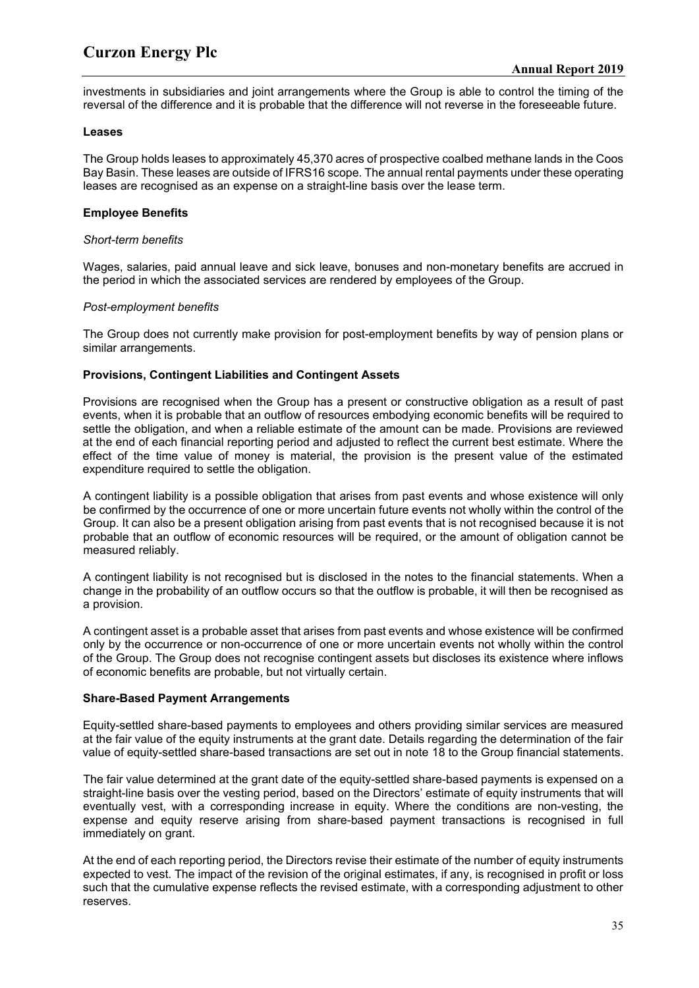investments in subsidiaries and joint arrangements where the Group is able to control the timing of the reversal of the difference and it is probable that the difference will not reverse in the foreseeable future.

#### **Leases**

The Group holds leases to approximately 45,370 acres of prospective coalbed methane lands in the Coos Bay Basin. These leases are outside of IFRS16 scope. The annual rental payments under these operating leases are recognised as an expense on a straight-line basis over the lease term.

#### **Employee Benefits**

#### *Short-term benefits*

Wages, salaries, paid annual leave and sick leave, bonuses and non-monetary benefits are accrued in the period in which the associated services are rendered by employees of the Group.

#### *Post-employment benefits*

The Group does not currently make provision for post-employment benefits by way of pension plans or similar arrangements.

#### **Provisions, Contingent Liabilities and Contingent Assets**

Provisions are recognised when the Group has a present or constructive obligation as a result of past events, when it is probable that an outflow of resources embodying economic benefits will be required to settle the obligation, and when a reliable estimate of the amount can be made. Provisions are reviewed at the end of each financial reporting period and adjusted to reflect the current best estimate. Where the effect of the time value of money is material, the provision is the present value of the estimated expenditure required to settle the obligation.

A contingent liability is a possible obligation that arises from past events and whose existence will only be confirmed by the occurrence of one or more uncertain future events not wholly within the control of the Group. It can also be a present obligation arising from past events that is not recognised because it is not probable that an outflow of economic resources will be required, or the amount of obligation cannot be measured reliably.

A contingent liability is not recognised but is disclosed in the notes to the financial statements. When a change in the probability of an outflow occurs so that the outflow is probable, it will then be recognised as a provision.

A contingent asset is a probable asset that arises from past events and whose existence will be confirmed only by the occurrence or non-occurrence of one or more uncertain events not wholly within the control of the Group. The Group does not recognise contingent assets but discloses its existence where inflows of economic benefits are probable, but not virtually certain.

#### **Share-Based Payment Arrangements**

Equity-settled share-based payments to employees and others providing similar services are measured at the fair value of the equity instruments at the grant date. Details regarding the determination of the fair value of equity-settled share-based transactions are set out in note [18](#page-50-0) to the Group financial statements.

The fair value determined at the grant date of the equity-settled share-based payments is expensed on a straight-line basis over the vesting period, based on the Directors' estimate of equity instruments that will eventually vest, with a corresponding increase in equity. Where the conditions are non-vesting, the expense and equity reserve arising from share-based payment transactions is recognised in full immediately on grant.

At the end of each reporting period, the Directors revise their estimate of the number of equity instruments expected to vest. The impact of the revision of the original estimates, if any, is recognised in profit or loss such that the cumulative expense reflects the revised estimate, with a corresponding adjustment to other reserves.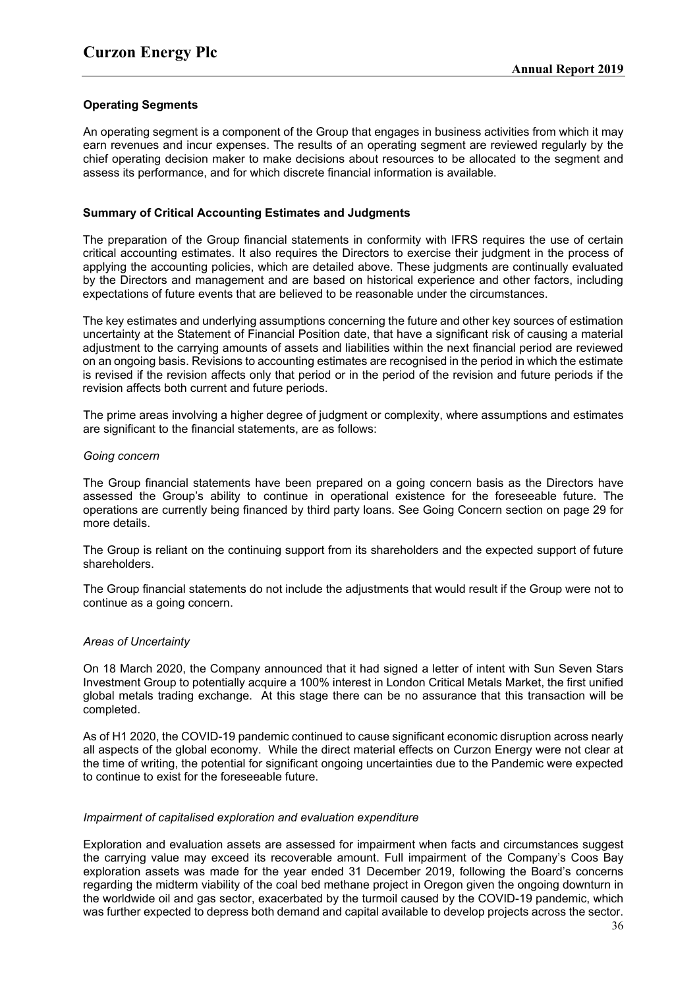#### **Operating Segments**

An operating segment is a component of the Group that engages in business activities from which it may earn revenues and incur expenses. The results of an operating segment are reviewed regularly by the chief operating decision maker to make decisions about resources to be allocated to the segment and assess its performance, and for which discrete financial information is available.

#### **Summary of Critical Accounting Estimates and Judgments**

The preparation of the Group financial statements in conformity with IFRS requires the use of certain critical accounting estimates. It also requires the Directors to exercise their judgment in the process of applying the accounting policies, which are detailed above. These judgments are continually evaluated by the Directors and management and are based on historical experience and other factors, including expectations of future events that are believed to be reasonable under the circumstances.

The key estimates and underlying assumptions concerning the future and other key sources of estimation uncertainty at the Statement of Financial Position date, that have a significant risk of causing a material adjustment to the carrying amounts of assets and liabilities within the next financial period are reviewed on an ongoing basis. Revisions to accounting estimates are recognised in the period in which the estimate is revised if the revision affects only that period or in the period of the revision and future periods if the revision affects both current and future periods.

The prime areas involving a higher degree of judgment or complexity, where assumptions and estimates are significant to the financial statements, are as follows:

#### *Going concern*

The Group financial statements have been prepared on a going concern basis as the Directors have assessed the Group's ability to continue in operational existence for the foreseeable future. The operations are currently being financed by third party loans. See Going Concern section on page 29 for more details.

The Group is reliant on the continuing support from its shareholders and the expected support of future shareholders.

The Group financial statements do not include the adjustments that would result if the Group were not to continue as a going concern.

#### *Areas of Uncertainty*

On 18 March 2020, the Company announced that it had signed a letter of intent with Sun Seven Stars Investment Group to potentially acquire a 100% interest in London Critical Metals Market, the first unified global metals trading exchange. At this stage there can be no assurance that this transaction will be completed.

As of H1 2020, the COVID-19 pandemic continued to cause significant economic disruption across nearly all aspects of the global economy. While the direct material effects on Curzon Energy were not clear at the time of writing, the potential for significant ongoing uncertainties due to the Pandemic were expected to continue to exist for the foreseeable future.

#### *Impairment of capitalised exploration and evaluation expenditure*

Exploration and evaluation assets are assessed for impairment when facts and circumstances suggest the carrying value may exceed its recoverable amount. Full impairment of the Company's Coos Bay exploration assets was made for the year ended 31 December 2019, following the Board's concerns regarding the midterm viability of the coal bed methane project in Oregon given the ongoing downturn in the worldwide oil and gas sector, exacerbated by the turmoil caused by the COVID-19 pandemic, which was further expected to depress both demand and capital available to develop projects across the sector.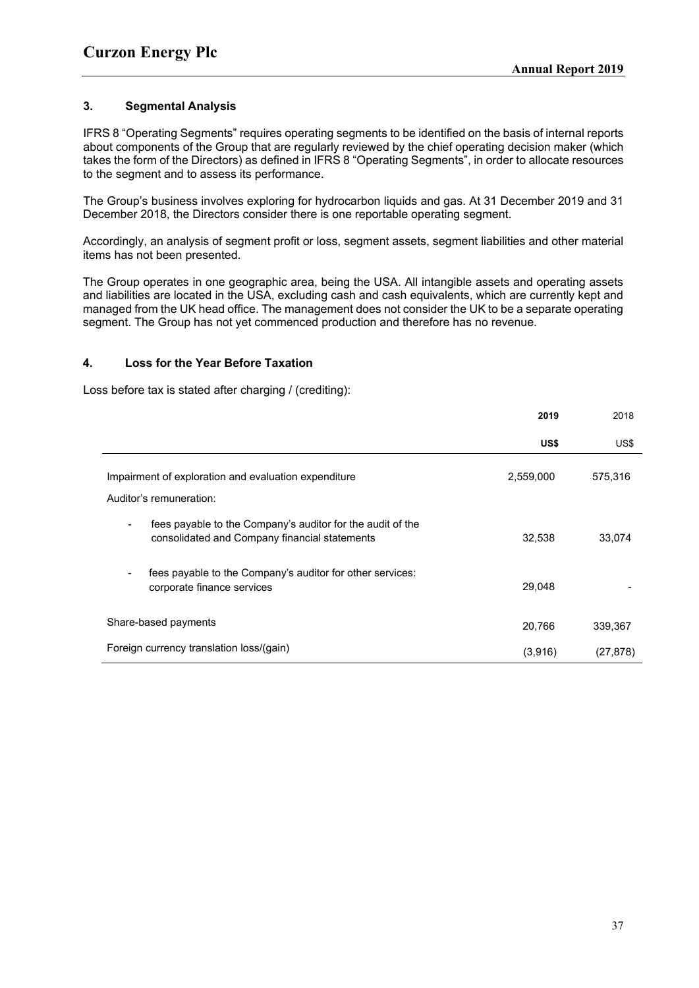#### **3. Segmental Analysis**

IFRS 8 "Operating Segments" requires operating segments to be identified on the basis of internal reports about components of the Group that are regularly reviewed by the chief operating decision maker (which takes the form of the Directors) as defined in IFRS 8 "Operating Segments", in order to allocate resources to the segment and to assess its performance.

The Group's business involves exploring for hydrocarbon liquids and gas. At 31 December 2019 and 31 December 2018, the Directors consider there is one reportable operating segment.

Accordingly, an analysis of segment profit or loss, segment assets, segment liabilities and other material items has not been presented.

The Group operates in one geographic area, being the USA. All intangible assets and operating assets and liabilities are located in the USA, excluding cash and cash equivalents, which are currently kept and managed from the UK head office. The management does not consider the UK to be a separate operating segment. The Group has not yet commenced production and therefore has no revenue.

#### <span id="page-39-0"></span>**4. Loss for the Year Before Taxation**

Loss before tax is stated after charging / (crediting):

|                                                                                                                                         | 2019      | 2018      |
|-----------------------------------------------------------------------------------------------------------------------------------------|-----------|-----------|
|                                                                                                                                         | US\$      | US\$      |
| Impairment of exploration and evaluation expenditure<br>Auditor's remuneration:                                                         | 2,559,000 | 575,316   |
| fees payable to the Company's auditor for the audit of the<br>$\overline{\phantom{a}}$<br>consolidated and Company financial statements | 32,538    | 33.074    |
| fees payable to the Company's auditor for other services:<br>$\overline{\phantom{a}}$<br>corporate finance services                     | 29,048    |           |
| Share-based payments                                                                                                                    | 20,766    | 339,367   |
| Foreign currency translation loss/(gain)                                                                                                | (3,916)   | (27, 878) |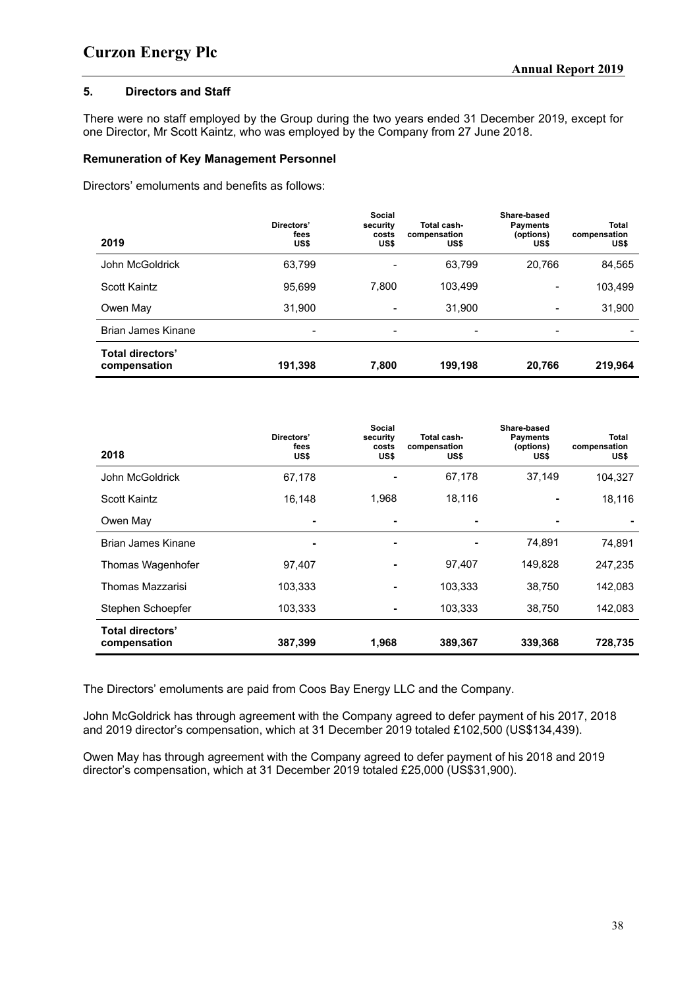#### <span id="page-40-0"></span>**5. Directors and Staff**

There were no staff employed by the Group during the two years ended 31 December 2019, except for one Director, Mr Scott Kaintz, who was employed by the Company from 27 June 2018.

#### **Remuneration of Key Management Personnel**

Directors' emoluments and benefits as follows:

| 2019                             | Directors'<br>fees<br>US\$ | <b>Social</b><br>security<br>costs<br>US\$ | Total cash-<br>compensation<br>US\$ | Share-based<br><b>Payments</b><br>(options)<br>US\$ | Total<br>compensation<br>US\$ |
|----------------------------------|----------------------------|--------------------------------------------|-------------------------------------|-----------------------------------------------------|-------------------------------|
| John McGoldrick                  | 63,799                     |                                            | 63,799                              | 20,766                                              | 84,565                        |
| <b>Scott Kaintz</b>              | 95,699                     | 7,800                                      | 103,499                             |                                                     | 103,499                       |
| Owen May                         | 31,900                     | $\overline{\phantom{a}}$                   | 31,900                              |                                                     | 31,900                        |
| Brian James Kinane               | $\,$                       | $\overline{\phantom{a}}$                   | -                                   | $\overline{\phantom{a}}$                            |                               |
| Total directors'<br>compensation | 191,398                    | 7,800                                      | 199,198                             | 20,766                                              | 219,964                       |

| 2018                             | Directors'<br>fees<br>US\$ | Social<br>security<br>costs<br>US\$ | Total cash-<br>compensation<br>US\$ | Share-based<br><b>Payments</b><br>(options)<br>US\$ | Total<br>compensation<br>US\$ |
|----------------------------------|----------------------------|-------------------------------------|-------------------------------------|-----------------------------------------------------|-------------------------------|
| John McGoldrick                  | 67,178                     |                                     | 67,178                              | 37,149                                              | 104,327                       |
| <b>Scott Kaintz</b>              | 16,148                     | 1,968                               | 18,116                              |                                                     | 18,116                        |
| Owen May                         |                            |                                     | ٠                                   |                                                     |                               |
| Brian James Kinane               |                            | ٠                                   | -                                   | 74,891                                              | 74,891                        |
| Thomas Wagenhofer                | 97,407                     | -                                   | 97,407                              | 149,828                                             | 247,235                       |
| Thomas Mazzarisi                 | 103,333                    |                                     | 103,333                             | 38,750                                              | 142,083                       |
| Stephen Schoepfer                | 103,333                    |                                     | 103,333                             | 38,750                                              | 142,083                       |
| Total directors'<br>compensation | 387,399                    | 1,968                               | 389,367                             | 339,368                                             | 728,735                       |

The Directors' emoluments are paid from Coos Bay Energy LLC and the Company.

John McGoldrick has through agreement with the Company agreed to defer payment of his 2017, 2018 and 2019 director's compensation, which at 31 December 2019 totaled £102,500 (US\$134,439).

Owen May has through agreement with the Company agreed to defer payment of his 2018 and 2019 director's compensation, which at 31 December 2019 totaled £25,000 (US\$31,900).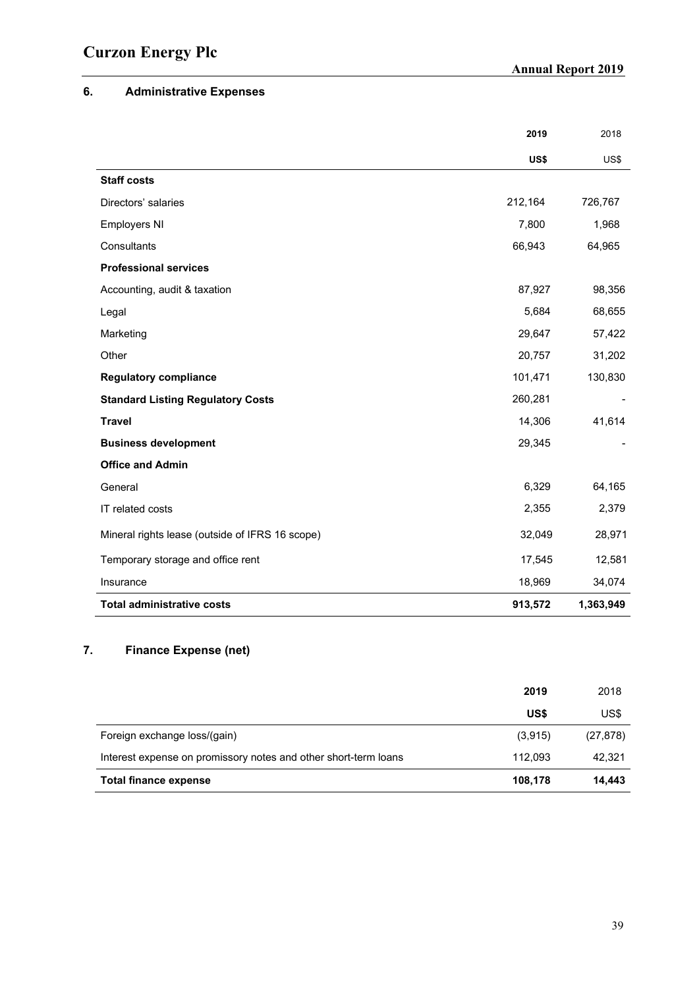## <span id="page-41-0"></span>**6. Administrative Expenses**

|                                                 | 2019    | 2018      |
|-------------------------------------------------|---------|-----------|
|                                                 | US\$    | US\$      |
| <b>Staff costs</b>                              |         |           |
| Directors' salaries                             | 212,164 | 726,767   |
| <b>Employers NI</b>                             | 7,800   | 1,968     |
| Consultants                                     | 66,943  | 64,965    |
| <b>Professional services</b>                    |         |           |
| Accounting, audit & taxation                    | 87,927  | 98,356    |
| Legal                                           | 5,684   | 68,655    |
| Marketing                                       | 29,647  | 57,422    |
| Other                                           | 20,757  | 31,202    |
| <b>Regulatory compliance</b>                    | 101,471 | 130,830   |
| <b>Standard Listing Regulatory Costs</b>        | 260,281 |           |
| <b>Travel</b>                                   | 14,306  | 41,614    |
| <b>Business development</b>                     | 29,345  |           |
| <b>Office and Admin</b>                         |         |           |
| General                                         | 6,329   | 64,165    |
| IT related costs                                | 2,355   | 2,379     |
| Mineral rights lease (outside of IFRS 16 scope) | 32,049  | 28,971    |
| Temporary storage and office rent               | 17,545  | 12,581    |
| Insurance                                       | 18,969  | 34,074    |
| <b>Total administrative costs</b>               | 913,572 | 1,363,949 |

## <span id="page-41-1"></span>**7. Finance Expense (net)**

|                                                                 | 2019    | 2018      |
|-----------------------------------------------------------------|---------|-----------|
|                                                                 | US\$    | US\$      |
| Foreign exchange loss/(gain)                                    | (3,915) | (27, 878) |
| Interest expense on promissory notes and other short-term loans | 112.093 | 42,321    |
| Total finance expense                                           | 108,178 | 14,443    |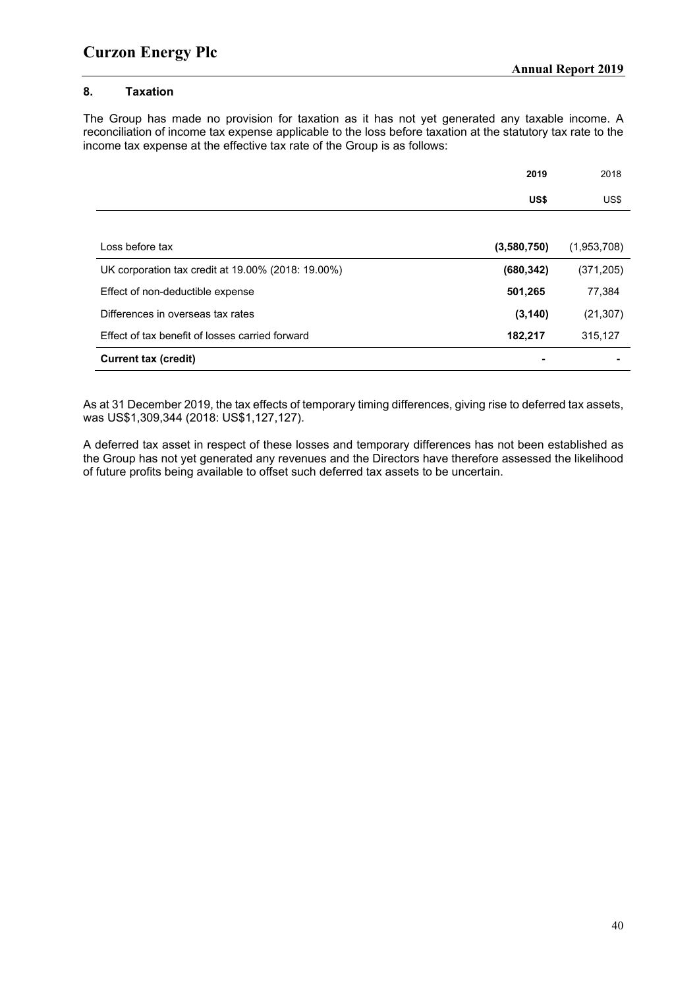#### <span id="page-42-0"></span>**8. Taxation**

The Group has made no provision for taxation as it has not yet generated any taxable income. A reconciliation of income tax expense applicable to the loss before taxation at the statutory tax rate to the income tax expense at the effective tax rate of the Group is as follows:

|                                                    | 2019        | 2018        |
|----------------------------------------------------|-------------|-------------|
|                                                    | US\$        | US\$        |
|                                                    |             |             |
| Loss before tax                                    | (3,580,750) | (1,953,708) |
| UK corporation tax credit at 19.00% (2018: 19.00%) | (680, 342)  | (371,205)   |
| Effect of non-deductible expense                   | 501,265     | 77,384      |
| Differences in overseas tax rates                  | (3, 140)    | (21, 307)   |
| Effect of tax benefit of losses carried forward    | 182,217     | 315,127     |
| <b>Current tax (credit)</b>                        |             |             |

As at 31 December 2019, the tax effects of temporary timing differences, giving rise to deferred tax assets, was US\$1,309,344 (2018: US\$1,127,127).

A deferred tax asset in respect of these losses and temporary differences has not been established as the Group has not yet generated any revenues and the Directors have therefore assessed the likelihood of future profits being available to offset such deferred tax assets to be uncertain.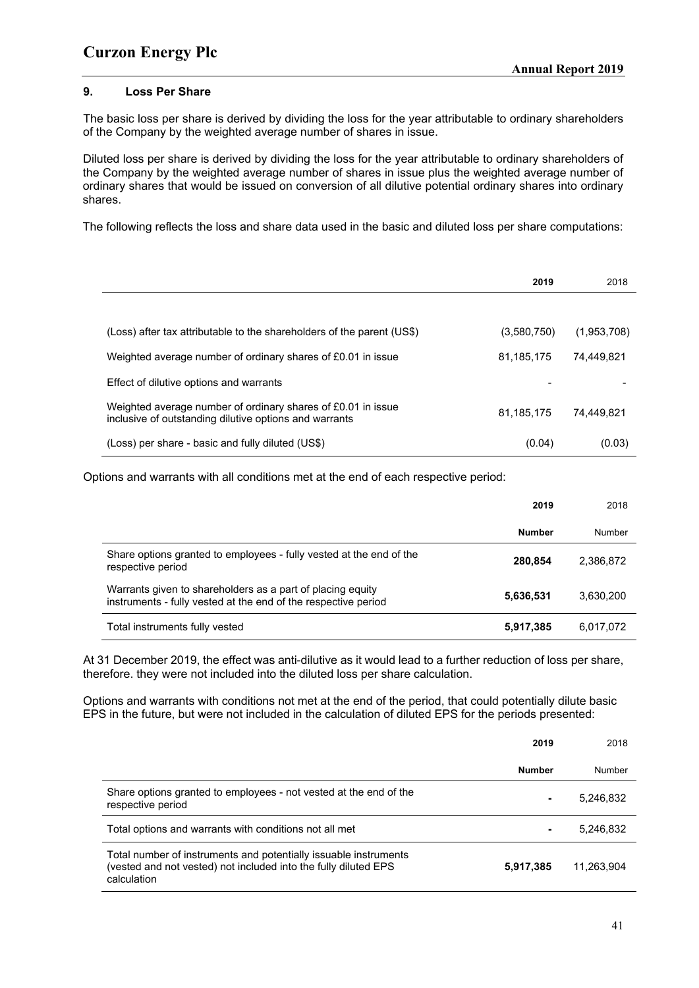#### <span id="page-43-0"></span>**9. Loss Per Share**

The basic loss per share is derived by dividing the loss for the year attributable to ordinary shareholders of the Company by the weighted average number of shares in issue.

Diluted loss per share is derived by dividing the loss for the year attributable to ordinary shareholders of the Company by the weighted average number of shares in issue plus the weighted average number of ordinary shares that would be issued on conversion of all dilutive potential ordinary shares into ordinary shares.

The following reflects the loss and share data used in the basic and diluted loss per share computations:

|                                                                                                                        | 2019        | 2018        |
|------------------------------------------------------------------------------------------------------------------------|-------------|-------------|
|                                                                                                                        |             |             |
| (Loss) after tax attributable to the shareholders of the parent (US\$)                                                 | (3,580,750) | (1,953,708) |
| Weighted average number of ordinary shares of £0.01 in issue                                                           | 81,185,175  | 74.449.821  |
| Effect of dilutive options and warrants                                                                                |             |             |
| Weighted average number of ordinary shares of £0.01 in issue<br>inclusive of outstanding dilutive options and warrants | 81.185.175  | 74.449.821  |
| (Loss) per share - basic and fully diluted (US\$)                                                                      | (0.04)      | (0.03)      |

Options and warrants with all conditions met at the end of each respective period:

|                                                                                                                              | 2019          | 2018      |
|------------------------------------------------------------------------------------------------------------------------------|---------------|-----------|
|                                                                                                                              | <b>Number</b> | Number    |
| Share options granted to employees - fully vested at the end of the<br>respective period                                     | 280,854       | 2,386,872 |
| Warrants given to shareholders as a part of placing equity<br>instruments - fully vested at the end of the respective period | 5,636,531     | 3,630,200 |
| Total instruments fully vested                                                                                               | 5,917,385     | 6,017,072 |

At 31 December 2019, the effect was anti-dilutive as it would lead to a further reduction of loss per share, therefore. they were not included into the diluted loss per share calculation.

Options and warrants with conditions not met at the end of the period, that could potentially dilute basic EPS in the future, but were not included in the calculation of diluted EPS for the periods presented:

|                                                                                                                                                    | 2019          | 2018       |
|----------------------------------------------------------------------------------------------------------------------------------------------------|---------------|------------|
|                                                                                                                                                    | <b>Number</b> | Number     |
| Share options granted to employees - not vested at the end of the<br>respective period                                                             |               | 5.246.832  |
| Total options and warrants with conditions not all met                                                                                             |               | 5.246.832  |
| Total number of instruments and potentially issuable instruments<br>(vested and not vested) not included into the fully diluted EPS<br>calculation | 5,917,385     | 11.263.904 |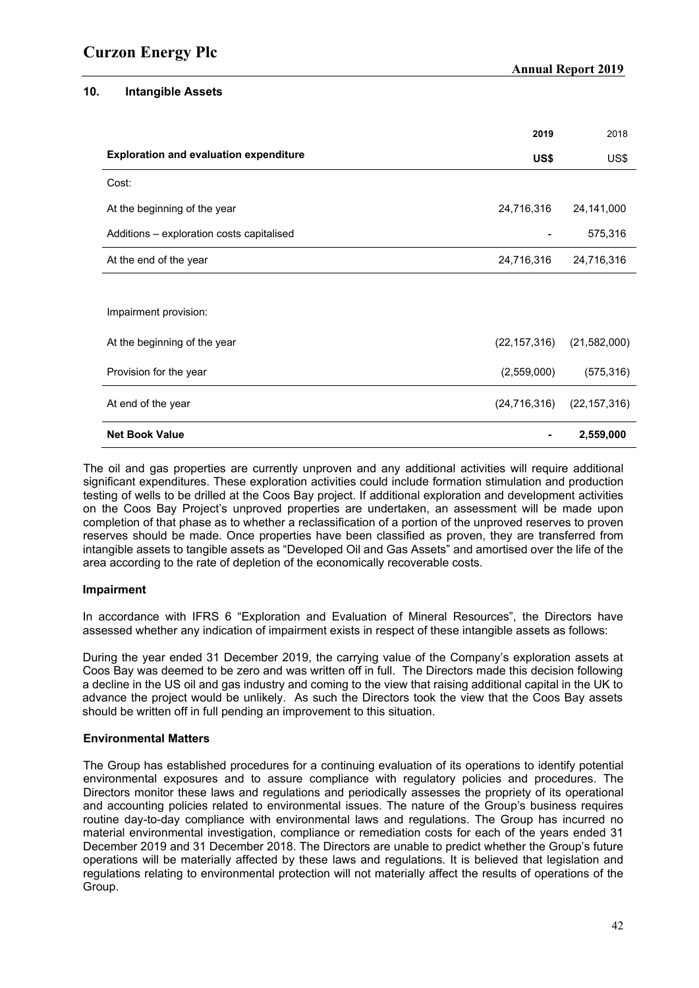#### <span id="page-44-0"></span>**10. Intangible Assets**

|                                               | 2019           | 2018           |
|-----------------------------------------------|----------------|----------------|
| <b>Exploration and evaluation expenditure</b> | US\$           | US\$           |
| Cost:                                         |                |                |
| At the beginning of the year                  | 24,716,316     | 24,141,000     |
| Additions – exploration costs capitalised     |                | 575,316        |
| At the end of the year                        | 24,716,316     | 24,716,316     |
|                                               |                |                |
| Impairment provision:                         |                |                |
| At the beginning of the year                  | (22, 157, 316) | (21, 582, 000) |
| Provision for the year                        | (2,559,000)    | (575, 316)     |
| At end of the year                            | (24, 716, 316) | (22, 157, 316) |
| <b>Net Book Value</b>                         |                | 2,559,000      |

The oil and gas properties are currently unproven and any additional activities will require additional significant expenditures. These exploration activities could include formation stimulation and production testing of wells to be drilled at the Coos Bay project. If additional exploration and development activities on the Coos Bay Project's unproved properties are undertaken, an assessment will be made upon completion of that phase as to whether a reclassification of a portion of the unproved reserves to proven reserves should be made. Once properties have been classified as proven, they are transferred from intangible assets to tangible assets as "Developed Oil and Gas Assets" and amortised over the life of the area according to the rate of depletion of the economically recoverable costs.

#### **Impairment**

In accordance with IFRS 6 "Exploration and Evaluation of Mineral Resources", the Directors have assessed whether any indication of impairment exists in respect of these intangible assets as follows:

During the year ended 31 December 2019, the carrying value of the Company's exploration assets at Coos Bay was deemed to be zero and was written off in full. The Directors made this decision following a decline in the US oil and gas industry and coming to the view that raising additional capital in the UK to advance the project would be unlikely. As such the Directors took the view that the Coos Bay assets should be written off in full pending an improvement to this situation.

#### **Environmental Matters**

The Group has established procedures for a continuing evaluation of its operations to identify potential environmental exposures and to assure compliance with regulatory policies and procedures. The Directors monitor these laws and regulations and periodically assesses the propriety of its operational and accounting policies related to environmental issues. The nature of the Group's business requires routine day-to-day compliance with environmental laws and regulations. The Group has incurred no material environmental investigation, compliance or remediation costs for each of the years ended 31 December 2019 and 31 December 2018. The Directors are unable to predict whether the Group's future operations will be materially affected by these laws and regulations. It is believed that legislation and regulations relating to environmental protection will not materially affect the results of operations of the Group.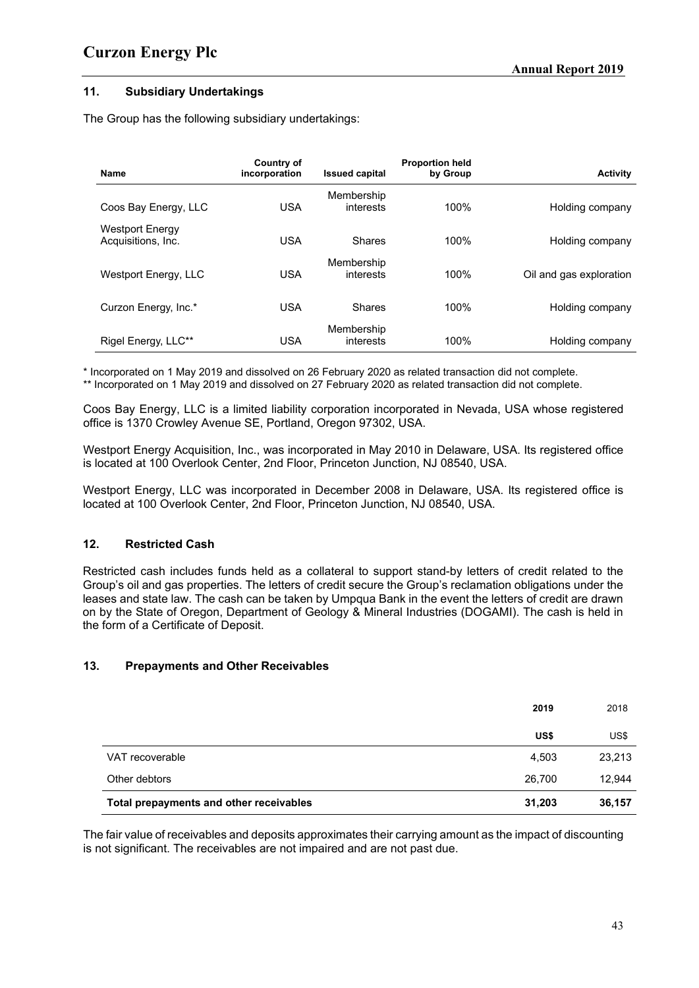#### **11. Subsidiary Undertakings**

The Group has the following subsidiary undertakings:

| <b>Name</b>                                  | Country of<br>incorporation | <b>Issued capital</b>   | <b>Proportion held</b><br>by Group | <b>Activity</b>         |
|----------------------------------------------|-----------------------------|-------------------------|------------------------------------|-------------------------|
| Coos Bay Energy, LLC                         | <b>USA</b>                  | Membership<br>interests | 100%                               | Holding company         |
| <b>Westport Energy</b><br>Acquisitions, Inc. | <b>USA</b>                  | <b>Shares</b>           | 100%                               | Holding company         |
| Westport Energy, LLC                         | <b>USA</b>                  | Membership<br>interests | 100%                               | Oil and gas exploration |
| Curzon Energy, Inc.*                         | <b>USA</b>                  | <b>Shares</b>           | 100%                               | Holding company         |
| Rigel Energy, LLC**                          | <b>USA</b>                  | Membership<br>interests | 100%                               | Holding company         |

\* Incorporated on 1 May 2019 and dissolved on 26 February 2020 as related transaction did not complete.

\*\* Incorporated on 1 May 2019 and dissolved on 27 February 2020 as related transaction did not complete.

Coos Bay Energy, LLC is a limited liability corporation incorporated in Nevada, USA whose registered office is 1370 Crowley Avenue SE, Portland, Oregon 97302, USA.

Westport Energy Acquisition, Inc., was incorporated in May 2010 in Delaware, USA. Its registered office is located at 100 Overlook Center, 2nd Floor, Princeton Junction, NJ 08540, USA.

Westport Energy, LLC was incorporated in December 2008 in Delaware, USA. Its registered office is located at 100 Overlook Center, 2nd Floor, Princeton Junction, NJ 08540, USA.

#### <span id="page-45-0"></span>**12. Restricted Cash**

Restricted cash includes funds held as a collateral to support stand-by letters of credit related to the Group's oil and gas properties. The letters of credit secure the Group's reclamation obligations under the leases and state law. The cash can be taken by Umpqua Bank in the event the letters of credit are drawn on by the State of Oregon, Department of Geology & Mineral Industries (DOGAMI). The cash is held in the form of a Certificate of Deposit.

#### <span id="page-45-1"></span>**13. Prepayments and Other Receivables**

|                                         | 2019   | 2018   |
|-----------------------------------------|--------|--------|
|                                         | US\$   | US\$   |
| VAT recoverable                         | 4,503  | 23,213 |
| Other debtors                           | 26.700 | 12,944 |
| Total prepayments and other receivables | 31,203 | 36,157 |

The fair value of receivables and deposits approximates their carrying amount as the impact of discounting is not significant. The receivables are not impaired and are not past due.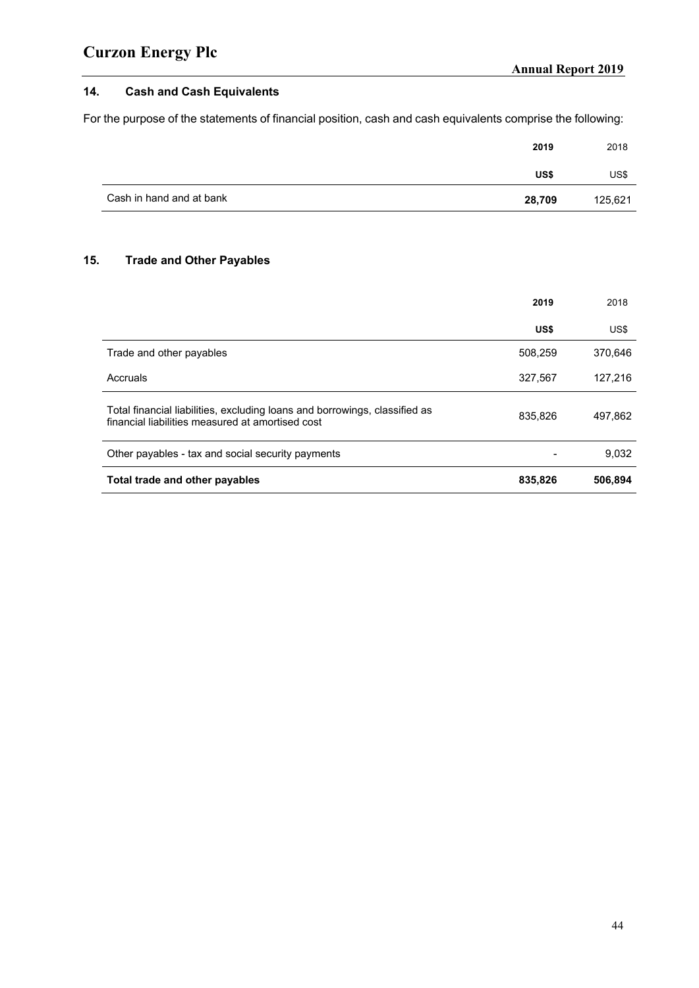## **Curzon Energy Plc** Annual Report 2019

## <span id="page-46-0"></span>**14. Cash and Cash Equivalents**

For the purpose of the statements of financial position, cash and cash equivalents comprise the following:

|                          | 2019   | 2018    |
|--------------------------|--------|---------|
|                          | US\$   | US\$    |
| Cash in hand and at bank | 28,709 | 125,621 |

## <span id="page-46-1"></span>**15. Trade and Other Payables**

|                                                                                                                                | 2019    | 2018    |
|--------------------------------------------------------------------------------------------------------------------------------|---------|---------|
|                                                                                                                                | US\$    | US\$    |
| Trade and other payables                                                                                                       | 508,259 | 370,646 |
| Accruals                                                                                                                       | 327,567 | 127.216 |
| Total financial liabilities, excluding loans and borrowings, classified as<br>financial liabilities measured at amortised cost | 835,826 | 497,862 |
| Other payables - tax and social security payments                                                                              |         | 9,032   |
| Total trade and other payables                                                                                                 | 835,826 | 506.894 |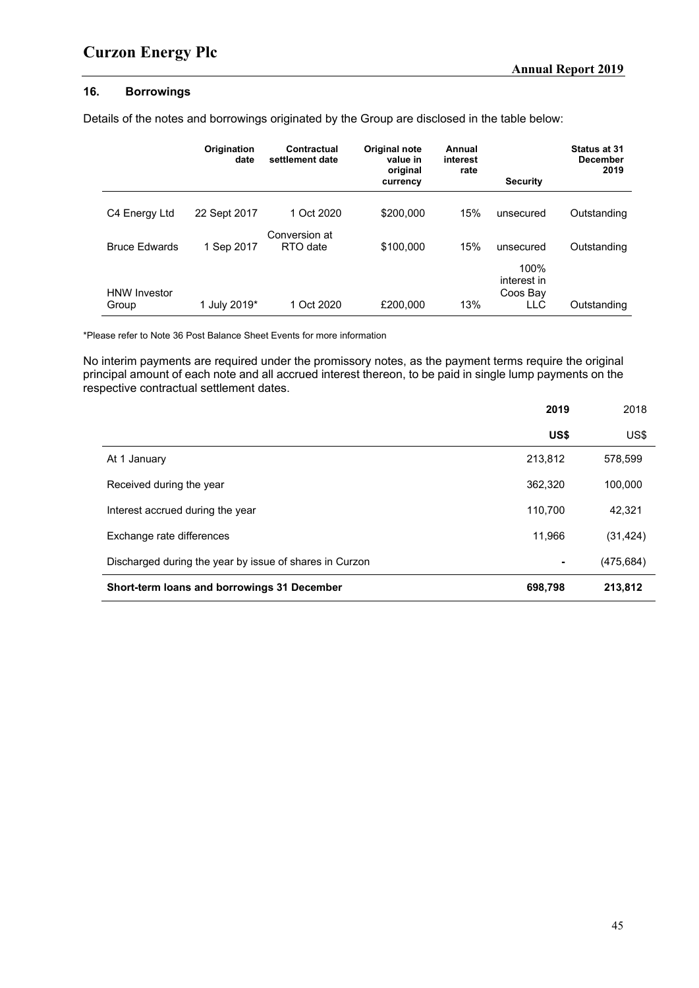## <span id="page-47-0"></span>**16. Borrowings**

Details of the notes and borrowings originated by the Group are disclosed in the table below:

|                              | Origination<br>date | Contractual<br>settlement date | Original note<br>value in<br>original<br>currency | Annual<br>interest<br>rate | <b>Security</b>                               | <b>Status at 31</b><br><b>December</b><br>2019 |
|------------------------------|---------------------|--------------------------------|---------------------------------------------------|----------------------------|-----------------------------------------------|------------------------------------------------|
| C4 Energy Ltd                | 22 Sept 2017        | 1 Oct 2020                     | \$200,000                                         | 15%                        | unsecured                                     | Outstanding                                    |
| <b>Bruce Edwards</b>         | 1 Sep 2017          | Conversion at<br>RTO date      | \$100,000                                         | 15%                        | unsecured                                     | Outstanding                                    |
| <b>HNW Investor</b><br>Group | 1 July 2019*        | 1 Oct 2020                     | £200,000                                          | 13%                        | 100%<br>interest in<br>Coos Bay<br><b>LLC</b> | Outstanding                                    |

\*Please refer to Note 36 Post Balance Sheet Events for more information

No interim payments are required under the promissory notes, as the payment terms require the original principal amount of each note and all accrued interest thereon, to be paid in single lump payments on the respective contractual settlement dates.

|                                                         | 2019    | 2018       |
|---------------------------------------------------------|---------|------------|
|                                                         | US\$    | US\$       |
| At 1 January                                            | 213,812 | 578,599    |
| Received during the year                                | 362.320 | 100,000    |
| Interest accrued during the year                        | 110.700 | 42,321     |
| Exchange rate differences                               | 11.966  | (31, 424)  |
| Discharged during the year by issue of shares in Curzon | ٠       | (475, 684) |
| Short-term loans and borrowings 31 December             | 698,798 | 213,812    |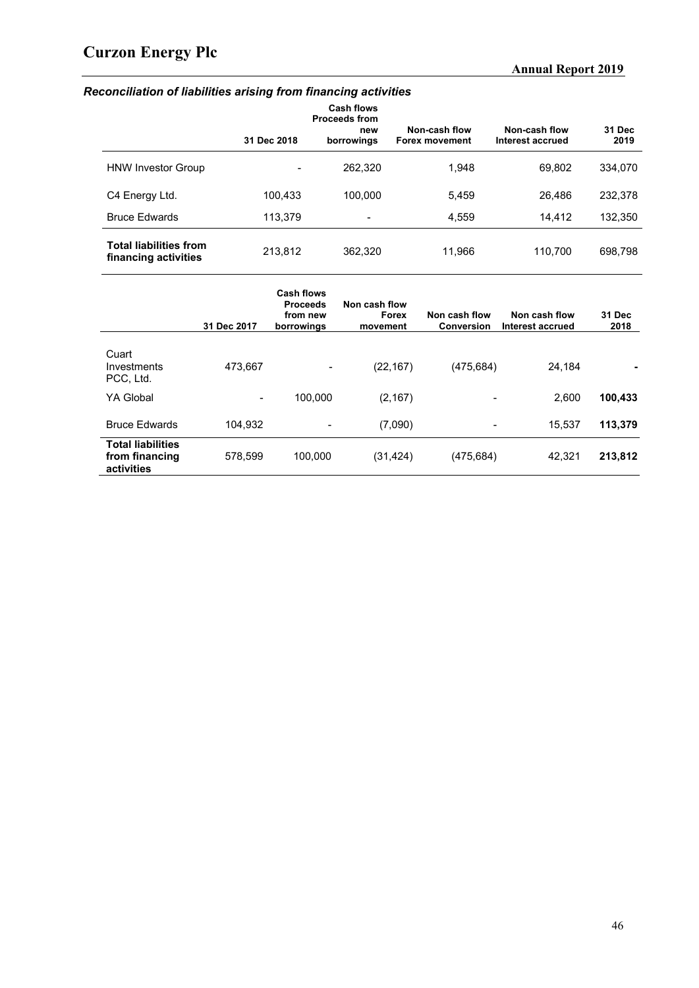# **Curzon Energy Plc** Annual Report 2019

## *Reconciliation of liabilities arising from financing activities*

|                                                       | 31 Dec 2018                  | <b>Cash flows</b><br><b>Proceeds from</b><br>new<br>borrowings | Non-cash flow<br><b>Forex movement</b> | Non-cash flow<br>Interest accrued | 31 Dec<br>2019 |
|-------------------------------------------------------|------------------------------|----------------------------------------------------------------|----------------------------------------|-----------------------------------|----------------|
| <b>HNW Investor Group</b>                             | $\qquad \qquad \blacksquare$ | 262,320                                                        | 1,948                                  | 69,802                            | 334,070        |
| C4 Energy Ltd.                                        | 100.433                      | 100.000                                                        | 5,459                                  | 26.486                            | 232.378        |
| <b>Bruce Edwards</b>                                  | 113.379                      | $\blacksquare$                                                 | 4,559                                  | 14.412                            | 132,350        |
| <b>Total liabilities from</b><br>financing activities | 213,812                      | 362,320                                                        | 11,966                                 | 110.700                           | 698,798        |

|                                                          | 31 Dec 2017              | Cash flows<br><b>Proceeds</b><br>from new<br>borrowings | Non cash flow<br>Forex<br>movement | Non cash flow<br><b>Conversion</b> | Non cash flow<br>Interest accrued | 31 Dec<br>2018 |
|----------------------------------------------------------|--------------------------|---------------------------------------------------------|------------------------------------|------------------------------------|-----------------------------------|----------------|
| Cuart<br>Investments<br>PCC. Ltd.                        | 473.667                  | -                                                       | (22, 167)                          | (475, 684)                         | 24,184                            |                |
| YA Global                                                | $\overline{\phantom{a}}$ | 100.000                                                 | (2, 167)                           |                                    | 2.600                             | 100,433        |
| <b>Bruce Edwards</b>                                     | 104.932                  |                                                         | (7,090)                            | ٠                                  | 15.537                            | 113,379        |
| <b>Total liabilities</b><br>from financing<br>activities | 578,599                  | 100.000                                                 | (31,424)                           | (475, 684)                         | 42.321                            | 213,812        |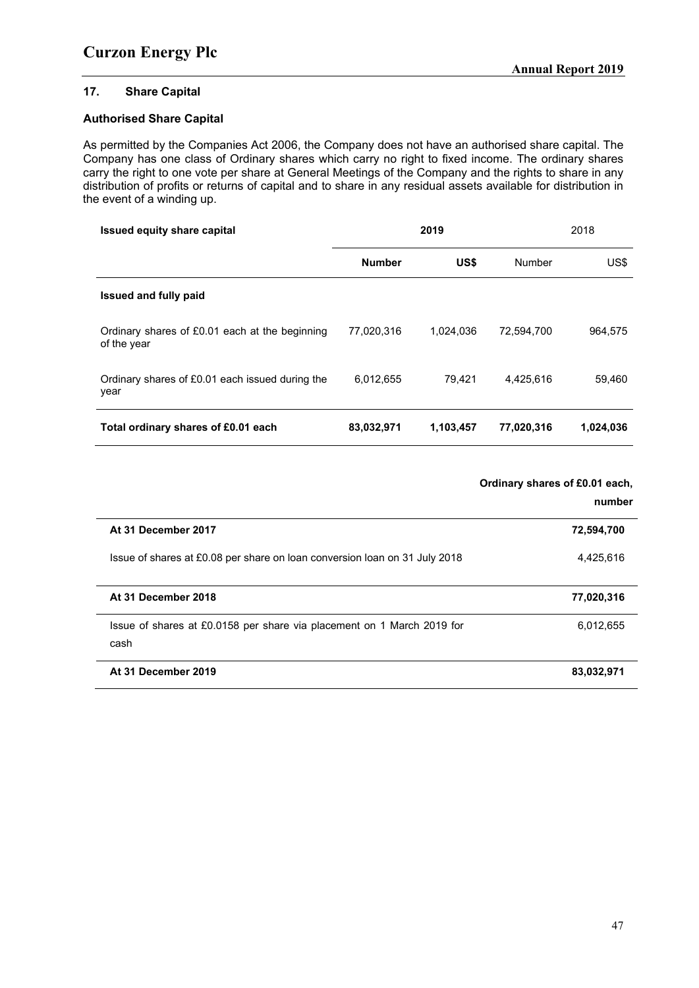#### <span id="page-49-0"></span>**17. Share Capital**

#### **Authorised Share Capital**

As permitted by the Companies Act 2006, the Company does not have an authorised share capital. The Company has one class of Ordinary shares which carry no right to fixed income. The ordinary shares carry the right to one vote per share at General Meetings of the Company and the rights to share in any distribution of profits or returns of capital and to share in any residual assets available for distribution in the event of a winding up.

| <b>Issued equity share capital</b>                            | 2019          |           | 2018          |           |
|---------------------------------------------------------------|---------------|-----------|---------------|-----------|
|                                                               | <b>Number</b> | US\$      | <b>Number</b> | US\$      |
| <b>Issued and fully paid</b>                                  |               |           |               |           |
| Ordinary shares of £0.01 each at the beginning<br>of the year | 77,020,316    | 1,024,036 | 72,594,700    | 964,575   |
| Ordinary shares of £0.01 each issued during the<br>year       | 6,012,655     | 79.421    | 4,425,616     | 59.460    |
| Total ordinary shares of £0.01 each                           | 83,032,971    | 1,103,457 | 77,020,316    | 1,024,036 |

|                                                                                | Ordinary shares of £0.01 each,<br>number |
|--------------------------------------------------------------------------------|------------------------------------------|
| At 31 December 2017                                                            | 72,594,700                               |
| Issue of shares at £0.08 per share on loan conversion loan on 31 July 2018     | 4,425,616                                |
| At 31 December 2018                                                            | 77,020,316                               |
| Issue of shares at £0.0158 per share via placement on 1 March 2019 for<br>cash | 6,012,655                                |
| At 31 December 2019                                                            | 83,032,971                               |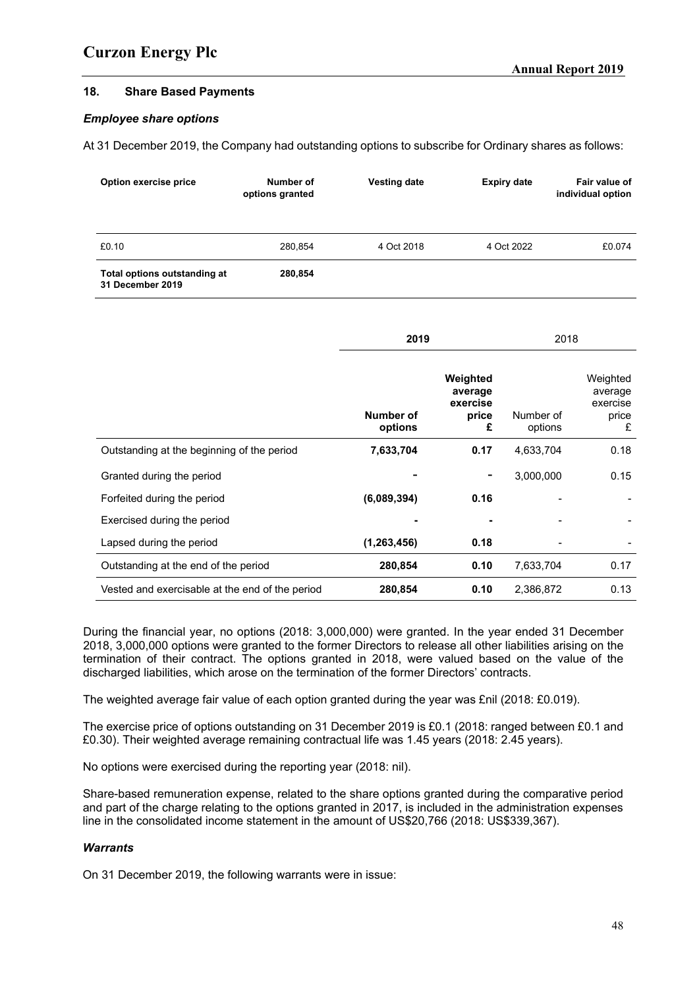#### <span id="page-50-0"></span>**18. Share Based Payments**

#### *Employee share options*

At 31 December 2019, the Company had outstanding options to subscribe for Ordinary shares as follows:

| Option exercise price                            | Number of<br>options granted | <b>Vesting date</b>         |                                               | <b>Expiry date</b>   | Fair value of<br>individual option            |
|--------------------------------------------------|------------------------------|-----------------------------|-----------------------------------------------|----------------------|-----------------------------------------------|
| £0.10                                            | 280,854                      | 4 Oct 2018                  |                                               | 4 Oct 2022           | £0.074                                        |
| Total options outstanding at<br>31 December 2019 | 280,854                      |                             |                                               |                      |                                               |
|                                                  |                              | 2019                        |                                               |                      | 2018                                          |
|                                                  |                              | <b>Number of</b><br>options | Weighted<br>average<br>exercise<br>price<br>£ | Number of<br>options | Weighted<br>average<br>exercise<br>price<br>£ |
| Outstanding at the beginning of the period       |                              | 7,633,704                   | 0.17                                          | 4,633,704            | 0.18                                          |
| Granted during the period                        |                              |                             | ۰                                             | 3,000,000            | 0.15                                          |
| Forfeited during the period                      |                              | (6,089,394)                 | 0.16                                          |                      |                                               |
| Exercised during the period                      |                              |                             |                                               |                      |                                               |
| Lapsed during the period                         |                              | (1, 263, 456)               | 0.18                                          |                      |                                               |
| Outstanding at the end of the period             |                              | 280,854                     | 0.10                                          | 7,633,704            | 0.17                                          |

Vested and exercisable at the end of the period **280,854 0.10** 2,386,872 0.13

During the financial year, no options (2018: 3,000,000) were granted. In the year ended 31 December 2018, 3,000,000 options were granted to the former Directors to release all other liabilities arising on the termination of their contract. The options granted in 2018, were valued based on the value of the discharged liabilities, which arose on the termination of the former Directors' contracts.

The weighted average fair value of each option granted during the year was £nil (2018: £0.019).

The exercise price of options outstanding on 31 December 2019 is £0.1 (2018: ranged between £0.1 and £0.30). Their weighted average remaining contractual life was 1.45 years (2018: 2.45 years).

No options were exercised during the reporting year (2018: nil).

Share-based remuneration expense, related to the share options granted during the comparative period and part of the charge relating to the options granted in 2017, is included in the administration expenses line in the consolidated income statement in the amount of US\$20,766 (2018: US\$339,367).

## *Warrants*

On 31 December 2019, the following warrants were in issue: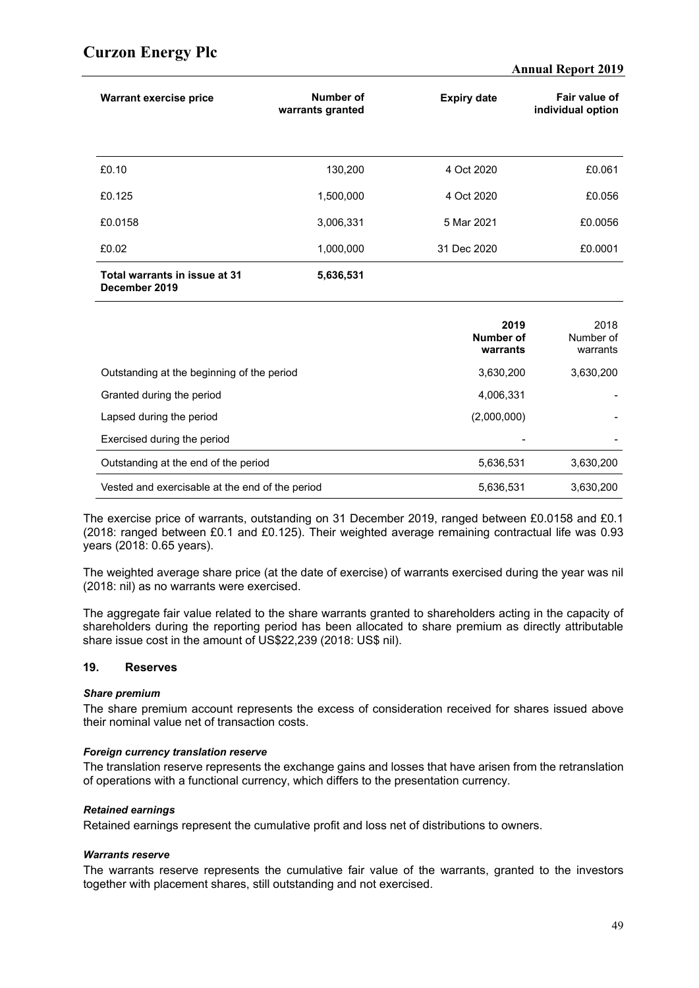| <b>Warrant exercise price</b>                  | Number of<br>warrants granted | <b>Expiry date</b>            | <b>Fair value of</b><br>individual option |
|------------------------------------------------|-------------------------------|-------------------------------|-------------------------------------------|
|                                                |                               |                               |                                           |
| £0.10                                          | 130,200                       | 4 Oct 2020                    | £0.061                                    |
| £0.125                                         | 1,500,000                     | 4 Oct 2020                    | £0.056                                    |
| £0.0158                                        | 3,006,331                     | 5 Mar 2021                    | £0.0056                                   |
| £0.02                                          | 1,000,000                     | 31 Dec 2020                   | £0.0001                                   |
| Total warrants in issue at 31<br>December 2019 | 5,636,531                     |                               |                                           |
|                                                |                               | 2019<br>Number of<br>warrants | 2018<br>Number of<br>warrants             |
| Outstanding at the beginning of the period     |                               | 3,630,200                     | 3,630,200                                 |
| Granted during the period                      |                               | 4,006,331                     |                                           |
| Lapsed during the period                       |                               | (2,000,000)                   |                                           |

| Exercised during the period                     |           |           |
|-------------------------------------------------|-----------|-----------|
| Outstanding at the end of the period            | 5.636.531 | 3.630.200 |
| Vested and exercisable at the end of the period | 5.636.531 | 3.630.200 |

The exercise price of warrants, outstanding on 31 December 2019, ranged between £0.0158 and £0.1 (2018: ranged between £0.1 and £0.125). Their weighted average remaining contractual life was 0.93 years (2018: 0.65 years).

The weighted average share price (at the date of exercise) of warrants exercised during the year was nil (2018: nil) as no warrants were exercised.

The aggregate fair value related to the share warrants granted to shareholders acting in the capacity of shareholders during the reporting period has been allocated to share premium as directly attributable share issue cost in the amount of US\$22,239 (2018: US\$ nil).

#### **19. Reserves**

#### *Share premium*

The share premium account represents the excess of consideration received for shares issued above their nominal value net of transaction costs.

#### *Foreign currency translation reserve*

The translation reserve represents the exchange gains and losses that have arisen from the retranslation of operations with a functional currency, which differs to the presentation currency.

#### *Retained earnings*

Retained earnings represent the cumulative profit and loss net of distributions to owners.

#### *Warrants reserve*

The warrants reserve represents the cumulative fair value of the warrants, granted to the investors together with placement shares, still outstanding and not exercised.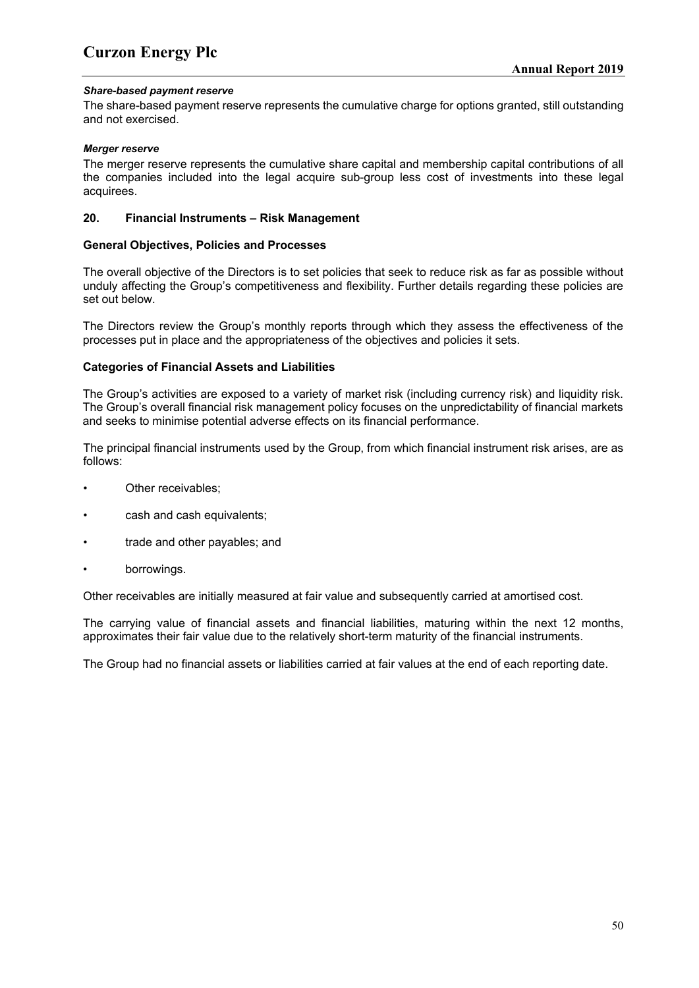#### *Share-based payment reserve*

The share-based payment reserve represents the cumulative charge for options granted, still outstanding and not exercised.

#### *Merger reserve*

The merger reserve represents the cumulative share capital and membership capital contributions of all the companies included into the legal acquire sub-group less cost of investments into these legal acquirees.

#### <span id="page-52-0"></span>**20. Financial Instruments – Risk Management**

#### **General Objectives, Policies and Processes**

The overall objective of the Directors is to set policies that seek to reduce risk as far as possible without unduly affecting the Group's competitiveness and flexibility. Further details regarding these policies are set out below.

The Directors review the Group's monthly reports through which they assess the effectiveness of the processes put in place and the appropriateness of the objectives and policies it sets.

#### **Categories of Financial Assets and Liabilities**

The Group's activities are exposed to a variety of market risk (including currency risk) and liquidity risk. The Group's overall financial risk management policy focuses on the unpredictability of financial markets and seeks to minimise potential adverse effects on its financial performance.

The principal financial instruments used by the Group, from which financial instrument risk arises, are as follows:

- Other receivables;
- cash and cash equivalents;
- trade and other payables; and
- borrowings.

Other receivables are initially measured at fair value and subsequently carried at amortised cost.

The carrying value of financial assets and financial liabilities, maturing within the next 12 months, approximates their fair value due to the relatively short-term maturity of the financial instruments.

The Group had no financial assets or liabilities carried at fair values at the end of each reporting date.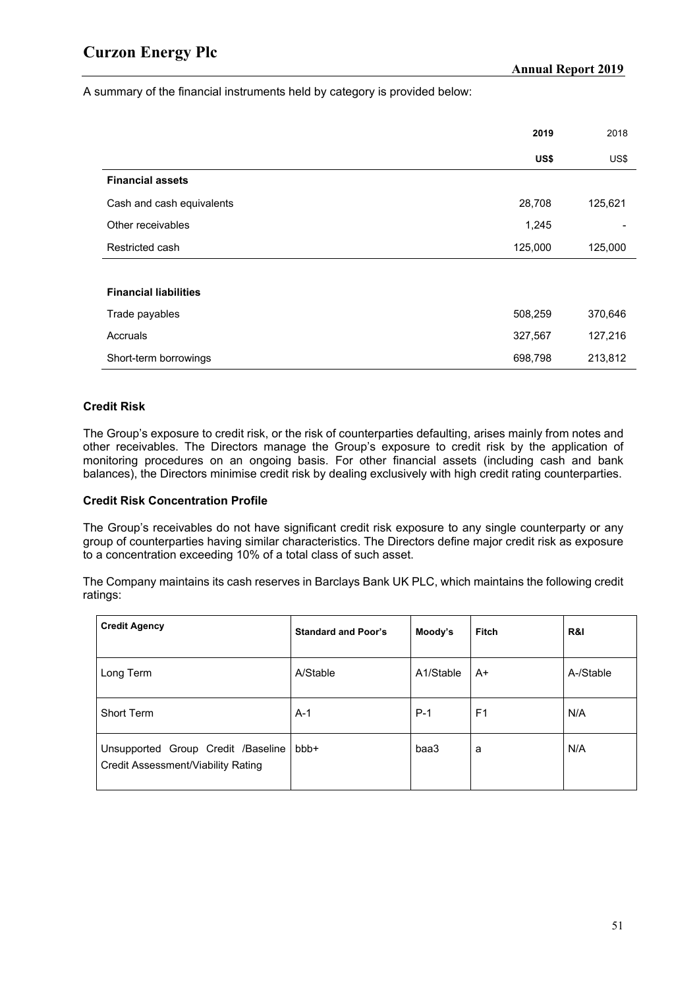A summary of the financial instruments held by category is provided below:

|                              | 2019    | 2018    |
|------------------------------|---------|---------|
|                              | US\$    | US\$    |
| <b>Financial assets</b>      |         |         |
| Cash and cash equivalents    | 28,708  | 125,621 |
| Other receivables            | 1,245   |         |
| Restricted cash              | 125,000 | 125,000 |
|                              |         |         |
| <b>Financial liabilities</b> |         |         |
| Trade payables               | 508,259 | 370,646 |
| Accruals                     | 327,567 | 127,216 |
| Short-term borrowings        | 698,798 | 213,812 |

## **Credit Risk**

The Group's exposure to credit risk, or the risk of counterparties defaulting, arises mainly from notes and other receivables. The Directors manage the Group's exposure to credit risk by the application of monitoring procedures on an ongoing basis. For other financial assets (including cash and bank balances), the Directors minimise credit risk by dealing exclusively with high credit rating counterparties.

#### **Credit Risk Concentration Profile**

The Group's receivables do not have significant credit risk exposure to any single counterparty or any group of counterparties having similar characteristics. The Directors define major credit risk as exposure to a concentration exceeding 10% of a total class of such asset.

| The Company maintains its cash reserves in Barclays Bank UK PLC, which maintains the following credit |  |
|-------------------------------------------------------------------------------------------------------|--|
| ratings:                                                                                              |  |

| <b>Credit Agency</b>                                                     | <b>Standard and Poor's</b> | Moody's   | <b>Fitch</b>   | R&I       |
|--------------------------------------------------------------------------|----------------------------|-----------|----------------|-----------|
| Long Term                                                                | A/Stable                   | A1/Stable | A+             | A-/Stable |
| <b>Short Term</b>                                                        | $A-1$                      | $P-1$     | F <sub>1</sub> | N/A       |
| Unsupported Group Credit /Baseline<br>Credit Assessment/Viability Rating | bbb+                       | baa3      | a              | N/A       |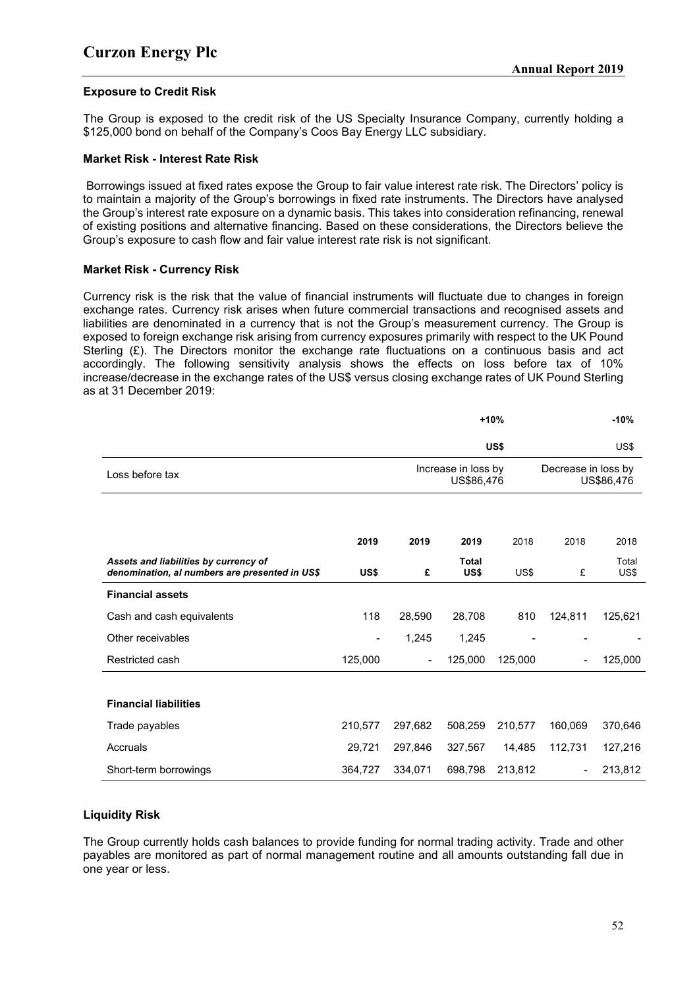#### **Exposure to Credit Risk**

The Group is exposed to the credit risk of the US Specialty Insurance Company, currently holding a \$125,000 bond on behalf of the Company's Coos Bay Energy LLC subsidiary.

#### **Market Risk - Interest Rate Risk**

Borrowings issued at fixed rates expose the Group to fair value interest rate risk. The Directors' policy is to maintain a majority of the Group's borrowings in fixed rate instruments. The Directors have analysed the Group's interest rate exposure on a dynamic basis. This takes into consideration refinancing, renewal of existing positions and alternative financing. Based on these considerations, the Directors believe the Group's exposure to cash flow and fair value interest rate risk is not significant.

#### **Market Risk - Currency Risk**

Currency risk is the risk that the value of financial instruments will fluctuate due to changes in foreign exchange rates. Currency risk arises when future commercial transactions and recognised assets and liabilities are denominated in a currency that is not the Group's measurement currency. The Group is exposed to foreign exchange risk arising from currency exposures primarily with respect to the UK Pound Sterling  $(E)$ . The Directors monitor the exchange rate fluctuations on a continuous basis and act accordingly. The following sensitivity analysis shows the effects on loss before tax of 10% increase/decrease in the exchange rates of the US\$ versus closing exchange rates of UK Pound Sterling as at 31 December 2019:

|                                                                                         |                              |                          |                                   | $+10%$         |                                   | $-10%$        |
|-----------------------------------------------------------------------------------------|------------------------------|--------------------------|-----------------------------------|----------------|-----------------------------------|---------------|
|                                                                                         |                              |                          |                                   | US\$           |                                   | US\$          |
| Loss before tax                                                                         |                              |                          | Increase in loss by<br>US\$86,476 |                | Decrease in loss by<br>US\$86,476 |               |
|                                                                                         | 2019                         | 2019                     | 2019                              | 2018           | 2018                              | 2018          |
| Assets and liabilities by currency of<br>denomination, al numbers are presented in US\$ | US\$                         | £                        | <b>Total</b><br>US\$              | US\$           | £                                 | Total<br>US\$ |
| <b>Financial assets</b>                                                                 |                              |                          |                                   |                |                                   |               |
| Cash and cash equivalents                                                               | 118                          | 28,590                   | 28,708                            | 810            | 124,811                           | 125,621       |
| Other receivables                                                                       | $\qquad \qquad \blacksquare$ | 1,245                    | 1,245                             | $\blacksquare$ |                                   |               |
| Restricted cash                                                                         | 125,000                      | $\overline{\phantom{a}}$ | 125,000                           | 125,000        | $\overline{\phantom{a}}$          | 125,000       |
|                                                                                         |                              |                          |                                   |                |                                   |               |
| <b>Financial liabilities</b>                                                            |                              |                          |                                   |                |                                   |               |
| Trade payables                                                                          | 210,577                      | 297,682                  | 508,259                           | 210,577        | 160,069                           | 370,646       |
| Accruals                                                                                | 29,721                       | 297,846                  | 327,567                           | 14,485         | 112,731                           | 127,216       |
| Short-term borrowings                                                                   | 364,727                      | 334,071                  | 698,798                           | 213,812        |                                   | 213,812       |

#### **Liquidity Risk**

The Group currently holds cash balances to provide funding for normal trading activity. Trade and other payables are monitored as part of normal management routine and all amounts outstanding fall due in one year or less.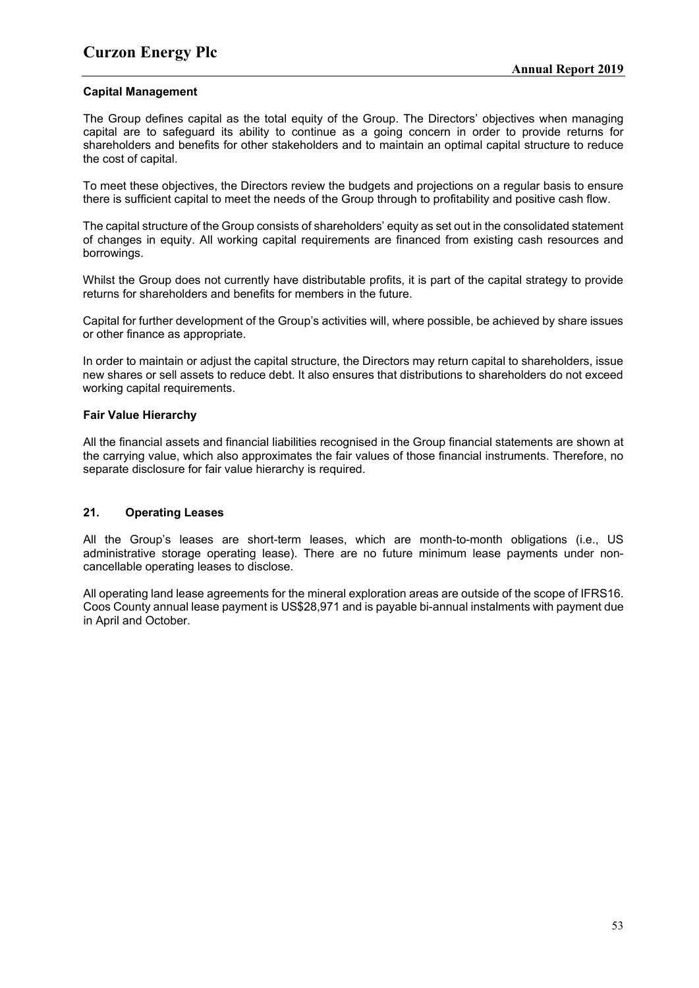#### **Capital Management**

The Group defines capital as the total equity of the Group. The Directors' objectives when managing capital are to safeguard its ability to continue as a going concern in order to provide returns for shareholders and benefits for other stakeholders and to maintain an optimal capital structure to reduce the cost of capital.

To meet these objectives, the Directors review the budgets and projections on a regular basis to ensure there is sufficient capital to meet the needs of the Group through to profitability and positive cash flow.

The capital structure of the Group consists of shareholders' equity as set out in the consolidated statement of changes in equity. All working capital requirements are financed from existing cash resources and borrowings.

Whilst the Group does not currently have distributable profits, it is part of the capital strategy to provide returns for shareholders and benefits for members in the future.

Capital for further development of the Group's activities will, where possible, be achieved by share issues or other finance as appropriate.

In order to maintain or adjust the capital structure, the Directors may return capital to shareholders, issue new shares or sell assets to reduce debt. It also ensures that distributions to shareholders do not exceed working capital requirements.

#### **Fair Value Hierarchy**

All the financial assets and financial liabilities recognised in the Group financial statements are shown at the carrying value, which also approximates the fair values of those financial instruments. Therefore, no separate disclosure for fair value hierarchy is required.

#### **21. Operating Leases**

All the Group's leases are short-term leases, which are month-to-month obligations (i.e., US administrative storage operating lease). There are no future minimum lease payments under noncancellable operating leases to disclose.

All operating land lease agreements for the mineral exploration areas are outside of the scope of IFRS16. Coos County annual lease payment is US\$28,971 and is payable bi-annual instalments with payment due in April and October.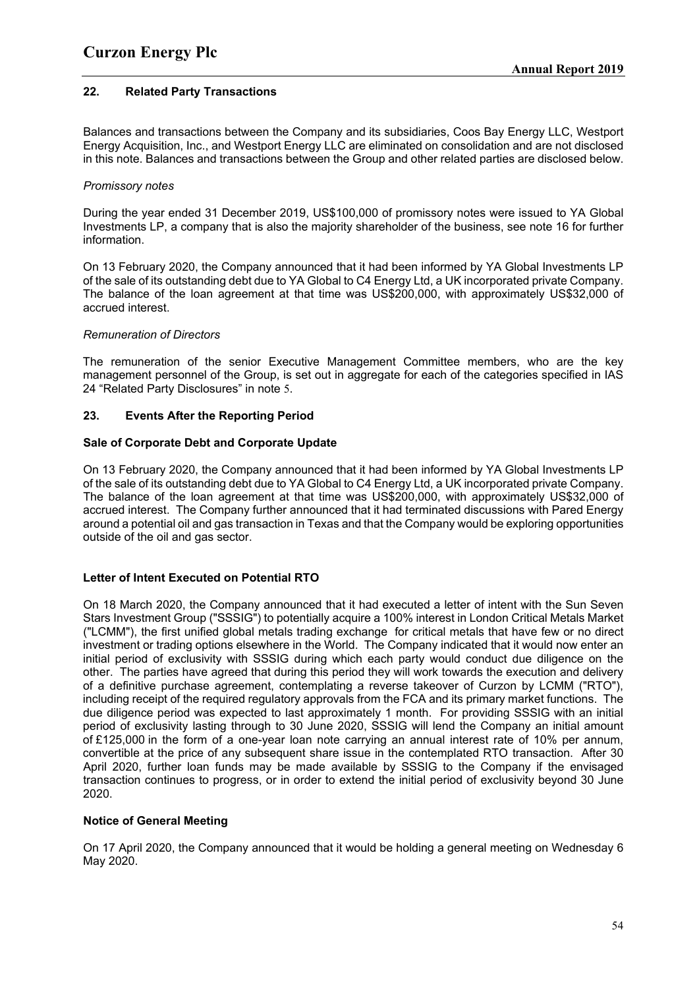#### **22. Related Party Transactions**

Balances and transactions between the Company and its subsidiaries, Coos Bay Energy LLC, Westport Energy Acquisition, Inc., and Westport Energy LLC are eliminated on consolidation and are not disclosed in this note. Balances and transactions between the Group and other related parties are disclosed below.

#### *Promissory notes*

During the year ended 31 December 2019, US\$100,000 of promissory notes were issued to YA Global Investments LP, a company that is also the majority shareholder of the business, see note 16 for further information.

On 13 February 2020, the Company announced that it had been informed by YA Global Investments LP of the sale of its outstanding debt due to YA Global to C4 Energy Ltd, a UK incorporated private Company. The balance of the loan agreement at that time was US\$200,000, with approximately US\$32,000 of accrued interest.

#### *Remuneration of Directors*

The remuneration of the senior Executive Management Committee members, who are the key management personnel of the Group, is set out in aggregate for each of the categories specified in IAS 24 "Related Party Disclosures" in note [5](#page-40-0).

#### **23. Events After the Reporting Period**

#### **Sale of Corporate Debt and Corporate Update**

On 13 February 2020, the Company announced that it had been informed by YA Global Investments LP of the sale of its outstanding debt due to YA Global to C4 Energy Ltd, a UK incorporated private Company. The balance of the loan agreement at that time was US\$200,000, with approximately US\$32,000 of accrued interest. The Company further announced that it had terminated discussions with Pared Energy around a potential oil and gas transaction in Texas and that the Company would be exploring opportunities outside of the oil and gas sector.

#### **Letter of Intent Executed on Potential RTO**

On 18 March 2020, the Company announced that it had executed a letter of intent with the Sun Seven Stars Investment Group ("SSSIG") to potentially acquire a 100% interest in London Critical Metals Market ("LCMM"), the first unified global metals trading exchange for critical metals that have few or no direct investment or trading options elsewhere in the World. The Company indicated that it would now enter an initial period of exclusivity with SSSIG during which each party would conduct due diligence on the other. The parties have agreed that during this period they will work towards the execution and delivery of a definitive purchase agreement, contemplating a reverse takeover of Curzon by LCMM ("RTO"), including receipt of the required regulatory approvals from the FCA and its primary market functions. The due diligence period was expected to last approximately 1 month. For providing SSSIG with an initial period of exclusivity lasting through to 30 June 2020, SSSIG will lend the Company an initial amount of £125,000 in the form of a one-year loan note carrying an annual interest rate of 10% per annum, convertible at the price of any subsequent share issue in the contemplated RTO transaction. After 30 April 2020, further loan funds may be made available by SSSIG to the Company if the envisaged transaction continues to progress, or in order to extend the initial period of exclusivity beyond 30 June 2020.

#### **Notice of General Meeting**

On 17 April 2020, the Company announced that it would be holding a general meeting on Wednesday 6 May 2020.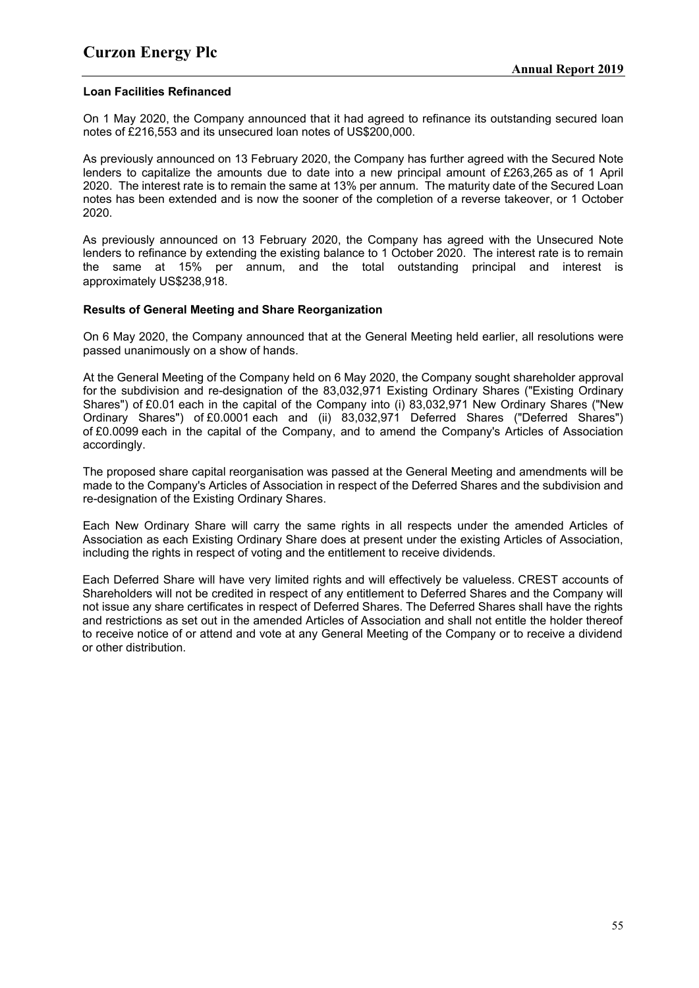#### **Loan Facilities Refinanced**

On 1 May 2020, the Company announced that it had agreed to refinance its outstanding secured loan notes of £216,553 and its unsecured loan notes of US\$200,000.

As previously announced on 13 February 2020, the Company has further agreed with the Secured Note lenders to capitalize the amounts due to date into a new principal amount of £263,265 as of 1 April 2020. The interest rate is to remain the same at 13% per annum. The maturity date of the Secured Loan notes has been extended and is now the sooner of the completion of a reverse takeover, or 1 October 2020.

As previously announced on 13 February 2020, the Company has agreed with the Unsecured Note lenders to refinance by extending the existing balance to 1 October 2020. The interest rate is to remain the same at 15% per annum, and the total outstanding principal and interest is approximately US\$238,918.

#### **Results of General Meeting and Share Reorganization**

On 6 May 2020, the Company announced that at the General Meeting held earlier, all resolutions were passed unanimously on a show of hands.

At the General Meeting of the Company held on 6 May 2020, the Company sought shareholder approval for the subdivision and re-designation of the 83,032,971 Existing Ordinary Shares ("Existing Ordinary Shares") of £0.01 each in the capital of the Company into (i) 83,032,971 New Ordinary Shares ("New Ordinary Shares") of £0.0001 each and (ii) 83,032,971 Deferred Shares ("Deferred Shares") of £0.0099 each in the capital of the Company, and to amend the Company's Articles of Association accordingly.

The proposed share capital reorganisation was passed at the General Meeting and amendments will be made to the Company's Articles of Association in respect of the Deferred Shares and the subdivision and re-designation of the Existing Ordinary Shares.

Each New Ordinary Share will carry the same rights in all respects under the amended Articles of Association as each Existing Ordinary Share does at present under the existing Articles of Association, including the rights in respect of voting and the entitlement to receive dividends.

Each Deferred Share will have very limited rights and will effectively be valueless. CREST accounts of Shareholders will not be credited in respect of any entitlement to Deferred Shares and the Company will not issue any share certificates in respect of Deferred Shares. The Deferred Shares shall have the rights and restrictions as set out in the amended Articles of Association and shall not entitle the holder thereof to receive notice of or attend and vote at any General Meeting of the Company or to receive a dividend or other distribution.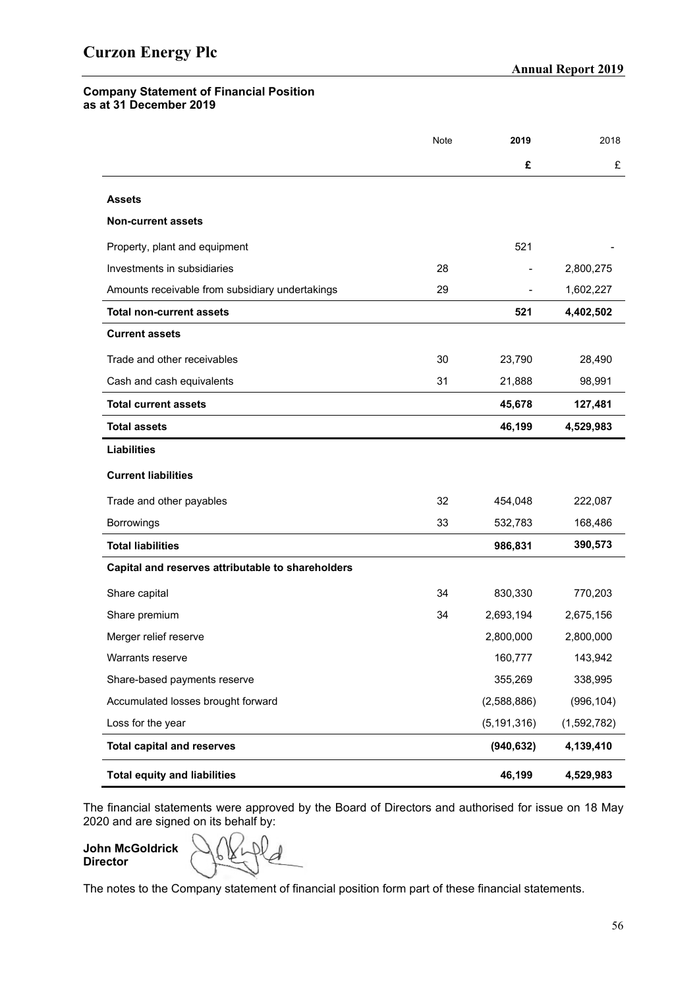#### **Company Statement of Financial Position as at 31 December 2019**

|                                                   | Note | 2019          | 2018        |
|---------------------------------------------------|------|---------------|-------------|
|                                                   |      | £             | £           |
| <b>Assets</b>                                     |      |               |             |
| <b>Non-current assets</b>                         |      |               |             |
| Property, plant and equipment                     |      | 521           |             |
| Investments in subsidiaries                       | 28   |               | 2,800,275   |
| Amounts receivable from subsidiary undertakings   | 29   |               | 1,602,227   |
| <b>Total non-current assets</b>                   |      | 521           | 4,402,502   |
| <b>Current assets</b>                             |      |               |             |
| Trade and other receivables                       | 30   | 23,790        | 28,490      |
| Cash and cash equivalents                         | 31   | 21,888        | 98,991      |
| <b>Total current assets</b>                       |      | 45,678        | 127,481     |
| <b>Total assets</b>                               |      | 46,199        | 4,529,983   |
| <b>Liabilities</b>                                |      |               |             |
| <b>Current liabilities</b>                        |      |               |             |
| Trade and other payables                          | 32   | 454,048       | 222,087     |
| <b>Borrowings</b>                                 | 33   | 532,783       | 168,486     |
| <b>Total liabilities</b>                          |      | 986,831       | 390,573     |
| Capital and reserves attributable to shareholders |      |               |             |
| Share capital                                     | 34   | 830,330       | 770,203     |
| Share premium                                     | 34   | 2,693,194     | 2,675,156   |
| Merger relief reserve                             |      | 2,800,000     | 2,800,000   |
| Warrants reserve                                  |      | 160,777       | 143,942     |
| Share-based payments reserve                      |      | 355,269       | 338,995     |
| Accumulated losses brought forward                |      | (2,588,886)   | (996, 104)  |
| Loss for the year                                 |      | (5, 191, 316) | (1,592,782) |
| <b>Total capital and reserves</b>                 |      | (940, 632)    | 4,139,410   |
| <b>Total equity and liabilities</b>               |      | 46,199        | 4,529,983   |

The financial statements were approved by the Board of Directors and authorised for issue on 18 May 2020 and are signed on its behalf by:

#### **John McGoldrick Director**

The notes to the Company statement of financial position form part of these financial statements.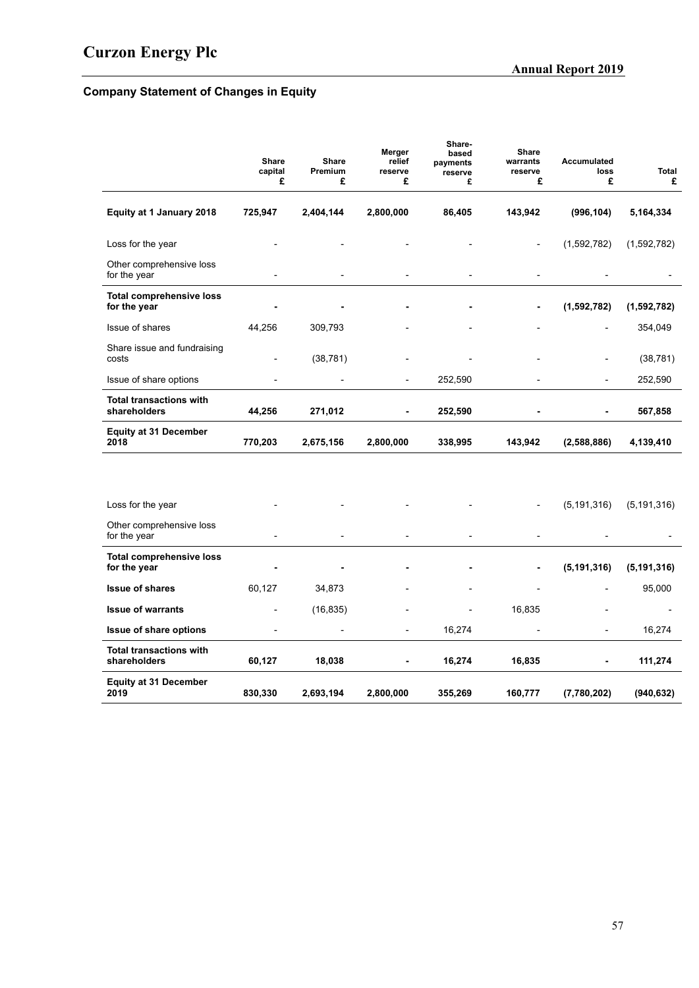## **Company Statement of Changes in Equity**

|                                                 | <b>Share</b><br>capital<br>£ | <b>Share</b><br>Premium<br>£ | Merger<br>relief<br>reserve<br>£ | Share-<br>based<br>payments<br>reserve<br>£ | <b>Share</b><br>warrants<br>reserve<br>£ | Accumulated<br>loss<br>£ | <b>Total</b><br>£ |
|-------------------------------------------------|------------------------------|------------------------------|----------------------------------|---------------------------------------------|------------------------------------------|--------------------------|-------------------|
| Equity at 1 January 2018                        | 725,947                      | 2,404,144                    | 2,800,000                        | 86,405                                      | 143,942                                  | (996, 104)               | 5,164,334         |
| Loss for the year                               |                              |                              |                                  |                                             |                                          | (1,592,782)              | (1,592,782)       |
| Other comprehensive loss<br>for the year        |                              |                              |                                  |                                             |                                          |                          |                   |
| <b>Total comprehensive loss</b><br>for the year |                              |                              |                                  |                                             |                                          | (1,592,782)              | (1, 592, 782)     |
| Issue of shares                                 | 44,256                       | 309,793                      |                                  |                                             |                                          |                          | 354,049           |
| Share issue and fundraising<br>costs            | $\overline{a}$               | (38, 781)                    |                                  |                                             |                                          |                          | (38, 781)         |
| Issue of share options                          |                              |                              |                                  | 252,590                                     |                                          |                          | 252,590           |
| <b>Total transactions with</b><br>shareholders  | 44,256                       | 271,012                      |                                  | 252,590                                     |                                          |                          | 567,858           |
| <b>Equity at 31 December</b><br>2018            | 770,203                      | 2,675,156                    | 2,800,000                        | 338,995                                     | 143,942                                  | (2,588,886)              | 4,139,410         |
|                                                 |                              |                              |                                  |                                             |                                          |                          |                   |
| Loss for the year                               |                              |                              |                                  |                                             |                                          | (5, 191, 316)            | (5, 191, 316)     |
| Other comprehensive loss<br>for the year        | L,                           |                              | $\overline{a}$                   | $\overline{a}$                              |                                          |                          |                   |
| <b>Total comprehensive loss</b><br>for the year |                              |                              |                                  |                                             |                                          | (5, 191, 316)            | (5, 191, 316)     |
| <b>Issue of shares</b>                          | 60,127                       | 34,873                       |                                  |                                             |                                          |                          | 95,000            |
| <b>Issue of warrants</b>                        |                              | (16, 835)                    |                                  |                                             | 16,835                                   |                          |                   |
| <b>Issue of share options</b>                   | L,                           |                              | $\blacksquare$                   | 16,274                                      |                                          | $\overline{a}$           | 16,274            |
| <b>Total transactions with</b><br>shareholders  | 60,127                       | 18,038                       | $\blacksquare$                   | 16,274                                      | 16,835                                   | $\blacksquare$           | 111,274           |
| <b>Equity at 31 December</b><br>2019            | 830,330                      | 2,693,194                    | 2,800,000                        | 355,269                                     | 160,777                                  | (7,780,202)              | (940, 632)        |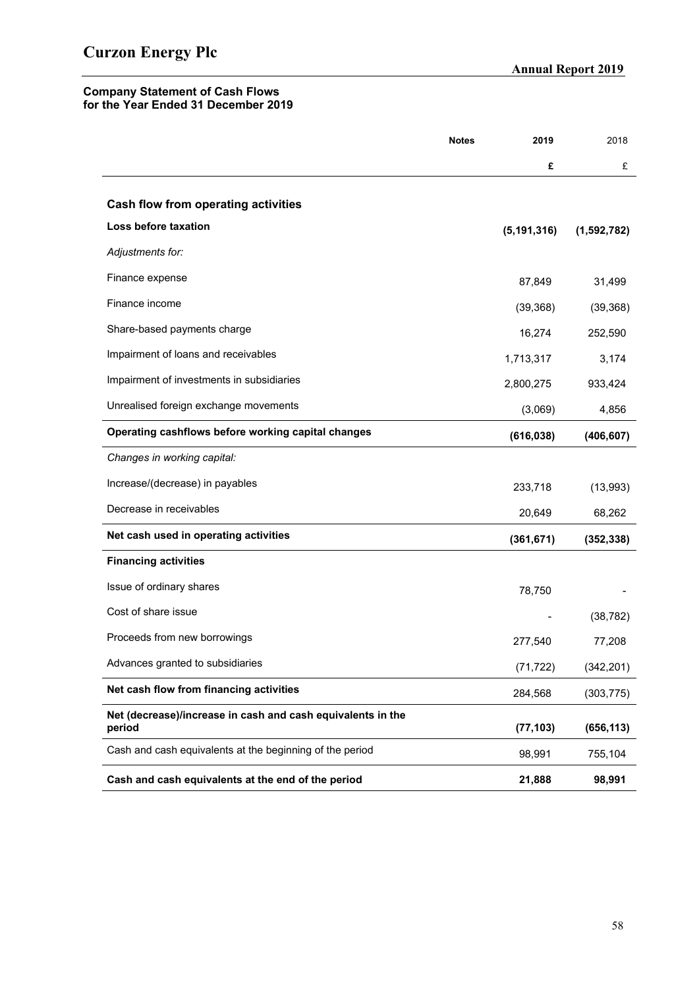#### **Company Statement of Cash Flows for the Year Ended 31 December 2019**

|                                                                       | <b>Notes</b> | 2019          | 2018        |
|-----------------------------------------------------------------------|--------------|---------------|-------------|
|                                                                       |              | £             | £           |
| Cash flow from operating activities                                   |              |               |             |
| Loss before taxation                                                  |              | (5, 191, 316) | (1,592,782) |
| Adjustments for:                                                      |              |               |             |
| Finance expense                                                       |              | 87,849        | 31,499      |
| Finance income                                                        |              | (39, 368)     | (39, 368)   |
| Share-based payments charge                                           |              | 16,274        | 252,590     |
| Impairment of loans and receivables                                   |              | 1,713,317     | 3,174       |
| Impairment of investments in subsidiaries                             |              | 2,800,275     | 933,424     |
| Unrealised foreign exchange movements                                 |              | (3,069)       | 4,856       |
| Operating cashflows before working capital changes                    |              | (616, 038)    | (406, 607)  |
| Changes in working capital:                                           |              |               |             |
| Increase/(decrease) in payables                                       |              | 233,718       | (13,993)    |
| Decrease in receivables                                               |              | 20,649        | 68,262      |
| Net cash used in operating activities                                 |              | (361, 671)    | (352, 338)  |
| <b>Financing activities</b>                                           |              |               |             |
| Issue of ordinary shares                                              |              | 78,750        |             |
| Cost of share issue                                                   |              |               | (38, 782)   |
| Proceeds from new borrowings                                          |              | 277,540       | 77,208      |
| Advances granted to subsidiaries                                      |              | (71, 722)     | (342, 201)  |
| Net cash flow from financing activities                               |              | 284,568       | (303, 775)  |
| Net (decrease)/increase in cash and cash equivalents in the<br>period |              | (77, 103)     | (656, 113)  |
| Cash and cash equivalents at the beginning of the period              |              | 98,991        | 755,104     |
| Cash and cash equivalents at the end of the period                    |              | 21,888        | 98,991      |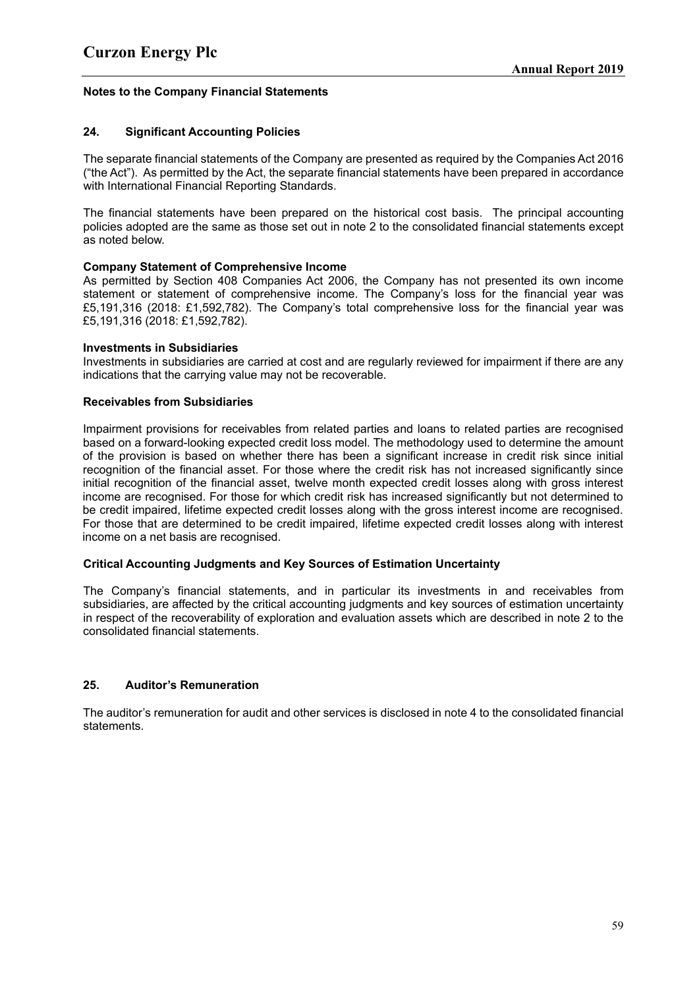#### **Notes to the Company Financial Statements**

#### **24. Significant Accounting Policies**

The separate financial statements of the Company are presented as required by the Companies Act 2016 ("the Act"). As permitted by the Act, the separate financial statements have been prepared in accordance with International Financial Reporting Standards.

The financial statements have been prepared on the historical cost basis. The principal accounting policies adopted are the same as those set out in note 2 to the consolidated financial statements except as noted below.

#### **Company Statement of Comprehensive Income**

As permitted by Section 408 Companies Act 2006, the Company has not presented its own income statement or statement of comprehensive income. The Company's loss for the financial year was £5,191,316 (2018: £1,592,782). The Company's total comprehensive loss for the financial year was £5,191,316 (2018: £1,592,782).

#### **Investments in Subsidiaries**

Investments in subsidiaries are carried at cost and are regularly reviewed for impairment if there are any indications that the carrying value may not be recoverable.

#### **Receivables from Subsidiaries**

Impairment provisions for receivables from related parties and loans to related parties are recognised based on a forward-looking expected credit loss model. The methodology used to determine the amount of the provision is based on whether there has been a significant increase in credit risk since initial recognition of the financial asset. For those where the credit risk has not increased significantly since initial recognition of the financial asset, twelve month expected credit losses along with gross interest income are recognised. For those for which credit risk has increased significantly but not determined to be credit impaired, lifetime expected credit losses along with the gross interest income are recognised. For those that are determined to be credit impaired, lifetime expected credit losses along with interest income on a net basis are recognised.

#### **Critical Accounting Judgments and Key Sources of Estimation Uncertainty**

The Company's financial statements, and in particular its investments in and receivables from subsidiaries, are affected by the critical accounting judgments and key sources of estimation uncertainty in respect of the recoverability of exploration and evaluation assets which are described in note [2](#page-30-1) to the consolidated financial statements.

#### **25. Auditor's Remuneration**

The auditor's remuneration for audit and other services is disclosed in note [4](#page-39-0) to the consolidated financial statements.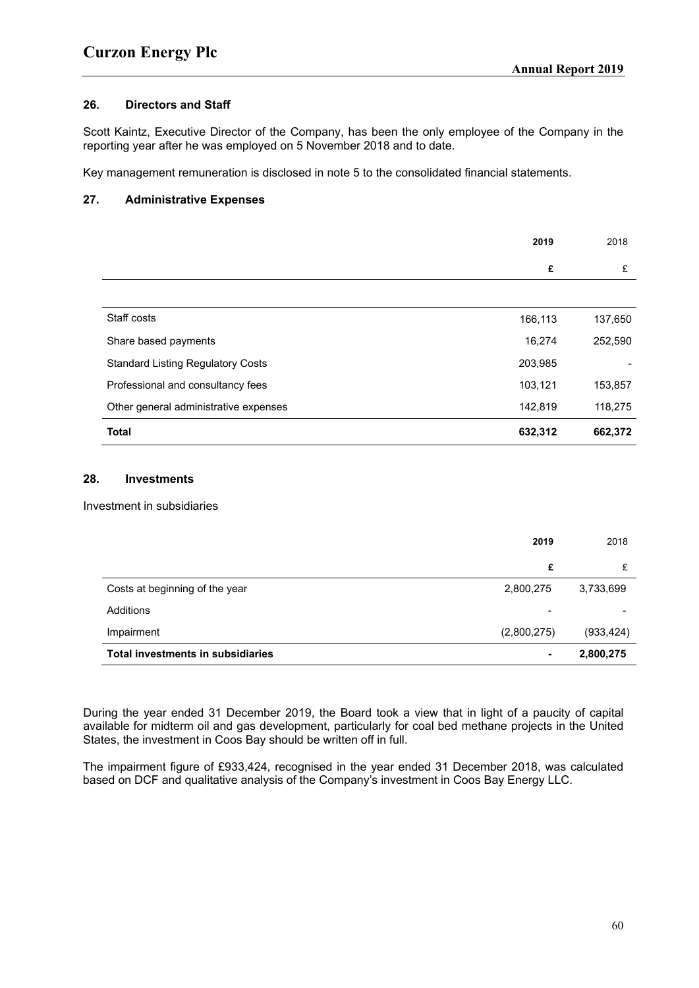#### **26. Directors and Staff**

Scott Kaintz, Executive Director of the Company, has been the only employee of the Company in the reporting year after he was employed on 5 November 2018 and to date.

Key management remuneration is disclosed in note [5](#page-40-0) to the consolidated financial statements.

## **27. Administrative Expenses**

|                                          | 2019    | 2018    |
|------------------------------------------|---------|---------|
|                                          | £       | £       |
|                                          |         |         |
| Staff costs                              | 166,113 | 137,650 |
| Share based payments                     | 16,274  | 252,590 |
| <b>Standard Listing Regulatory Costs</b> | 203,985 |         |
| Professional and consultancy fees        | 103,121 | 153,857 |
| Other general administrative expenses    | 142,819 | 118,275 |
| <b>Total</b>                             | 632,312 | 662,372 |

#### <span id="page-62-0"></span>**28. Investments**

Investment in subsidiaries

|                                   | 2019                     | 2018       |
|-----------------------------------|--------------------------|------------|
|                                   | £                        | £          |
| Costs at beginning of the year    | 2,800,275                | 3,733,699  |
| Additions                         | $\overline{\phantom{a}}$ |            |
| Impairment                        | (2,800,275)              | (933, 424) |
| Total investments in subsidiaries | ۰                        | 2,800,275  |

During the year ended 31 December 2019, the Board took a view that in light of a paucity of capital available for midterm oil and gas development, particularly for coal bed methane projects in the United States, the investment in Coos Bay should be written off in full.

The impairment figure of £933,424, recognised in the year ended 31 December 2018, was calculated based on DCF and qualitative analysis of the Company's investment in Coos Bay Energy LLC.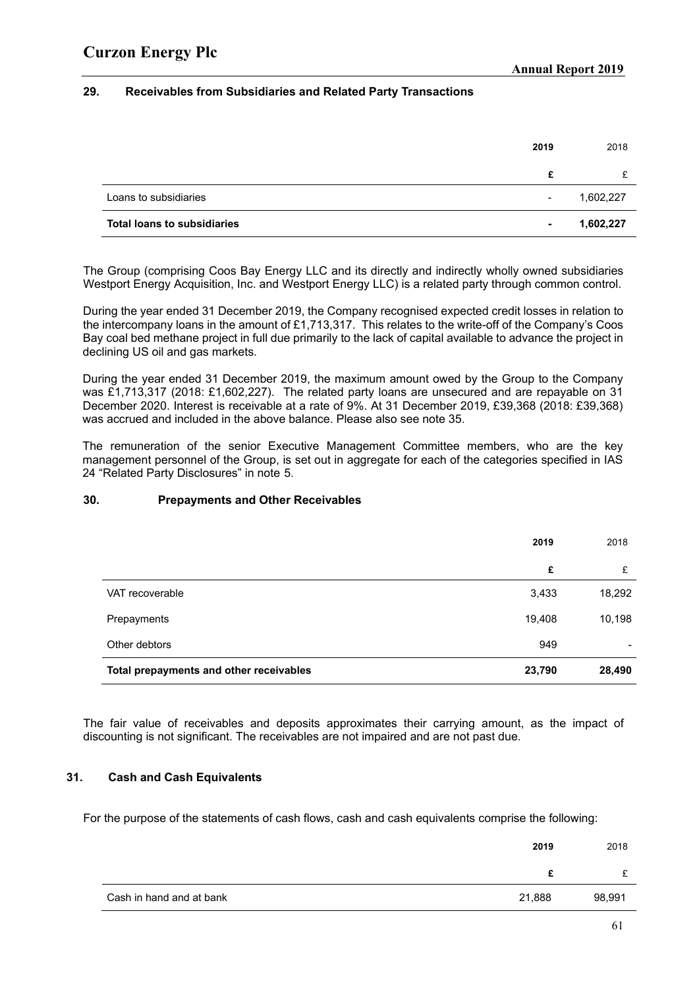#### <span id="page-63-0"></span>**29. Receivables from Subsidiaries and Related Party Transactions**

|                                    | 2019                     | 2018      |
|------------------------------------|--------------------------|-----------|
|                                    | £                        | £.        |
| Loans to subsidiaries              | $\overline{\phantom{a}}$ | 1,602,227 |
| <b>Total loans to subsidiaries</b> | $\blacksquare$           | 1,602,227 |

The Group (comprising Coos Bay Energy LLC and its directly and indirectly wholly owned subsidiaries Westport Energy Acquisition, Inc. and Westport Energy LLC) is a related party through common control.

During the year ended 31 December 2019, the Company recognised expected credit losses in relation to the intercompany loans in the amount of £1,713,317. This relates to the write-off of the Company's Coos Bay coal bed methane project in full due primarily to the lack of capital available to advance the project in declining US oil and gas markets.

During the year ended 31 December 2019, the maximum amount owed by the Group to the Company was £1,713,317 (2018: £1,602,227). The related party loans are unsecured and are repayable on 31 December 2020. Interest is receivable at a rate of 9%. At 31 December 2019, £39,368 (2018: £39,368) was accrued and included in the above balance. Please also see note [35.](#page-65-0)

The remuneration of the senior Executive Management Committee members, who are the key management personnel of the Group, is set out in aggregate for each of the categories specified in IAS 24 "Related Party Disclosures" in note [5.](#page-40-0)

#### **30. Prepayments and Other Receivables**

<span id="page-63-1"></span>

|                                         | 2019   | 2018   |
|-----------------------------------------|--------|--------|
|                                         | £      | £      |
| VAT recoverable                         | 3,433  | 18,292 |
| Prepayments                             | 19,408 | 10,198 |
| Other debtors                           | 949    |        |
| Total prepayments and other receivables | 23,790 | 28,490 |

The fair value of receivables and deposits approximates their carrying amount, as the impact of discounting is not significant. The receivables are not impaired and are not past due.

#### <span id="page-63-2"></span>**31. Cash and Cash Equivalents**

For the purpose of the statements of cash flows, cash and cash equivalents comprise the following:

|                          | 2019   | 2018   |
|--------------------------|--------|--------|
|                          | £.     | c      |
| Cash in hand and at bank | 21,888 | 98,991 |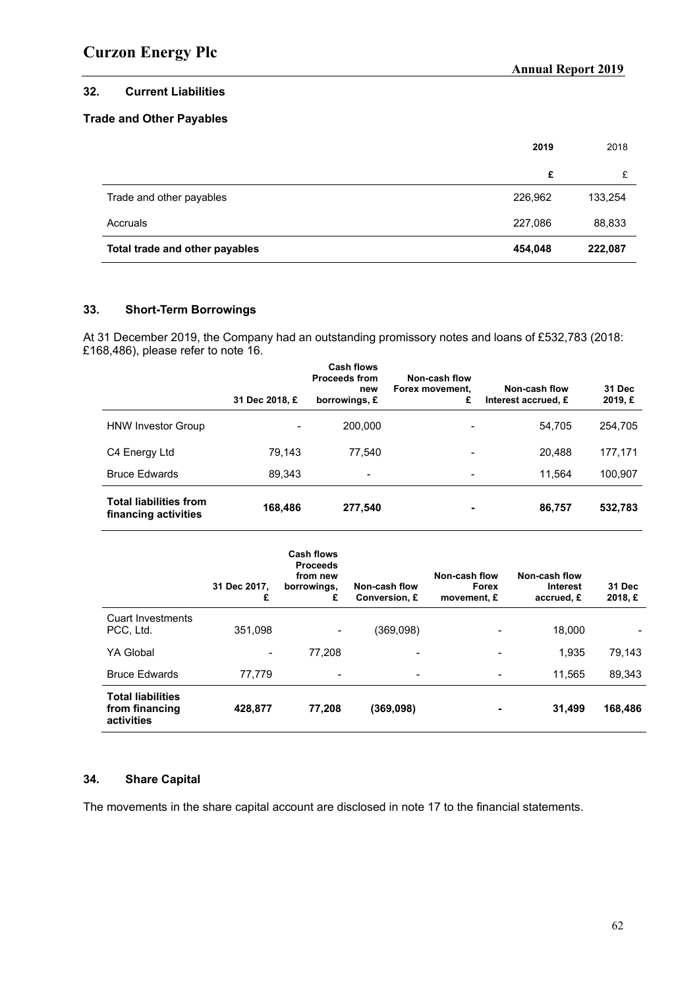## <span id="page-64-0"></span>**32. Current Liabilities**

#### **Trade and Other Payables**

|                                | 2019    | 2018    |
|--------------------------------|---------|---------|
|                                | £       |         |
| Trade and other payables       | 226,962 | 133,254 |
| Accruals                       | 227,086 | 88,833  |
| Total trade and other payables | 454,048 | 222,087 |

#### <span id="page-64-1"></span>**33. Short-Term Borrowings**

At 31 December 2019, the Company had an outstanding promissory notes and loans of £532,783 (2018: £168,486), please refer to note [16.](#page-47-0)

|                                                       | 31 Dec 2018, £ | <b>Cash flows</b><br><b>Proceeds from</b><br>new<br>borrowings, £ | Non-cash flow<br>Forex movement.<br>£ | Non-cash flow<br>Interest accrued, £ | 31 Dec<br>2019, E |
|-------------------------------------------------------|----------------|-------------------------------------------------------------------|---------------------------------------|--------------------------------------|-------------------|
| <b>HNW Investor Group</b>                             | -              | 200.000                                                           |                                       | 54.705                               | 254,705           |
| C4 Energy Ltd                                         | 79,143         | 77,540                                                            |                                       | 20,488                               | 177,171           |
| <b>Bruce Edwards</b>                                  | 89,343         | ۰                                                                 |                                       | 11.564                               | 100,907           |
| <b>Total liabilities from</b><br>financing activities | 168,486        | 277,540                                                           | -                                     | 86,757                               | 532,783           |

|                                                          | 31 Dec 2017,<br>£        | <b>Cash flows</b><br><b>Proceeds</b><br>from new<br>borrowings,<br>£ | Non-cash flow<br>Conversion, £ | Non-cash flow<br>Forex<br>movement, £ | Non-cash flow<br><b>Interest</b><br>accrued, £ | 31 Dec<br>2018, E |
|----------------------------------------------------------|--------------------------|----------------------------------------------------------------------|--------------------------------|---------------------------------------|------------------------------------------------|-------------------|
| <b>Cuart Investments</b><br>PCC, Ltd.                    | 351.098                  |                                                                      | (369,098)                      |                                       | 18,000                                         |                   |
| YA Global                                                | $\overline{\phantom{a}}$ | 77.208                                                               | -                              |                                       | 1.935                                          | 79.143            |
| <b>Bruce Edwards</b>                                     | 77.779                   | $\overline{\phantom{0}}$                                             | $\overline{\phantom{a}}$       |                                       | 11,565                                         | 89,343            |
| <b>Total liabilities</b><br>from financing<br>activities | 428,877                  | 77,208                                                               | (369,098)                      |                                       | 31,499                                         | 168,486           |

## <span id="page-64-2"></span>**34. Share Capital**

The movements in the share capital account are disclosed in note [17](#page-49-0) to the financial statements.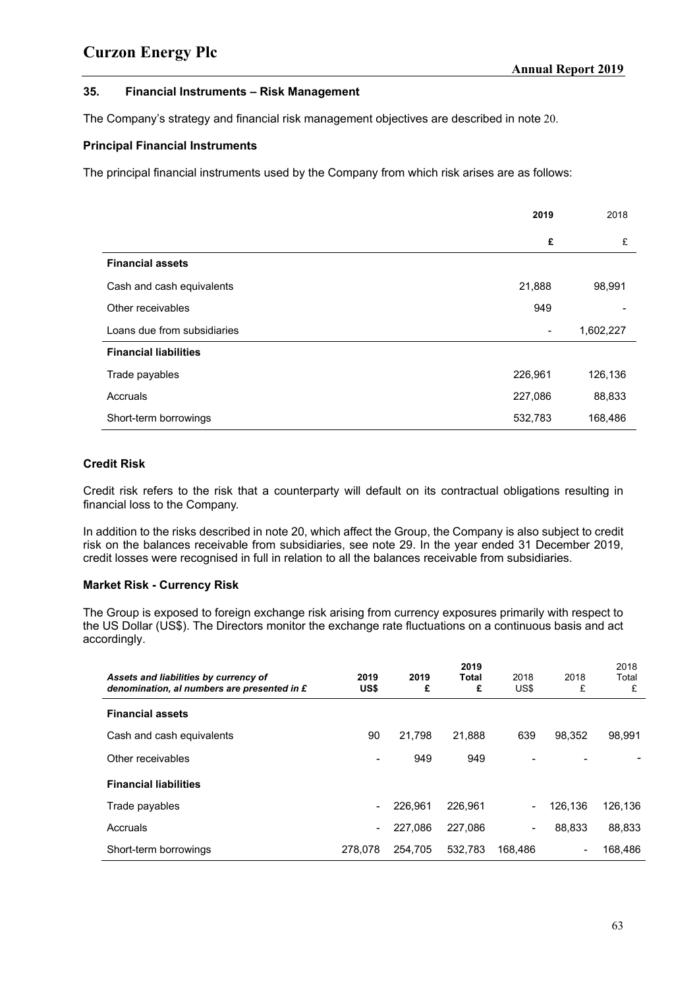#### <span id="page-65-0"></span>**35. Financial Instruments – Risk Management**

The Company's strategy and financial risk management objectives are described in note [20.](#page-52-0)

#### **Principal Financial Instruments**

The principal financial instruments used by the Company from which risk arises are as follows:

|                              | 2019                     | 2018      |
|------------------------------|--------------------------|-----------|
|                              | £                        | £         |
| <b>Financial assets</b>      |                          |           |
| Cash and cash equivalents    | 21,888                   | 98,991    |
| Other receivables            | 949                      |           |
| Loans due from subsidiaries  | $\overline{\phantom{a}}$ | 1,602,227 |
| <b>Financial liabilities</b> |                          |           |
| Trade payables               | 226,961                  | 126,136   |
| Accruals                     | 227,086                  | 88,833    |
| Short-term borrowings        | 532,783                  | 168,486   |

#### **Credit Risk**

Credit risk refers to the risk that a counterparty will default on its contractual obligations resulting in financial loss to the Company.

In addition to the risks described in note [20,](#page-52-0) which affect the Group, the Company is also subject to credit risk on the balances receivable from subsidiaries, see note [29.](#page-63-0) In the year ended 31 December 2019, credit losses were recognised in full in relation to all the balances receivable from subsidiaries.

#### **Market Risk - Currency Risk**

The Group is exposed to foreign exchange risk arising from currency exposures primarily with respect to the US Dollar (US\$). The Directors monitor the exchange rate fluctuations on a continuous basis and act accordingly.

| Assets and liabilities by currency of<br>denomination, al numbers are presented in £ | 2019<br>US\$             | 2019<br>£ | 2019<br>Total<br>£ | 2018<br>US\$                 | 2018<br>£                | 2018<br>Total<br>£ |
|--------------------------------------------------------------------------------------|--------------------------|-----------|--------------------|------------------------------|--------------------------|--------------------|
| <b>Financial assets</b>                                                              |                          |           |                    |                              |                          |                    |
| Cash and cash equivalents                                                            | 90                       | 21.798    | 21.888             | 639                          | 98.352                   | 98,991             |
| Other receivables                                                                    | $\overline{\phantom{a}}$ | 949       | 949                | $\overline{\phantom{a}}$     |                          |                    |
| <b>Financial liabilities</b>                                                         |                          |           |                    |                              |                          |                    |
| Trade payables                                                                       |                          | 226.961   | 226.961            | $\qquad \qquad \blacksquare$ | 126.136                  | 126.136            |
| Accruals                                                                             |                          | 227,086   | 227.086            | $\overline{\phantom{a}}$     | 88,833                   | 88,833             |
| Short-term borrowings                                                                | 278.078                  | 254.705   | 532.783            | 168.486                      | $\overline{\phantom{a}}$ | 168,486            |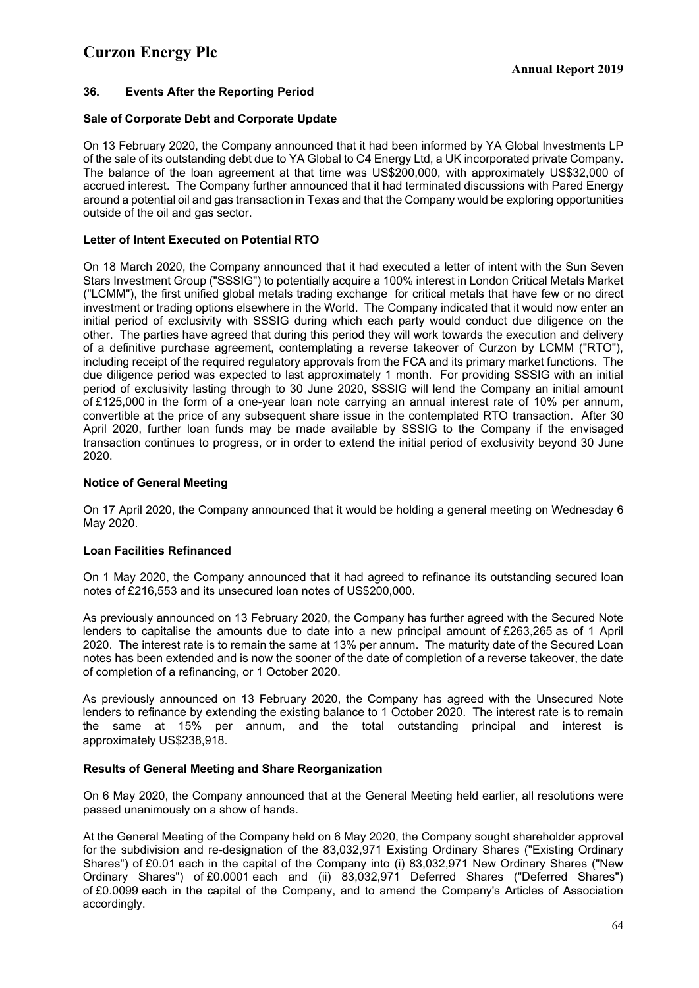## **36. Events After the Reporting Period**

#### **Sale of Corporate Debt and Corporate Update**

On 13 February 2020, the Company announced that it had been informed by YA Global Investments LP of the sale of its outstanding debt due to YA Global to C4 Energy Ltd, a UK incorporated private Company. The balance of the loan agreement at that time was US\$200,000, with approximately US\$32,000 of accrued interest. The Company further announced that it had terminated discussions with Pared Energy around a potential oil and gas transaction in Texas and that the Company would be exploring opportunities outside of the oil and gas sector.

#### **Letter of Intent Executed on Potential RTO**

On 18 March 2020, the Company announced that it had executed a letter of intent with the Sun Seven Stars Investment Group ("SSSIG") to potentially acquire a 100% interest in London Critical Metals Market ("LCMM"), the first unified global metals trading exchange for critical metals that have few or no direct investment or trading options elsewhere in the World. The Company indicated that it would now enter an initial period of exclusivity with SSSIG during which each party would conduct due diligence on the other. The parties have agreed that during this period they will work towards the execution and delivery of a definitive purchase agreement, contemplating a reverse takeover of Curzon by LCMM ("RTO"), including receipt of the required regulatory approvals from the FCA and its primary market functions. The due diligence period was expected to last approximately 1 month. For providing SSSIG with an initial period of exclusivity lasting through to 30 June 2020, SSSIG will lend the Company an initial amount of £125,000 in the form of a one-year loan note carrying an annual interest rate of 10% per annum, convertible at the price of any subsequent share issue in the contemplated RTO transaction. After 30 April 2020, further loan funds may be made available by SSSIG to the Company if the envisaged transaction continues to progress, or in order to extend the initial period of exclusivity beyond 30 June 2020.

#### **Notice of General Meeting**

On 17 April 2020, the Company announced that it would be holding a general meeting on Wednesday 6 May 2020.

#### **Loan Facilities Refinanced**

On 1 May 2020, the Company announced that it had agreed to refinance its outstanding secured loan notes of £216,553 and its unsecured loan notes of US\$200,000.

As previously announced on 13 February 2020, the Company has further agreed with the Secured Note lenders to capitalise the amounts due to date into a new principal amount of £263,265 as of 1 April 2020. The interest rate is to remain the same at 13% per annum. The maturity date of the Secured Loan notes has been extended and is now the sooner of the date of completion of a reverse takeover, the date of completion of a refinancing, or 1 October 2020.

As previously announced on 13 February 2020, the Company has agreed with the Unsecured Note lenders to refinance by extending the existing balance to 1 October 2020. The interest rate is to remain the same at 15% per annum, and the total outstanding principal and interest is approximately US\$238,918.

#### **Results of General Meeting and Share Reorganization**

On 6 May 2020, the Company announced that at the General Meeting held earlier, all resolutions were passed unanimously on a show of hands.

At the General Meeting of the Company held on 6 May 2020, the Company sought shareholder approval for the subdivision and re-designation of the 83,032,971 Existing Ordinary Shares ("Existing Ordinary Shares") of £0.01 each in the capital of the Company into (i) 83,032,971 New Ordinary Shares ("New Ordinary Shares") of £0.0001 each and (ii) 83,032,971 Deferred Shares ("Deferred Shares") of £0.0099 each in the capital of the Company, and to amend the Company's Articles of Association accordingly.